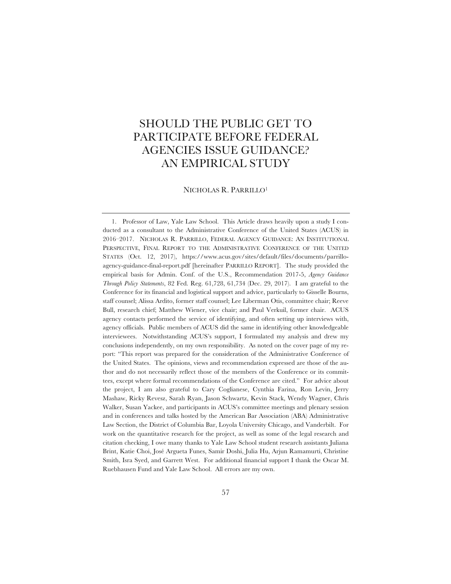# SHOULD THE PUBLIC GET TO PARTICIPATE BEFORE FEDERAL AGENCIES ISSUE GUIDANCE? AN EMPIRICAL STUDY

NICHOLAS R. PARRILLO1

1. Professor of Law, Yale Law School. This Article draws heavily upon a study I conducted as a consultant to the Administrative Conference of the United States (ACUS) in 2016–2017. NICHOLAS R. PARRILLO, FEDERAL AGENCY GUIDANCE: AN INSTITUTIONAL PERSPECTIVE, FINAL REPORT TO THE ADMINISTRATIVE CONFERENCE OF THE UNITED STATES (Oct. 12, 2017), https://www.acus.gov/sites/default/files/documents/parrilloagency-guidance-final-report.pdf [hereinafter PARRILLO REPORT]. The study provided the empirical basis for Admin. Conf. of the U.S., Recommendation 2017-5, *Agency Guidance Through Policy Statements*, 82 Fed. Reg. 61,728, 61,734 (Dec. 29, 2017). I am grateful to the Conference for its financial and logistical support and advice, particularly to Gisselle Bourns, staff counsel; Alissa Ardito, former staff counsel; Lee Liberman Otis, committee chair; Reeve Bull, research chief; Matthew Wiener, vice chair; and Paul Verkuil, former chair. ACUS agency contacts performed the service of identifying, and often setting up interviews with, agency officials. Public members of ACUS did the same in identifying other knowledgeable interviewees. Notwithstanding ACUS's support, I formulated my analysis and drew my conclusions independently, on my own responsibility. As noted on the cover page of my report: "This report was prepared for the consideration of the Administrative Conference of the United States. The opinions, views and recommendation expressed are those of the author and do not necessarily reflect those of the members of the Conference or its committees, except where formal recommendations of the Conference are cited." For advice about the project, I am also grateful to Cary Coglianese, Cynthia Farina, Ron Levin, Jerry Mashaw, Ricky Revesz, Sarah Ryan, Jason Schwartz, Kevin Stack, Wendy Wagner, Chris Walker, Susan Yackee, and participants in ACUS's committee meetings and plenary session and in conferences and talks hosted by the American Bar Association (ABA) Administrative Law Section, the District of Columbia Bar, Loyola University Chicago, and Vanderbilt. For work on the quantitative research for the project, as well as some of the legal research and citation checking, I owe many thanks to Yale Law School student research assistants Juliana Brint, Katie Choi, José Argueta Funes, Samir Doshi, Julia Hu, Arjun Ramamurti, Christine Smith, Isra Syed, and Garrett West. For additional financial support I thank the Oscar M. Ruebhausen Fund and Yale Law School. All errors are my own.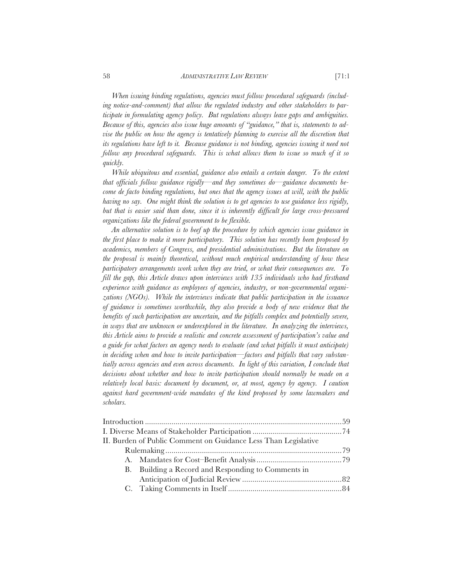*When issuing binding regulations, agencies must follow procedural safeguards (including notice-and-comment) that allow the regulated industry and other stakeholders to participate in formulating agency policy. But regulations always leave gaps and ambiguities. Because of this, agencies also issue huge amounts of "guidance," that is, statements to advise the public on how the agency is tentatively planning to exercise all the discretion that*  its regulations have left to it. Because guidance is not binding, agencies issuing it need not *follow any procedural safeguards. This is what allows them to issue so much of it so quickly.*

*While ubiquitous and essential, guidance also entails a certain danger. To the extent that officials follow guidance rigidly—and they sometimes do—guidance documents become de facto binding regulations, but ones that the agency issues at will, with the public having no say. One might think the solution is to get agencies to use guidance less rigidly,*  but that is easier said than done, since it is inherently difficult for large cross-pressured *organizations like the federal government to be flexible.* 

*An alternative solution is to beef up the procedure by which agencies issue guidance in the first place to make it more participatory. This solution has recently been proposed by academics, members of Congress, and presidential administrations. But the literature on the proposal is mainly theoretical, without much empirical understanding of how these participatory arrangements work when they are tried, or what their consequences are. To fill the gap, this Article draws upon interviews with 135 individuals who had firsthand experience with guidance as employees of agencies, industry, or non-governmental organizations (NGOs). While the interviews indicate that public participation in the issuance of guidance is sometimes worthwhile, they also provide a body of new evidence that the benefits of such participation are uncertain, and the pitfalls complex and potentially severe, in ways that are unknown or underexplored in the literature. In analyzing the interviews, this Article aims to provide a realistic and concrete assessment of participation's value and a guide for what factors an agency needs to evaluate (and what pitfalls it must anticipate) in deciding when and how to invite participation—factors and pitfalls that vary substantially across agencies and even across documents. In light of this variation, I conclude that decisions about whether and how to invite participation should normally be made on a relatively local basis: document by document, or, at most, agency by agency. I caution against hard government-wide mandates of the kind proposed by some lawmakers and scholars.*

|  | II. Burden of Public Comment on Guidance Less Than Legislative |  |
|--|----------------------------------------------------------------|--|
|  |                                                                |  |
|  |                                                                |  |
|  | B. Building a Record and Responding to Comments in             |  |
|  |                                                                |  |
|  |                                                                |  |
|  |                                                                |  |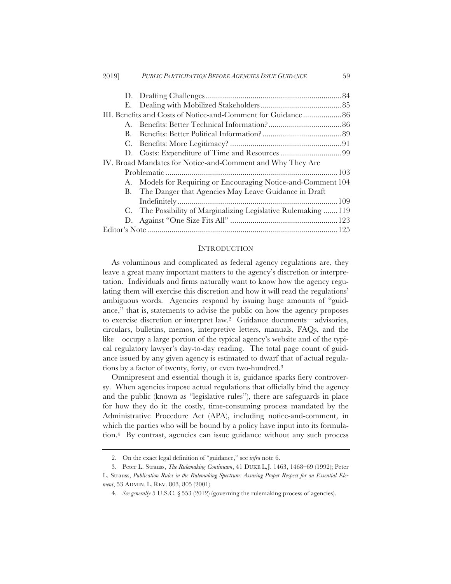| $\mathbf{A}$                                               |                                                                |  |  |
|------------------------------------------------------------|----------------------------------------------------------------|--|--|
| В.                                                         |                                                                |  |  |
|                                                            |                                                                |  |  |
|                                                            |                                                                |  |  |
| IV. Broad Mandates for Notice-and-Comment and Why They Are |                                                                |  |  |
|                                                            |                                                                |  |  |
|                                                            | A. Models for Requiring or Encouraging Notice-and-Comment 104  |  |  |
|                                                            | B. The Danger that Agencies May Leave Guidance in Draft        |  |  |
|                                                            |                                                                |  |  |
|                                                            | C. The Possibility of Marginalizing Legislative Rulemaking 119 |  |  |
|                                                            |                                                                |  |  |
|                                                            |                                                                |  |  |

#### INTRODUCTION

As voluminous and complicated as federal agency regulations are, they leave a great many important matters to the agency's discretion or interpretation. Individuals and firms naturally want to know how the agency regulating them will exercise this discretion and how it will read the regulations' ambiguous words. Agencies respond by issuing huge amounts of "guidance," that is, statements to advise the public on how the agency proposes to exercise discretion or interpret law.2 Guidance documents—advisories, circulars, bulletins, memos, interpretive letters, manuals, FAQs, and the like—occupy a large portion of the typical agency's website and of the typical regulatory lawyer's day-to-day reading. The total page count of guidance issued by any given agency is estimated to dwarf that of actual regulations by a factor of twenty, forty, or even two-hundred.3

Omnipresent and essential though it is, guidance sparks fiery controversy. When agencies impose actual regulations that officially bind the agency and the public (known as "legislative rules"), there are safeguards in place for how they do it: the costly, time-consuming process mandated by the Administrative Procedure Act (APA), including notice-and-comment, in which the parties who will be bound by a policy have input into its formulation.4 By contrast, agencies can issue guidance without any such process

<sup>2.</sup> On the exact legal definition of "guidance," see *infra* note 6.

<sup>3.</sup> Peter L. Strauss, *The Rulemaking Continuum*, 41 DUKE L.J. 1463, 1468–69 (1992); Peter L. Strauss, *Publication Rules in the Rulemaking Spectrum: Assuring Proper Respect for an Essential Element*, 53 ADMIN. L. REV. 803, 805 (2001).

<sup>4.</sup> *See generally* 5 U.S.C. § 553 (2012) (governing the rulemaking process of agencies).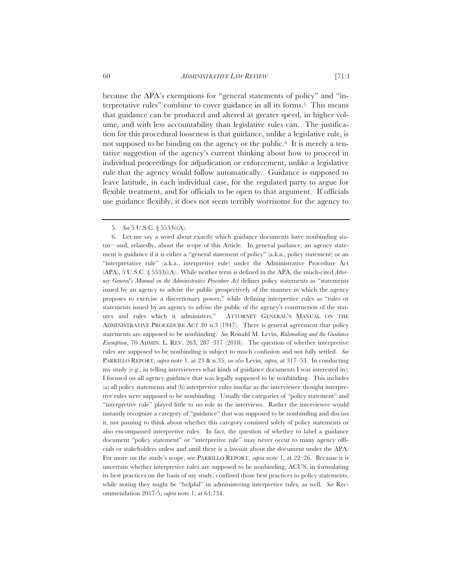because the APA's exemptions for "general statements of policy" and "interpretative rules" combine to cover guidance in all its forms.5 This means that guidance can be produced and altered at greater speed, in higher volume, and with less accountability than legislative rules can. The justification for this procedural looseness is that guidance, unlike a legislative rule, is not supposed to be binding on the agency or the public.<sup>6</sup> It is merely a tentative suggestion of the agency's current thinking about how to proceed in individual proceedings for adjudication or enforcement, unlike a legislative rule that the agency would follow automatically. Guidance is supposed to leave latitude, in each individual case, for the regulated party to argue for flexible treatment, and for officials to be open to that argument. If officials use guidance flexibly, it does not seem terribly worrisome for the agency to

<sup>5.</sup> *See* 5 U.S.C. § 553(b)(A).

<sup>6.</sup> Let me say a word about exactly which guidance documents have nonbinding status—and, relatedly, about the scope of this Article. In general parlance, an agency statement is guidance if it is either a "general statement of policy" (a.k.a., policy statement) or an "interpretative rule" (a.k.a., interpretive rule) under the Administrative Procedure Act (APA), 5 U.S.C. § 553(b)(A). While neither term is defined in the APA, the much-cited *Attorney General's Manual on the Administrative Procedure Act* defines policy statements as "statements issued by an agency to advise the public prospectively of the manner in which the agency proposes to exercise a discretionary power," while defining interpretive rules as "rules or statements issued by an agency to advise the public of the agency's construction of the statutes and rules which it administers." ATTORNEY GENERAL'S MANUAL ON THE ADMINISTRATIVE PROCEDURE ACT 30 n.3 (1947). There is general agreement that policy statements are supposed to be nonbinding. *See* Ronald M. Levin, *Rulemaking and the Guidance Exemption*, 70 ADMIN. L. REV. 263, 287–317 (2018). The question of whether interpretive rules are supposed to be nonbinding is subject to much confusion and not fully settled. *See* PARRILLO REPORT, *supra* note 1, at 23 & n.35; *see also* Levin, *supra*, at 317–53. In conducting my study (e.g., in telling interviewees what kinds of guidance documents I was interested in), I focused on all agency guidance that was legally supposed to be nonbinding. This includes (a) all policy statements and (b) interpretive rules insofar as the interviewee thought interpretive rules were supposed to be nonbinding. Usually the categories of "policy statement" and "interpretive rule" played little to no role in the interviews. Rather the interviewee would instantly recognize a category of "guidance" that was supposed to be nonbinding and discuss it, not pausing to think about whether this category consisted solely of policy statements or also encompassed interpretive rules. In fact, the question of whether to label a guidance document "policy statement" or "interpretive rule" may never occur to many agency officials or stakeholders unless and until there is a lawsuit about the document under the APA. For more on the study's scope, see PARRILLO REPORT, *supra* note 1, at 22–26. Because it is uncertain whether interpretive rules are supposed to be nonbinding, ACUS, in formulating its best practices on the basis of my study, confined those best practices to policy statements, while noting they might be "helpful" in administering interpretive rules, as well. *See* Recommendation 2017-5, *supra* note 1, at 61,734.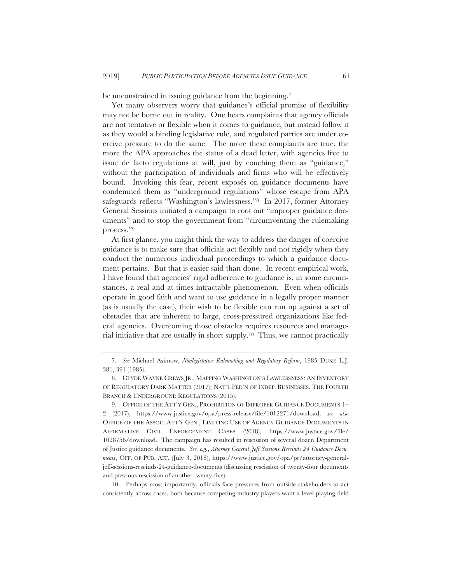be unconstrained in issuing guidance from the beginning.<sup>7</sup>

Yet many observers worry that guidance's official promise of flexibility may not be borne out in reality. One hears complaints that agency officials are not tentative or flexible when it comes to guidance, but instead follow it as they would a binding legislative rule, and regulated parties are under coercive pressure to do the same. The more these complaints are true, the more the APA approaches the status of a dead letter, with agencies free to issue de facto regulations at will, just by couching them as "guidance," without the participation of individuals and firms who will be effectively bound. Invoking this fear, recent exposés on guidance documents have condemned them as "underground regulations" whose escape from APA safeguards reflects "Washington's lawlessness."8 In 2017, former Attorney General Sessions initiated a campaign to root out "improper guidance documents" and to stop the government from "circumventing the rulemaking process."9

At first glance, you might think the way to address the danger of coercive guidance is to make sure that officials act flexibly and not rigidly when they conduct the numerous individual proceedings to which a guidance document pertains. But that is easier said than done. In recent empirical work, I have found that agencies' rigid adherence to guidance is, in some circumstances, a real and at times intractable phenomenon. Even when officials operate in good faith and want to use guidance in a legally proper manner (as is usually the case), their wish to be flexible can run up against a set of obstacles that are inherent to large, cross-pressured organizations like federal agencies. Overcoming those obstacles requires resources and managerial initiative that are usually in short supply.10 Thus, we cannot practically

10. Perhaps most importantly, officials face pressures from outside stakeholders to act consistently across cases, both because competing industry players want a level playing field

<sup>7.</sup> *See* Michael Asimow, *Nonlegislative Rulemaking and Regulatory Reform*, 1985 DUKE L.J. 381, 391 (1985).

<sup>8.</sup> CLYDE WAYNE CREWS JR., MAPPING WASHINGTON'S LAWLESSNESS: AN INVENTORY OF REGULATORY DARK MATTER (2017); NAT'L FED'N OF INDEP. BUSINESSES, THE FOURTH BRANCH & UNDERGROUND REGULATIONS (2015).

<sup>9.</sup> OFFICE OF THE ATT'Y GEN., PROHIBITION OF IMPROPER GUIDANCE DOCUMENTS 1-2 (2017), https://www.justice.gov/opa/press-release/file/1012271/download; *see also* OFFICE OF THE ASSOC. ATT'Y GEN., LIMITING USE OF AGENCY GUIDANCE DOCUMENTS IN AFFIRMATIVE CIVIL ENFORCEMENT CASES (2018), https://www.justice.gov/file/ 1028756/download. The campaign has resulted in rescission of several dozen Department of Justice guidance documents. *See, e.g.*, *Attorney General Jeff Sessions Rescinds 24 Guidance Documents*, OFF. OF PUB. AFF. (July 3, 2018), https://www.justice.gov/opa/pr/attorney-generaljeff-sessions-rescinds-24-guidance-documents (discussing rescission of twenty-four documents and previous rescission of another twenty-five).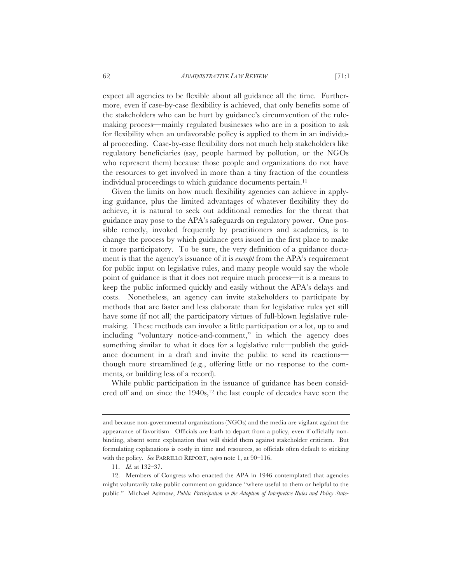expect all agencies to be flexible about all guidance all the time. Furthermore, even if case-by-case flexibility is achieved, that only benefits some of the stakeholders who can be hurt by guidance's circumvention of the rulemaking process—mainly regulated businesses who are in a position to ask for flexibility when an unfavorable policy is applied to them in an individual proceeding. Case-by-case flexibility does not much help stakeholders like regulatory beneficiaries (say, people harmed by pollution, or the NGOs who represent them) because those people and organizations do not have the resources to get involved in more than a tiny fraction of the countless individual proceedings to which guidance documents pertain.<sup>11</sup>

Given the limits on how much flexibility agencies can achieve in applying guidance, plus the limited advantages of whatever flexibility they do achieve, it is natural to seek out additional remedies for the threat that guidance may pose to the APA's safeguards on regulatory power. One possible remedy, invoked frequently by practitioners and academics, is to change the process by which guidance gets issued in the first place to make it more participatory. To be sure, the very definition of a guidance document is that the agency's issuance of it is *exempt* from the APA's requirement for public input on legislative rules, and many people would say the whole point of guidance is that it does not require much process—it is a means to keep the public informed quickly and easily without the APA's delays and costs. Nonetheless, an agency can invite stakeholders to participate by methods that are faster and less elaborate than for legislative rules yet still have some (if not all) the participatory virtues of full-blown legislative rulemaking. These methods can involve a little participation or a lot, up to and including "voluntary notice-and-comment," in which the agency does something similar to what it does for a legislative rule—publish the guidance document in a draft and invite the public to send its reactions though more streamlined (e.g., offering little or no response to the comments, or building less of a record).

While public participation in the issuance of guidance has been considered off and on since the 1940s,<sup>12</sup> the last couple of decades have seen the

and because non-governmental organizations (NGOs) and the media are vigilant against the appearance of favoritism. Officials are loath to depart from a policy, even if officially nonbinding, absent some explanation that will shield them against stakeholder criticism. But formulating explanations is costly in time and resources, so officials often default to sticking with the policy. *See* PARRILLO REPORT, *supra* note 1, at 90–116.

<sup>11.</sup> *Id.* at 132–37.

<sup>12.</sup> Members of Congress who enacted the APA in 1946 contemplated that agencies might voluntarily take public comment on guidance "where useful to them or helpful to the public." Michael Asimow, *Public Participation in the Adoption of Interpretive Rules and Policy State-*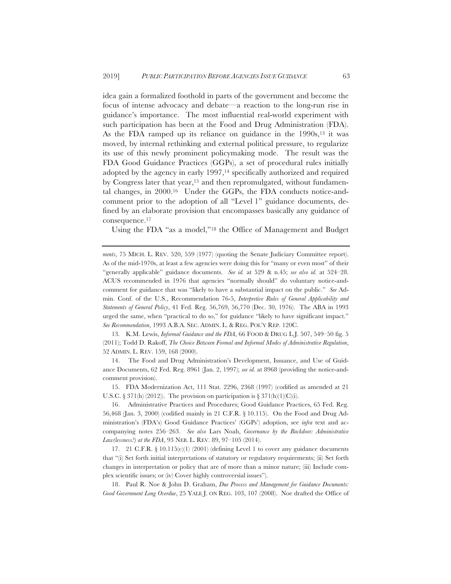idea gain a formalized foothold in parts of the government and become the focus of intense advocacy and debate—a reaction to the long-run rise in guidance's importance. The most influential real-world experiment with such participation has been at the Food and Drug Administration (FDA). As the FDA ramped up its reliance on guidance in the 1990s,<sup>13</sup> it was moved, by internal rethinking and external political pressure, to regularize its use of this newly prominent policymaking mode. The result was the FDA Good Guidance Practices (GGPs), a set of procedural rules initially adopted by the agency in early 1997,14 specifically authorized and required by Congress later that year,<sup>15</sup> and then repromulgated, without fundamental changes, in 2000.16 Under the GGPs, the FDA conducts notice-andcomment prior to the adoption of all "Level 1" guidance documents, defined by an elaborate provision that encompasses basically any guidance of consequence.17

Using the FDA "as a model,"18 the Office of Management and Budget

13. K.M. Lewis, *Informal Guidance and the FDA*, 66 FOOD & DRUG L.J. 507, 549–50 fig. 5 (2011); Todd D. Rakoff, *The Choice Between Formal and Informal Modes of Administrative Regulation*, 52 ADMIN. L. REV. 159, 168 (2000).

14. The Food and Drug Administration's Development, Issuance, and Use of Guidance Documents, 62 Fed. Reg. 8961 (Jan. 2, 1997); *see id.* at 8968 (providing the notice-andcomment provision).

15. FDA Modernization Act, 111 Stat. 2296, 2368 (1997) (codified as amended at 21 U.S.C. § 371(h) (2012)). The provision on participation is § 371(h)(1)(C)(i).

16. Administrative Practices and Procedures; Good Guidance Practices, 65 Fed. Reg. 56,468 (Jan. 3, 2000) (codified mainly in 21 C.F.R. § 10.115). On the Food and Drug Administration's (FDA's) Good Guidance Practices' (GGPs') adoption, see *infra* text and accompanying notes 256–263. *See also* Lars Noah, *Governance by the Backdoor: Administrative Law(lessness?) at the FDA*, 93 NEB. L. REV. 89, 97–105 (2014).

17. 21 C.F.R. § 10.115(c)(1) (2001) (defining Level 1 to cover any guidance documents that "(i) Set forth initial interpretations of statutory or regulatory requirements; (ii) Set forth changes in interpretation or policy that are of more than a minor nature; (iii) Include complex scientific issues; or (iv) Cover highly controversial issues").

18. Paul R. Noe & John D. Graham, *Due Process and Management for Guidance Documents: Good Government Long Overdue*, 25 YALE J. ON REG. 103, 107 (2008). Noe drafted the Office of

*ments*, 75 MICH. L. REV. 520, 559 (1977) (quoting the Senate Judiciary Committee report). As of the mid-1970s, at least a few agencies were doing this for "many or even most" of their "generally applicable" guidance documents. *See id.* at 529 & n.45; *see also id.* at 524–28. ACUS recommended in 1976 that agencies "normally should" do voluntary notice-andcomment for guidance that was "likely to have a substantial impact on the public." *See* Admin. Conf. of the U.S., Recommendation 76-5, *Interpretive Rules of General Applicability and Statements of General Policy*, 41 Fed. Reg. 56,769, 56,770 (Dec. 30, 1976). The ABA in 1993 urged the same, when "practical to do so," for guidance "likely to have significant impact." *See Recommendation*, 1993 A.B.A. SEC. ADMIN. L. & REG. POL'Y REP. 120C.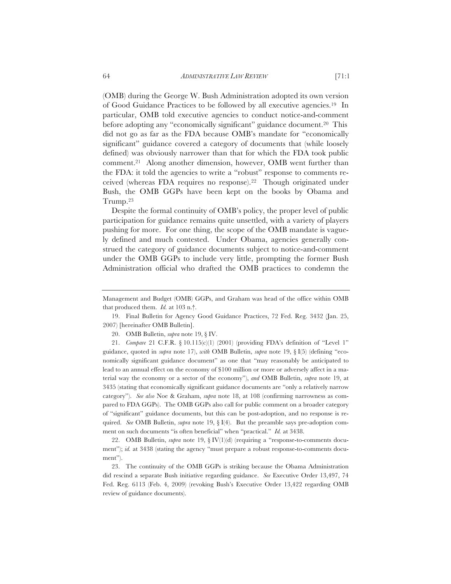(OMB) during the George W. Bush Administration adopted its own version of Good Guidance Practices to be followed by all executive agencies.19 In particular, OMB told executive agencies to conduct notice-and-comment before adopting any "economically significant" guidance document.<sup>20</sup> This did not go as far as the FDA because OMB's mandate for "economically significant" guidance covered a category of documents that (while loosely defined) was obviously narrower than that for which the FDA took public comment.21 Along another dimension, however, OMB went further than the FDA: it told the agencies to write a "robust" response to comments received (whereas FDA requires no response).22 Though originated under Bush, the OMB GGPs have been kept on the books by Obama and Trump.23

Despite the formal continuity of OMB's policy, the proper level of public participation for guidance remains quite unsettled, with a variety of players pushing for more. For one thing, the scope of the OMB mandate is vaguely defined and much contested. Under Obama, agencies generally construed the category of guidance documents subject to notice-and-comment under the OMB GGPs to include very little, prompting the former Bush Administration official who drafted the OMB practices to condemn the

20. OMB Bulletin, *supra* note 19, § IV.

21. *Compare* 21 C.F.R. § 10.115(c)(1) (2001) (providing FDA's definition of "Level 1" guidance, quoted in *supra* note 17), *with* OMB Bulletin, *supra* note 19, § I(5) (defining "economically significant guidance document" as one that "may reasonably be anticipated to lead to an annual effect on the economy of \$100 million or more or adversely affect in a material way the economy or a sector of the economy"), *and* OMB Bulletin, *supra* note 19, at 3435 (stating that economically significant guidance documents are "only a relatively narrow category"). *See also* Noe & Graham, *supra* note 18, at 108 (confirming narrowness as compared to FDA GGPs). The OMB GGPs also call for public comment on a broader category of "significant" guidance documents, but this can be post-adoption, and no response is required. *See* OMB Bulletin, *supra* note 19, § I(4). But the preamble says pre-adoption comment on such documents "is often beneficial" when "practical." *Id.* at 3438.

22. OMB Bulletin, *supra* note 19, § IV(1)(d) (requiring a "response-to-comments document"); *id.* at 3438 (stating the agency "must prepare a robust response-to-comments document").

23. The continuity of the OMB GGPs is striking because the Obama Administration did rescind a separate Bush initiative regarding guidance. *See* Executive Order 13,497, 74 Fed. Reg. 6113 (Feb. 4, 2009) (revoking Bush's Executive Order 13,422 regarding OMB review of guidance documents).

Management and Budget (OMB) GGPs, and Graham was head of the office within OMB that produced them. *Id.* at 103 n.†.

<sup>19.</sup> Final Bulletin for Agency Good Guidance Practices, 72 Fed. Reg. 3432 (Jan. 25, 2007) [hereinafter OMB Bulletin].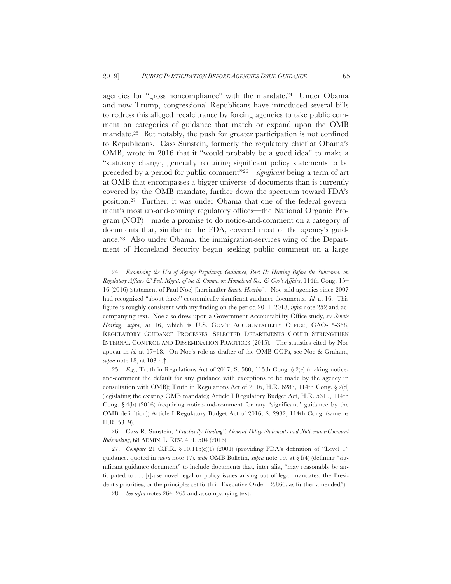agencies for "gross noncompliance" with the mandate.24 Under Obama and now Trump, congressional Republicans have introduced several bills to redress this alleged recalcitrance by forcing agencies to take public comment on categories of guidance that match or expand upon the OMB mandate.25 But notably, the push for greater participation is not confined to Republicans. Cass Sunstein, formerly the regulatory chief at Obama's OMB, wrote in 2016 that it "would probably be a good idea" to make a "statutory change, generally requiring significant policy statements to be preceded by a period for public comment"26—*significant* being a term of art at OMB that encompasses a bigger universe of documents than is currently covered by the OMB mandate, further down the spectrum toward FDA's position.27 Further, it was under Obama that one of the federal government's most up-and-coming regulatory offices—the National Organic Program (NOP)—made a promise to do notice-and-comment on a category of documents that, similar to the FDA, covered most of the agency's guidance.28 Also under Obama, the immigration-services wing of the Department of Homeland Security began seeking public comment on a large

25. *E.g.*, Truth in Regulations Act of 2017, S. 580, 115th Cong. § 2(e) (making noticeand-comment the default for any guidance with exceptions to be made by the agency in consultation with OMB); Truth in Regulations Act of 2016, H.R. 6283, 114th Cong. § 2(d) (legislating the existing OMB mandate); Article I Regulatory Budget Act, H.R. 5319, 114th Cong.  $\S 4(b)$  (2016) (requiring notice-and-comment for any "significant" guidance by the OMB definition); Article I Regulatory Budget Act of 2016, S. 2982, 114th Cong. (same as H.R. 5319).

26. Cass R. Sunstein, *"Practically Binding": General Policy Statements and Notice-and-Comment Rulemaking*, 68 ADMIN. L. REV. 491, 504 (2016).

<sup>24.</sup> *Examining the Use of Agency Regulatory Guidance, Part II: Hearing Before the Subcomm. on Regulatory Affairs & Fed. Mgmt. of the S. Comm. on Homeland Sec. & Gov't Affairs*, 114th Cong. 15– 16 (2016) (statement of Paul Noe) [hereinafter *Senate Hearing*]. Noe said agencies since 2007 had recognized "about three" economically significant guidance documents. *Id.* at 16. This figure is roughly consistent with my finding on the period 2011–2018, *infra* note 252 and accompanying text. Noe also drew upon a Government Accountability Office study, *see Senate Hearing*, *supra*, at 16, which is U.S. GOV'T ACCOUNTABILITY OFFICE, GAO-15-368, REGULATORY GUIDANCE PROCESSES: SELECTED DEPARTMENTS COULD STRENGTHEN INTERNAL CONTROL AND DISSEMINATION PRACTICES (2015). The statistics cited by Noe appear in *id.* at 17–18. On Noe's role as drafter of the OMB GGPs, see Noe & Graham, *supra* note 18, at 103 n.†.

<sup>27.</sup> *Compare* 21 C.F.R. § 10.115(c)(1) (2001) (providing FDA's definition of "Level 1" guidance, quoted in *supra* note 17), *with* OMB Bulletin, *supra* note 19, at § I(4) (defining "significant guidance document" to include documents that, inter alia, "may reasonably be anticipated to . . . [r]aise novel legal or policy issues arising out of legal mandates, the President's priorities, or the principles set forth in Executive Order 12,866, as further amended").

<sup>28.</sup> *See infra* notes 264–265 and accompanying text.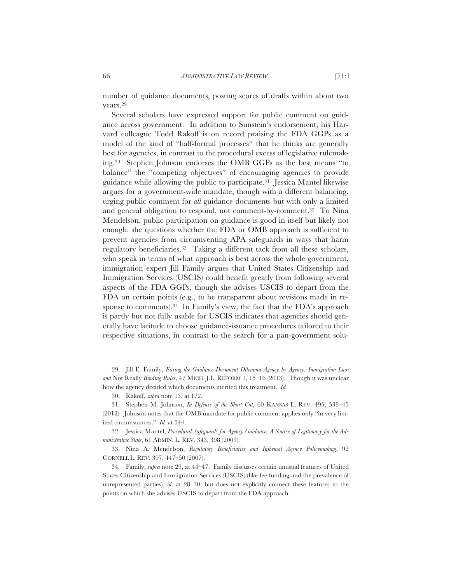number of guidance documents, posting scores of drafts within about two years.29

Several scholars have expressed support for public comment on guidance across government. In addition to Sunstein's endorsement, his Harvard colleague Todd Rakoff is on record praising the FDA GGPs as a model of the kind of "half-formal processes" that he thinks are generally best for agencies, in contrast to the procedural excess of legislative rulemaking.30 Stephen Johnson endorses the OMB GGPs as the best means "to balance" the "competing objectives" of encouraging agencies to provide guidance while allowing the public to participate.31 Jessica Mantel likewise argues for a government-wide mandate, though with a different balancing, urging public comment for *all* guidance documents but with only a limited and general obligation to respond, not comment-by-comment.32 To Nina Mendelson, public participation on guidance is good in itself but likely not enough: she questions whether the FDA or OMB approach is sufficient to prevent agencies from circumventing APA safeguards in ways that harm regulatory beneficiaries.33 Taking a different tack from all these scholars, who speak in terms of what approach is best across the whole government, immigration expert Jill Family argues that United States Citizenship and Immigration Services (USCIS) could benefit greatly from following several aspects of the FDA GGPs, though she advises USCIS to depart from the FDA on certain points (e.g., to be transparent about revisions made in response to comments).34 In Family's view, the fact that the FDA's approach is partly but not fully usable for USCIS indicates that agencies should generally have latitude to choose guidance-issuance procedures tailored to their respective situations, in contrast to the search for a pan-government solu-

32. Jessica Mantel, *Procedural Safeguards for Agency Guidance: A Source of Legitimacy for the Administrative State*, 61 ADMIN. L. REV. 343, 398 (2009).

<sup>29.</sup> Jill E. Family, *Easing the Guidance Document Dilemma Agency by Agency: Immigration Law and* Not Really *Binding Rules*, 47 MICH. J.L. REFORM 1, 15–16 (2013). Though it was unclear how the agency decided which documents merited this treatment. *Id.*

<sup>30.</sup> Rakoff, *supra* note 13, at 172.

<sup>31.</sup> Stephen M. Johnson, *In Defense of the Short Cut*, 60 KANSAS L. REV. 495, 538–45 (2012). Johnson notes that the OMB mandate for public comment applies only "in very limited circumstances." *Id.* at 544.

<sup>33.</sup> Nina A. Mendelson, *Regulatory Beneficiaries and Informal Agency Policymaking*, 92 CORNELL L. REV. 397, 447–50 (2007).

<sup>34.</sup> Family, *supra* note 29, at 44–47. Family discusses certain unusual features of United States Citizenship and Immigration Services (USCIS) (like fee funding and the prevalence of unrepresented parties), *id.* at 28–30, but does not explicitly connect these features to the points on which she advises USCIS to depart from the FDA approach.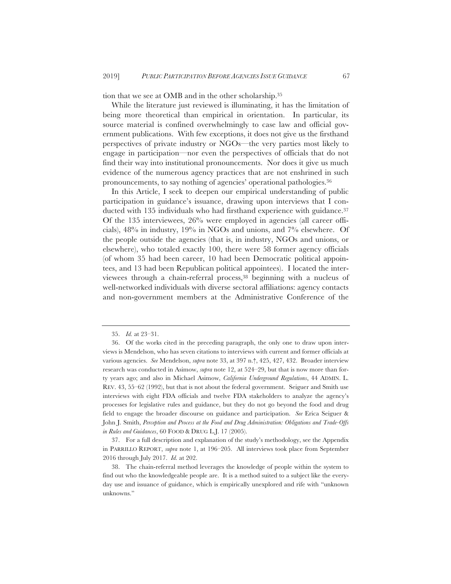tion that we see at OMB and in the other scholarship.35

While the literature just reviewed is illuminating, it has the limitation of being more theoretical than empirical in orientation. In particular, its source material is confined overwhelmingly to case law and official government publications. With few exceptions, it does not give us the firsthand perspectives of private industry or NGOs—the very parties most likely to engage in participation—nor even the perspectives of officials that do not find their way into institutional pronouncements. Nor does it give us much evidence of the numerous agency practices that are not enshrined in such pronouncements, to say nothing of agencies' operational pathologies.36

In this Article, I seek to deepen our empirical understanding of public participation in guidance's issuance, drawing upon interviews that I conducted with 135 individuals who had firsthand experience with guidance.<sup>37</sup> Of the 135 interviewees, 26% were employed in agencies (all career officials), 48% in industry, 19% in NGOs and unions, and 7% elsewhere. Of the people outside the agencies (that is, in industry, NGOs and unions, or elsewhere), who totaled exactly 100, there were 58 former agency officials (of whom 35 had been career, 10 had been Democratic political appointees, and 13 had been Republican political appointees). I located the interviewees through a chain-referral process,38 beginning with a nucleus of well-networked individuals with diverse sectoral affiliations: agency contacts and non-government members at the Administrative Conference of the

37. For a full description and explanation of the study's methodology, see the Appendix in PARRILLO REPORT, *supra* note 1, at 196–205. All interviews took place from September 2016 through July 2017. *Id.* at 202.

<sup>35.</sup> *Id.* at 23–31.

<sup>36.</sup> Of the works cited in the preceding paragraph, the only one to draw upon interviews is Mendelson, who has seven citations to interviews with current and former officials at various agencies. *See* Mendelson, *supra* note 33, at 397 n.†, 425, 427, 432. Broader interview research was conducted in Asimow, *supra* note 12, at 524–29, but that is now more than forty years ago; and also in Michael Asimow, *California Underground Regulations*, 44 ADMIN. L. REV. 43, 55–62 (1992), but that is not about the federal government. Seiguer and Smith use interviews with eight FDA officials and twelve FDA stakeholders to analyze the agency's processes for legislative rules and guidance, but they do not go beyond the food and drug field to engage the broader discourse on guidance and participation. *See* Erica Seiguer & John J. Smith, *Perception and Process at the Food and Drug Administration: Obligations and Trade-Offs in Rules and Guidances*, 60 FOOD & DRUG L.J. 17 (2005).

<sup>38.</sup> The chain-referral method leverages the knowledge of people within the system to find out who the knowledgeable people are. It is a method suited to a subject like the everyday use and issuance of guidance, which is empirically unexplored and rife with "unknown unknowns."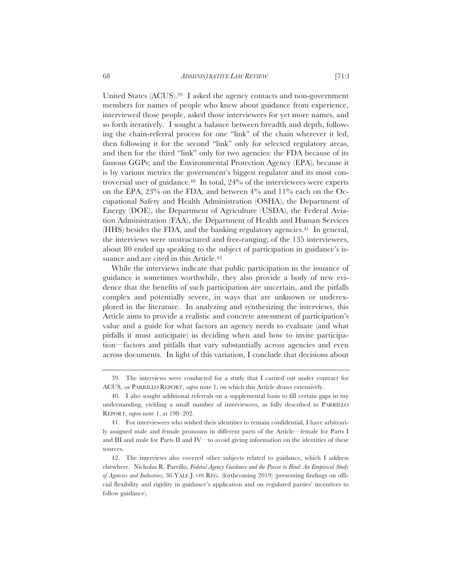United States (ACUS).39 I asked the agency contacts and non-government members for names of people who knew about guidance from experience, interviewed those people, asked those interviewees for yet more names, and so forth iteratively. I sought a balance between breadth and depth, following the chain-referral process for one "link" of the chain wherever it led, then following it for the second "link" only for selected regulatory areas, and then for the third "link" only for two agencies: the FDA because of its famous GGPs; and the Environmental Protection Agency (EPA), because it is by various metrics the government's biggest regulator and its most controversial user of guidance.40 In total, 24% of the interviewees were experts on the EPA, 23% on the FDA, and between 4% and 11% each on the Occupational Safety and Health Administration (OSHA), the Department of Energy (DOE), the Department of Agriculture (USDA), the Federal Aviation Administration (FAA), the Department of Health and Human Services (HHS) besides the FDA, and the banking regulatory agencies.41 In general, the interviews were unstructured and free-ranging; of the 135 interviewees, about 80 ended up speaking to the subject of participation in guidance's issuance and are cited in this Article.42

While the interviews indicate that public participation in the issuance of guidance is sometimes worthwhile, they also provide a body of new evidence that the benefits of such participation are uncertain, and the pitfalls complex and potentially severe, in ways that are unknown or underexplored in the literature. In analyzing and synthesizing the interviews, this Article aims to provide a realistic and concrete assessment of participation's value and a guide for what factors an agency needs to evaluate (and what pitfalls it must anticipate) in deciding when and how to invite participation—factors and pitfalls that vary substantially across agencies and even across documents. In light of this variation, I conclude that decisions about

<sup>39.</sup> The interviews were conducted for a study that I carried out under contract for ACUS, *see* PARRILLO REPORT, *supra* note 1, on which this Article draws extensively.

<sup>40.</sup> I also sought additional referrals on a supplemental basis to fill certain gaps in my understanding, yielding a small number of interviewees, as fully described in PARRILLO REPORT, *supra* note 1, at 198–202.

<sup>41.</sup> For interviewees who wished their identities to remain confidential, I have arbitrarily assigned male and female pronouns in different parts of the Article—female for Parts I and III and male for Parts II and IV—to avoid giving information on the identities of these sources.

<sup>42.</sup> The interviews also covered other subjects related to guidance, which I address elsewhere. Nicholas R. Parrillo, *Federal Agency Guidance and the Power to Bind: An Empirical Study of Agencies and Industries*, 36 YALE J. ON REG. (forthcoming 2019) (presenting findings on official flexibility and rigidity in guidance's application and on regulated parties' incentives to follow guidance).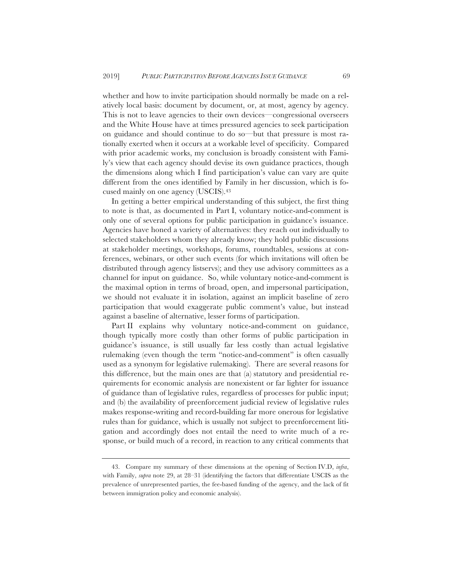whether and how to invite participation should normally be made on a relatively local basis: document by document, or, at most, agency by agency. This is not to leave agencies to their own devices—congressional overseers and the White House have at times pressured agencies to seek participation on guidance and should continue to do so—but that pressure is most rationally exerted when it occurs at a workable level of specificity. Compared with prior academic works, my conclusion is broadly consistent with Family's view that each agency should devise its own guidance practices, though the dimensions along which I find participation's value can vary are quite different from the ones identified by Family in her discussion, which is focused mainly on one agency (USCIS).43

In getting a better empirical understanding of this subject, the first thing to note is that, as documented in Part I, voluntary notice-and-comment is only one of several options for public participation in guidance's issuance. Agencies have honed a variety of alternatives: they reach out individually to selected stakeholders whom they already know; they hold public discussions at stakeholder meetings, workshops, forums, roundtables, sessions at conferences, webinars, or other such events (for which invitations will often be distributed through agency listservs); and they use advisory committees as a channel for input on guidance. So, while voluntary notice-and-comment is the maximal option in terms of broad, open, and impersonal participation, we should not evaluate it in isolation, against an implicit baseline of zero participation that would exaggerate public comment's value, but instead against a baseline of alternative, lesser forms of participation.

Part II explains why voluntary notice-and-comment on guidance, though typically more costly than other forms of public participation in guidance's issuance, is still usually far less costly than actual legislative rulemaking (even though the term "notice-and-comment" is often casually used as a synonym for legislative rulemaking). There are several reasons for this difference, but the main ones are that (a) statutory and presidential requirements for economic analysis are nonexistent or far lighter for issuance of guidance than of legislative rules, regardless of processes for public input; and (b) the availability of preenforcement judicial review of legislative rules makes response-writing and record-building far more onerous for legislative rules than for guidance, which is usually not subject to preenforcement litigation and accordingly does not entail the need to write much of a response, or build much of a record, in reaction to any critical comments that

<sup>43.</sup> Compare my summary of these dimensions at the opening of Section IV.D, *infra*, with Family, *supra* note 29, at 28–31 (identifying the factors that differentiate USCIS as the prevalence of unrepresented parties, the fee-based funding of the agency, and the lack of fit between immigration policy and economic analysis).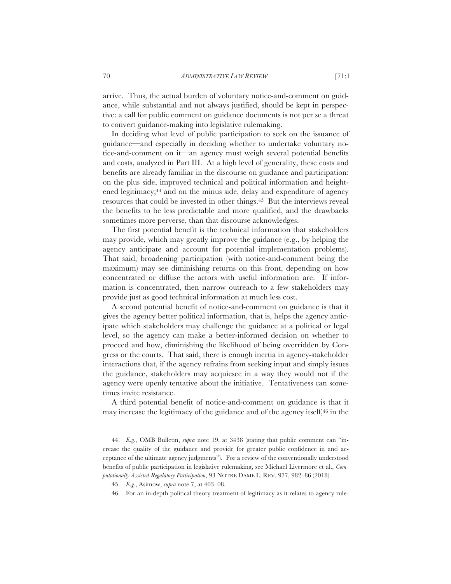arrive. Thus, the actual burden of voluntary notice-and-comment on guidance, while substantial and not always justified, should be kept in perspective: a call for public comment on guidance documents is not per se a threat to convert guidance-making into legislative rulemaking.

In deciding what level of public participation to seek on the issuance of guidance—and especially in deciding whether to undertake voluntary notice-and-comment on it—an agency must weigh several potential benefits and costs, analyzed in Part III. At a high level of generality, these costs and benefits are already familiar in the discourse on guidance and participation: on the plus side, improved technical and political information and heightened legitimacy;44 and on the minus side, delay and expenditure of agency resources that could be invested in other things.45 But the interviews reveal the benefits to be less predictable and more qualified, and the drawbacks sometimes more perverse, than that discourse acknowledges.

The first potential benefit is the technical information that stakeholders may provide, which may greatly improve the guidance (e.g., by helping the agency anticipate and account for potential implementation problems). That said, broadening participation (with notice-and-comment being the maximum) may see diminishing returns on this front, depending on how concentrated or diffuse the actors with useful information are. If information is concentrated, then narrow outreach to a few stakeholders may provide just as good technical information at much less cost.

A second potential benefit of notice-and-comment on guidance is that it gives the agency better political information, that is, helps the agency anticipate which stakeholders may challenge the guidance at a political or legal level, so the agency can make a better-informed decision on whether to proceed and how, diminishing the likelihood of being overridden by Congress or the courts. That said, there is enough inertia in agency-stakeholder interactions that, if the agency refrains from seeking input and simply issues the guidance, stakeholders may acquiesce in a way they would not if the agency were openly tentative about the initiative. Tentativeness can sometimes invite resistance.

A third potential benefit of notice-and-comment on guidance is that it may increase the legitimacy of the guidance and of the agency itself,<sup>46</sup> in the

<sup>44.</sup> *E.g.*, OMB Bulletin, *supra* note 19, at 3438 (stating that public comment can "increase the quality of the guidance and provide for greater public confidence in and acceptance of the ultimate agency judgments"). For a review of the conventionally understood benefits of public participation in legislative rulemaking, see Michael Livermore et al., *Computationally Assisted Regulatory Participation*, 93 NOTRE DAME L. REV. 977, 982–86 (2018).

<sup>45.</sup> *E.g.*, Asimow, *supra* note 7, at 403–08.

<sup>46.</sup> For an in-depth political theory treatment of legitimacy as it relates to agency rule-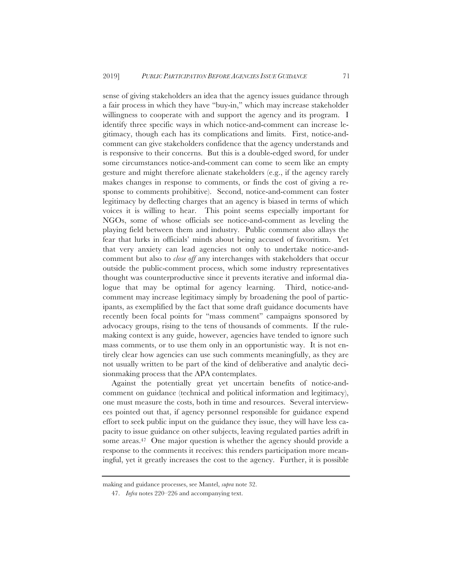sense of giving stakeholders an idea that the agency issues guidance through a fair process in which they have "buy-in," which may increase stakeholder willingness to cooperate with and support the agency and its program. I identify three specific ways in which notice-and-comment can increase legitimacy, though each has its complications and limits. First, notice-andcomment can give stakeholders confidence that the agency understands and is responsive to their concerns. But this is a double-edged sword, for under some circumstances notice-and-comment can come to seem like an empty gesture and might therefore alienate stakeholders (e.g., if the agency rarely makes changes in response to comments, or finds the cost of giving a response to comments prohibitive). Second, notice-and-comment can foster legitimacy by deflecting charges that an agency is biased in terms of which voices it is willing to hear. This point seems especially important for NGOs, some of whose officials see notice-and-comment as leveling the playing field between them and industry. Public comment also allays the fear that lurks in officials' minds about being accused of favoritism. Yet that very anxiety can lead agencies not only to undertake notice-andcomment but also to *close off* any interchanges with stakeholders that occur outside the public-comment process, which some industry representatives thought was counterproductive since it prevents iterative and informal dialogue that may be optimal for agency learning. Third, notice-andcomment may increase legitimacy simply by broadening the pool of participants, as exemplified by the fact that some draft guidance documents have recently been focal points for "mass comment" campaigns sponsored by advocacy groups, rising to the tens of thousands of comments. If the rulemaking context is any guide, however, agencies have tended to ignore such mass comments, or to use them only in an opportunistic way. It is not entirely clear how agencies can use such comments meaningfully, as they are not usually written to be part of the kind of deliberative and analytic decisionmaking process that the APA contemplates.

Against the potentially great yet uncertain benefits of notice-andcomment on guidance (technical and political information and legitimacy), one must measure the costs, both in time and resources. Several interviewees pointed out that, if agency personnel responsible for guidance expend effort to seek public input on the guidance they issue, they will have less capacity to issue guidance on other subjects, leaving regulated parties adrift in some areas.47 One major question is whether the agency should provide a response to the comments it receives: this renders participation more meaningful, yet it greatly increases the cost to the agency. Further, it is possible

making and guidance processes, see Mantel, *supra* note 32.

<sup>47.</sup> *Infra* notes 220–226 and accompanying text.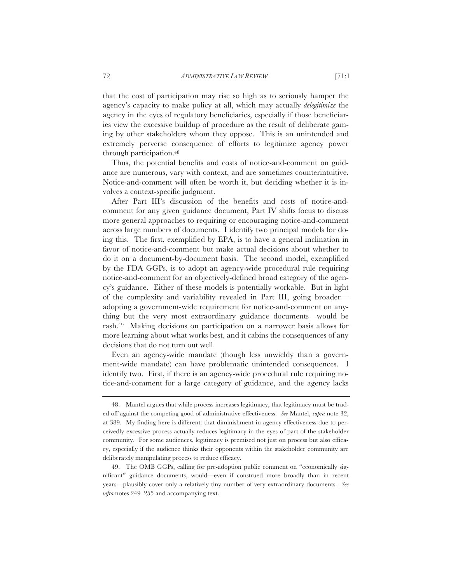that the cost of participation may rise so high as to seriously hamper the agency's capacity to make policy at all, which may actually *delegitimize* the agency in the eyes of regulatory beneficiaries, especially if those beneficiaries view the excessive buildup of procedure as the result of deliberate gaming by other stakeholders whom they oppose. This is an unintended and extremely perverse consequence of efforts to legitimize agency power through participation.48

Thus, the potential benefits and costs of notice-and-comment on guidance are numerous, vary with context, and are sometimes counterintuitive. Notice-and-comment will often be worth it, but deciding whether it is involves a context-specific judgment.

After Part III's discussion of the benefits and costs of notice-andcomment for any given guidance document, Part IV shifts focus to discuss more general approaches to requiring or encouraging notice-and-comment across large numbers of documents. I identify two principal models for doing this. The first, exemplified by EPA, is to have a general inclination in favor of notice-and-comment but make actual decisions about whether to do it on a document-by-document basis. The second model, exemplified by the FDA GGPs, is to adopt an agency-wide procedural rule requiring notice-and-comment for an objectively-defined broad category of the agency's guidance. Either of these models is potentially workable. But in light of the complexity and variability revealed in Part III, going broader adopting a government-wide requirement for notice-and-comment on anything but the very most extraordinary guidance documents—would be rash.49 Making decisions on participation on a narrower basis allows for more learning about what works best, and it cabins the consequences of any decisions that do not turn out well.

Even an agency-wide mandate (though less unwieldy than a government-wide mandate) can have problematic unintended consequences. I identify two. First, if there is an agency-wide procedural rule requiring notice-and-comment for a large category of guidance, and the agency lacks

<sup>48.</sup> Mantel argues that while process increases legitimacy, that legitimacy must be traded off against the competing good of administrative effectiveness. *See* Mantel, *supra* note 32, at 389. My finding here is different: that diminishment in agency effectiveness due to perceivedly excessive process actually reduces legitimacy in the eyes of part of the stakeholder community. For some audiences, legitimacy is premised not just on process but also efficacy, especially if the audience thinks their opponents within the stakeholder community are deliberately manipulating process to reduce efficacy.

<sup>49.</sup> The OMB GGPs, calling for pre-adoption public comment on "economically significant" guidance documents, would—even if construed more broadly than in recent years—plausibly cover only a relatively tiny number of very extraordinary documents. *See infra* notes 249–255 and accompanying text.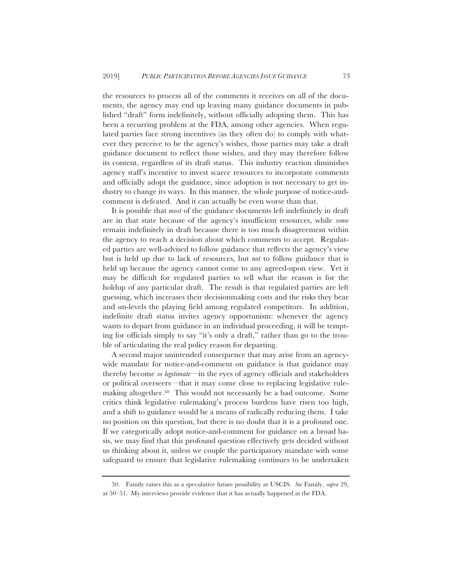the resources to process all of the comments it receives on all of the documents, the agency may end up leaving many guidance documents in published "draft" form indefinitely, without officially adopting them. This has been a recurring problem at the FDA, among other agencies. When regulated parties face strong incentives (as they often do) to comply with whatever they perceive to be the agency's wishes, those parties may take a draft guidance document to reflect those wishes, and they may therefore follow its content, regardless of its draft status. This industry reaction diminishes agency staff's incentive to invest scarce resources to incorporate comments and officially adopt the guidance, since adoption is not necessary to get industry to change its ways. In this manner, the whole purpose of notice-andcomment is defeated. And it can actually be even worse than that.

It is possible that *most* of the guidance documents left indefinitely in draft are in that state because of the agency's insufficient resources, while *some* remain indefinitely in draft because there is too much disagreement within the agency to reach a decision about which comments to accept. Regulated parties are well-advised to follow guidance that reflects the agency's view but is held up due to lack of resources, but *not* to follow guidance that is held up because the agency cannot come to any agreed-upon view. Yet it may be difficult for regulated parties to tell what the reason is for the holdup of any particular draft. The result is that regulated parties are left guessing, which increases their decisionmaking costs and the risks they bear and un-levels the playing field among regulated competitors. In addition, indefinite draft status invites agency opportunism: whenever the agency wants to depart from guidance in an individual proceeding, it will be tempting for officials simply to say "it's only a draft," rather than go to the trouble of articulating the real policy reason for departing.

A second major unintended consequence that may arise from an agencywide mandate for notice-and-comment on guidance is that guidance may thereby become *so legitimate*—in the eyes of agency officials and stakeholders or political overseers—that it may come close to replacing legislative rulemaking altogether.50 This would not necessarily be a bad outcome. Some critics think legislative rulemaking's process burdens have risen too high, and a shift to guidance would be a means of radically reducing them. I take no position on this question, but there is no doubt that it is a profound one. If we categorically adopt notice-and-comment for guidance on a broad basis, we may find that this profound question effectively gets decided without us thinking about it, unless we couple the participatory mandate with some safeguard to ensure that legislative rulemaking continues to be undertaken

<sup>50.</sup> Family raises this as a speculative future possibility at USCIS. *See* Family, *supra* 29, at 50–51. My interviews provide evidence that it has actually happened at the FDA.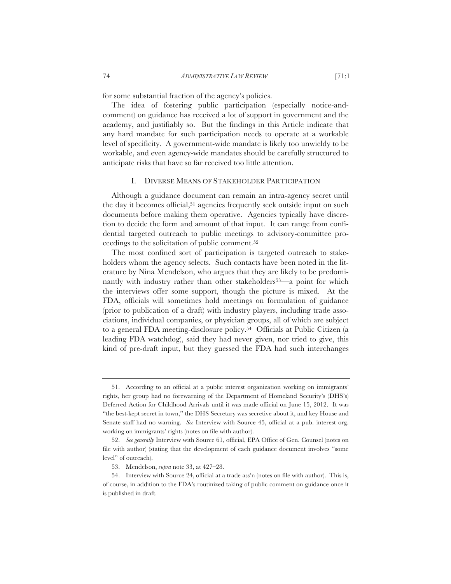for some substantial fraction of the agency's policies.

The idea of fostering public participation (especially notice-andcomment) on guidance has received a lot of support in government and the academy, and justifiably so. But the findings in this Article indicate that any hard mandate for such participation needs to operate at a workable level of specificity. A government-wide mandate is likely too unwieldy to be workable, and even agency-wide mandates should be carefully structured to anticipate risks that have so far received too little attention.

#### I. DIVERSE MEANS OF STAKEHOLDER PARTICIPATION

Although a guidance document can remain an intra-agency secret until the day it becomes official,51 agencies frequently seek outside input on such documents before making them operative. Agencies typically have discretion to decide the form and amount of that input. It can range from confidential targeted outreach to public meetings to advisory-committee proceedings to the solicitation of public comment.52

The most confined sort of participation is targeted outreach to stakeholders whom the agency selects. Such contacts have been noted in the literature by Nina Mendelson, who argues that they are likely to be predominantly with industry rather than other stakeholders<sup>53—</sup>a point for which the interviews offer some support, though the picture is mixed. At the FDA, officials will sometimes hold meetings on formulation of guidance (prior to publication of a draft) with industry players, including trade associations, individual companies, or physician groups, all of which are subject to a general FDA meeting-disclosure policy.54 Officials at Public Citizen (a leading FDA watchdog), said they had never given, nor tried to give, this kind of pre-draft input, but they guessed the FDA had such interchanges

<sup>51.</sup> According to an official at a public interest organization working on immigrants' rights, her group had no forewarning of the Department of Homeland Security's (DHS's) Deferred Action for Childhood Arrivals until it was made official on June 15, 2012. It was "the best-kept secret in town," the DHS Secretary was secretive about it, and key House and Senate staff had no warning. *See* Interview with Source 45, official at a pub. interest org. working on immigrants' rights (notes on file with author).

<sup>52.</sup> *See generally* Interview with Source 61, official, EPA Office of Gen. Counsel (notes on file with author) (stating that the development of each guidance document involves "some level" of outreach).

<sup>53.</sup> Mendelson, *supra* note 33, at 427–28.

<sup>54.</sup> Interview with Source 24, official at a trade ass'n (notes on file with author). This is, of course, in addition to the FDA's routinized taking of public comment on guidance once it is published in draft.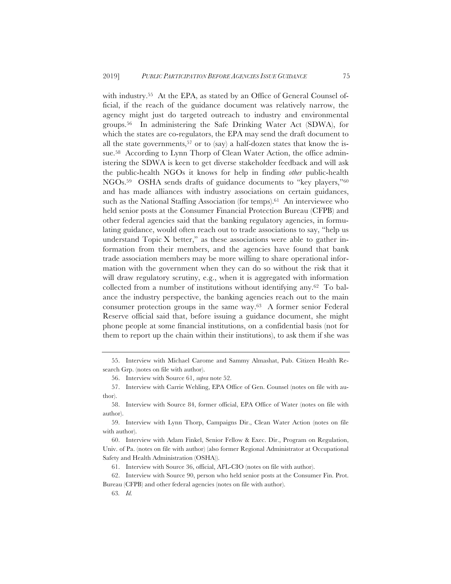with industry.<sup>55</sup> At the EPA, as stated by an Office of General Counsel official, if the reach of the guidance document was relatively narrow, the agency might just do targeted outreach to industry and environmental groups.56 In administering the Safe Drinking Water Act (SDWA), for which the states are co-regulators, the EPA may send the draft document to all the state governments,<sup>57</sup> or to (say) a half-dozen states that know the issue.58 According to Lynn Thorp of Clean Water Action, the office administering the SDWA is keen to get diverse stakeholder feedback and will ask the public-health NGOs it knows for help in finding *other* public-health NGOs.59 OSHA sends drafts of guidance documents to "key players,"60 and has made alliances with industry associations on certain guidances, such as the National Staffing Association (for temps).<sup>61</sup> An interviewee who held senior posts at the Consumer Financial Protection Bureau (CFPB) and other federal agencies said that the banking regulatory agencies, in formulating guidance, would often reach out to trade associations to say, "help us understand Topic  $X$  better," as these associations were able to gather information from their members, and the agencies have found that bank trade association members may be more willing to share operational information with the government when they can do so without the risk that it will draw regulatory scrutiny, e.g., when it is aggregated with information collected from a number of institutions without identifying any.62 To balance the industry perspective, the banking agencies reach out to the main consumer protection groups in the same way.63 A former senior Federal Reserve official said that, before issuing a guidance document, she might phone people at some financial institutions, on a confidential basis (not for them to report up the chain within their institutions), to ask them if she was

61. Interview with Source 36, official, AFL-CIO (notes on file with author).

<sup>55.</sup> Interview with Michael Carome and Sammy Almashat, Pub. Citizen Health Research Grp. (notes on file with author).

<sup>56.</sup> Interview with Source 61, *supra* note 52.

<sup>57.</sup> Interview with Carrie Wehling, EPA Office of Gen. Counsel (notes on file with author).

<sup>58.</sup> Interview with Source 84, former official, EPA Office of Water (notes on file with author).

<sup>59.</sup> Interview with Lynn Thorp, Campaigns Dir., Clean Water Action (notes on file with author).

<sup>60.</sup> Interview with Adam Finkel, Senior Fellow & Exec. Dir., Program on Regulation, Univ. of Pa. (notes on file with author) (also former Regional Administrator at Occupational Safety and Health Administration (OSHA)).

<sup>62.</sup> Interview with Source 90, person who held senior posts at the Consumer Fin. Prot. Bureau (CFPB) and other federal agencies (notes on file with author).

<sup>63</sup>*. Id.*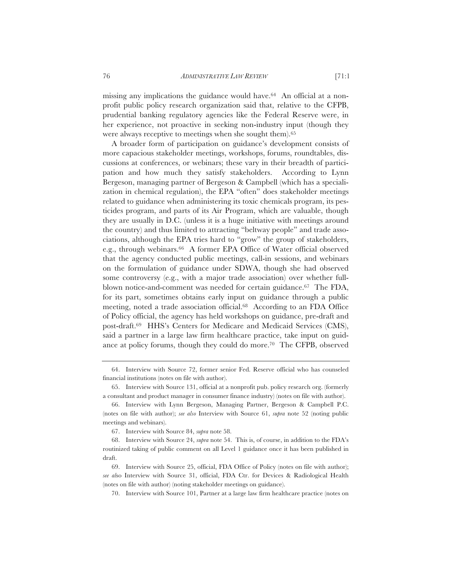missing any implications the guidance would have.64 An official at a nonprofit public policy research organization said that, relative to the CFPB, prudential banking regulatory agencies like the Federal Reserve were, in her experience, not proactive in seeking non-industry input (though they were always receptive to meetings when she sought them).65

A broader form of participation on guidance's development consists of more capacious stakeholder meetings, workshops, forums, roundtables, discussions at conferences, or webinars; these vary in their breadth of participation and how much they satisfy stakeholders. According to Lynn Bergeson, managing partner of Bergeson & Campbell (which has a specialization in chemical regulation), the EPA "often" does stakeholder meetings related to guidance when administering its toxic chemicals program, its pesticides program, and parts of its Air Program, which are valuable, though they are usually in D.C. (unless it is a huge initiative with meetings around the country) and thus limited to attracting "beltway people" and trade associations, although the EPA tries hard to "grow" the group of stakeholders, e.g., through webinars.<sup>66</sup> A former EPA Office of Water official observed that the agency conducted public meetings, call-in sessions, and webinars on the formulation of guidance under SDWA, though she had observed some controversy (e.g., with a major trade association) over whether fullblown notice-and-comment was needed for certain guidance.67 The FDA, for its part, sometimes obtains early input on guidance through a public meeting, noted a trade association official.68 According to an FDA Office of Policy official, the agency has held workshops on guidance, pre-draft and post-draft.69 HHS's Centers for Medicare and Medicaid Services (CMS), said a partner in a large law firm healthcare practice, take input on guidance at policy forums, though they could do more.70 The CFPB, observed

<sup>64.</sup> Interview with Source 72, former senior Fed. Reserve official who has counseled financial institutions (notes on file with author).

<sup>65.</sup> Interview with Source 131, official at a nonprofit pub. policy research org. (formerly a consultant and product manager in consumer finance industry) (notes on file with author).

<sup>66.</sup> Interview with Lynn Bergeson, Managing Partner, Bergeson & Campbell P.C. (notes on file with author); *see also* Interview with Source 61, *supra* note 52 (noting public meetings and webinars).

<sup>67.</sup> Interview with Source 84, *supra* note 58.

<sup>68.</sup> Interview with Source 24, *supra* note 54. This is, of course, in addition to the FDA's routinized taking of public comment on all Level 1 guidance once it has been published in draft.

<sup>69.</sup> Interview with Source 25, official, FDA Office of Policy (notes on file with author); *see al*so Interview with Source 31, official, FDA Ctr. for Devices & Radiological Health (notes on file with author) (noting stakeholder meetings on guidance).

<sup>70.</sup> Interview with Source 101, Partner at a large law firm healthcare practice (notes on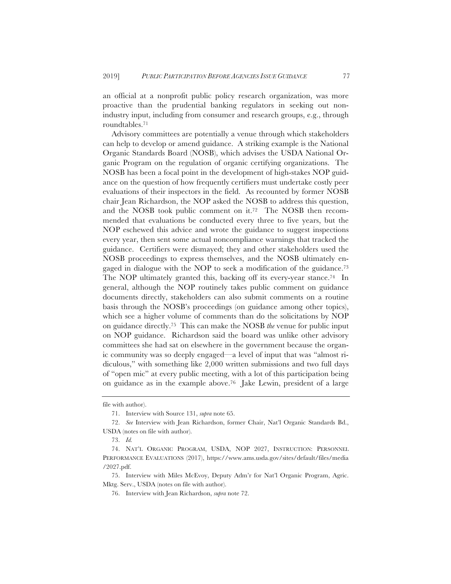an official at a nonprofit public policy research organization, was more proactive than the prudential banking regulators in seeking out nonindustry input, including from consumer and research groups, e.g., through roundtables.71

Advisory committees are potentially a venue through which stakeholders can help to develop or amend guidance. A striking example is the National Organic Standards Board (NOSB), which advises the USDA National Organic Program on the regulation of organic certifying organizations. The NOSB has been a focal point in the development of high-stakes NOP guidance on the question of how frequently certifiers must undertake costly peer evaluations of their inspectors in the field. As recounted by former NOSB chair Jean Richardson, the NOP asked the NOSB to address this question, and the NOSB took public comment on it.72 The NOSB then recommended that evaluations be conducted every three to five years, but the NOP eschewed this advice and wrote the guidance to suggest inspections every year, then sent some actual noncompliance warnings that tracked the guidance. Certifiers were dismayed; they and other stakeholders used the NOSB proceedings to express themselves, and the NOSB ultimately engaged in dialogue with the NOP to seek a modification of the guidance.73 The NOP ultimately granted this, backing off its every-year stance.<sup>74</sup> In general, although the NOP routinely takes public comment on guidance documents directly, stakeholders can also submit comments on a routine basis through the NOSB's proceedings (on guidance among other topics), which see a higher volume of comments than do the solicitations by NOP on guidance directly.75 This can make the NOSB *the* venue for public input on NOP guidance. Richardson said the board was unlike other advisory committees she had sat on elsewhere in the government because the organic community was so deeply engaged—a level of input that was "almost ridiculous," with something like 2,000 written submissions and two full days of "open mic" at every public meeting, with a lot of this participation being on guidance as in the example above.76 Jake Lewin, president of a large

file with author).

<sup>71.</sup> Interview with Source 131, *supra* note 65.

<sup>72.</sup> *See* Interview with Jean Richardson, former Chair, Nat'l Organic Standards Bd., USDA (notes on file with author).

<sup>73.</sup> *Id.*

<sup>74.</sup> NAT'L ORGANIC PROGRAM, USDA, NOP 2027, INSTRUCTION: PERSONNEL PERFORMANCE EVALUATIONS (2017), https://www.ams.usda.gov/sites/default/files/media /2027.pdf.

<sup>75.</sup> Interview with Miles McEvoy, Deputy Adm'r for Nat'l Organic Program, Agric. Mktg. Serv., USDA (notes on file with author).

<sup>76.</sup> Interview with Jean Richardson, *supra* note 72.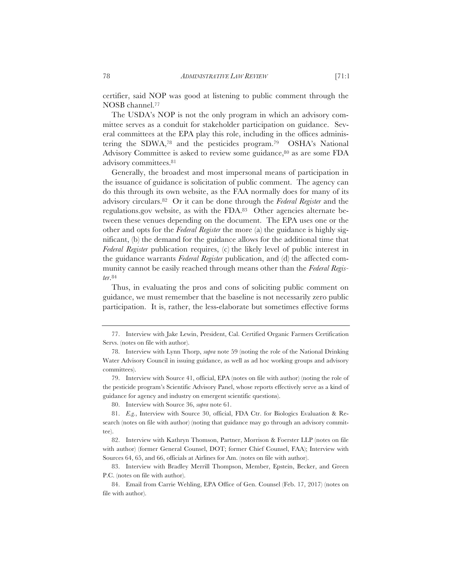certifier, said NOP was good at listening to public comment through the NOSB channel.77

The USDA's NOP is not the only program in which an advisory committee serves as a conduit for stakeholder participation on guidance. Several committees at the EPA play this role, including in the offices administering the SDWA,78 and the pesticides program.79 OSHA's National Advisory Committee is asked to review some guidance, 80 as are some FDA advisory committees.81

Generally, the broadest and most impersonal means of participation in the issuance of guidance is solicitation of public comment. The agency can do this through its own website, as the FAA normally does for many of its advisory circulars.82 Or it can be done through the *Federal Register* and the regulations.gov website, as with the FDA.83 Other agencies alternate between these venues depending on the document. The EPA uses one or the other and opts for the *Federal Register* the more (a) the guidance is highly significant, (b) the demand for the guidance allows for the additional time that *Federal Register* publication requires, (c) the likely level of public interest in the guidance warrants *Federal Register* publication, and (d) the affected community cannot be easily reached through means other than the *Federal Register*.84

Thus, in evaluating the pros and cons of soliciting public comment on guidance, we must remember that the baseline is not necessarily zero public participation. It is, rather, the less-elaborate but sometimes effective forms

80. Interview with Source 36, *supra* note 61.

<sup>77.</sup> Interview with Jake Lewin, President, Cal. Certified Organic Farmers Certification Servs. (notes on file with author).

<sup>78.</sup> Interview with Lynn Thorp, *supra* note 59 (noting the role of the National Drinking Water Advisory Council in issuing guidance, as well as ad hoc working groups and advisory committees).

<sup>79.</sup> Interview with Source 41, official, EPA (notes on file with author) (noting the role of the pesticide program's Scientific Advisory Panel, whose reports effectively serve as a kind of guidance for agency and industry on emergent scientific questions).

<sup>81.</sup> *E.g.*, Interview with Source 30, official, FDA Ctr. for Biologics Evaluation & Research (notes on file with author) (noting that guidance may go through an advisory committee).

<sup>82.</sup> Interview with Kathryn Thomson, Partner, Morrison & Foerster LLP (notes on file with author) (former General Counsel, DOT; former Chief Counsel, FAA); Interview with Sources 64, 65, and 66, officials at Airlines for Am. (notes on file with author).

<sup>83.</sup> Interview with Bradley Merrill Thompson, Member, Epstein, Becker, and Green P.C. (notes on file with author).

<sup>84.</sup> Email from Carrie Wehling, EPA Office of Gen. Counsel (Feb. 17, 2017) (notes on file with author).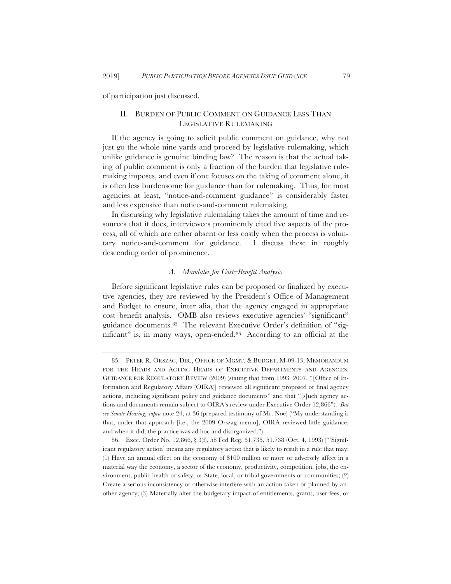of participation just discussed.

## II. BURDEN OF PUBLIC COMMENT ON GUIDANCE LESS THAN LEGISLATIVE RULEMAKING

If the agency is going to solicit public comment on guidance, why not just go the whole nine yards and proceed by legislative rulemaking, which unlike guidance is genuine binding law? The reason is that the actual taking of public comment is only a fraction of the burden that legislative rulemaking imposes, and even if one focuses on the taking of comment alone, it is often less burdensome for guidance than for rulemaking. Thus, for most agencies at least, "notice-and-comment guidance" is considerably faster and less expensive than notice-and-comment rulemaking.

In discussing why legislative rulemaking takes the amount of time and resources that it does, interviewees prominently cited five aspects of the process, all of which are either absent or less costly when the process is voluntary notice-and-comment for guidance. I discuss these in roughly descending order of prominence.

## *A. Mandates for Cost–Benefit Analysis*

Before significant legislative rules can be proposed or finalized by executive agencies, they are reviewed by the President's Office of Management and Budget to ensure, inter alia, that the agency engaged in appropriate cost–benefit analysis. OMB also reviews executive agencies' "significant" guidance documents.85 The relevant Executive Order's definition of "significant" is, in many ways, open-ended.86 According to an official at the

<sup>85.</sup> PETER R. ORSZAG, DIR., OFFICE OF MGMT. & BUDGET, M-09-13, MEMORANDUM FOR THE HEADS AND ACTING HEADS OF EXECUTIVE DEPARTMENTS AND AGENCIES: GUIDANCE FOR REGULATORY REVIEW (2009) (stating that from 1993–2007, "[Office of Information and Regulatory Affairs (OIRA)] reviewed all significant proposed or final agency actions, including significant policy and guidance documents" and that "[s]uch agency actions and documents remain subject to OIRA's review under Executive Order 12,866"). *But see Senate Hearing*, *supra* note 24, at 36 (prepared testimony of Mr. Noe) ("My understanding is that, under that approach [i.e., the 2009 Orszag memo], OIRA reviewed little guidance, and when it did, the practice was ad hoc and disorganized.").

<sup>86.</sup> Exec. Order No. 12,866, § 3(f), 58 Fed Reg. 51,735, 51,738 (Oct. 4, 1993) ("'Significant regulatory action' means any regulatory action that is likely to result in a rule that may: (1) Have an annual effect on the economy of \$100 million or more or adversely affect in a material way the economy, a sector of the economy, productivity, competition, jobs, the environment, public health or safety, or State, local, or tribal governments or communities; (2) Create a serious inconsistency or otherwise interfere with an action taken or planned by another agency; (3) Materially alter the budgetary impact of entitlements, grants, user fees, or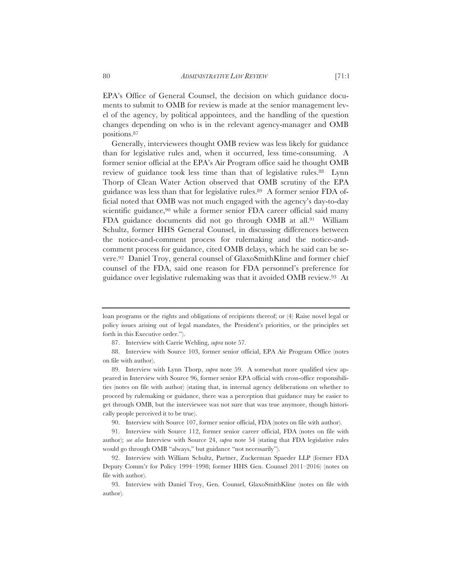EPA's Office of General Counsel, the decision on which guidance documents to submit to OMB for review is made at the senior management level of the agency, by political appointees, and the handling of the question changes depending on who is in the relevant agency-manager and OMB positions.87

Generally, interviewees thought OMB review was less likely for guidance than for legislative rules and, when it occurred, less time-consuming. A former senior official at the EPA's Air Program office said he thought OMB review of guidance took less time than that of legislative rules.88 Lynn Thorp of Clean Water Action observed that OMB scrutiny of the EPA guidance was less than that for legislative rules.89 A former senior FDA official noted that OMB was not much engaged with the agency's day-to-day scientific guidance,<sup>90</sup> while a former senior FDA career official said many FDA guidance documents did not go through OMB at all.91 William Schultz, former HHS General Counsel, in discussing differences between the notice-and-comment process for rulemaking and the notice-andcomment process for guidance, cited OMB delays, which he said can be severe.92 Daniel Troy, general counsel of GlaxoSmithKline and former chief counsel of the FDA, said one reason for FDA personnel's preference for guidance over legislative rulemaking was that it avoided OMB review.93 At

90. Interview with Source 107, former senior official, FDA (notes on file with author).

91. Interview with Source 112, former senior career official, FDA (notes on file with author); *see also* Interview with Source 24, *supra* note 54 (stating that FDA legislative rules would go through OMB "always," but guidance "not necessarily").

loan programs or the rights and obligations of recipients thereof; or (4) Raise novel legal or policy issues arising out of legal mandates, the President's priorities, or the principles set forth in this Executive order.").

<sup>87.</sup> Interview with Carrie Wehling, *supra* note 57.

<sup>88.</sup> Interview with Source 103, former senior official, EPA Air Program Office (notes on file with author).

<sup>89.</sup> Interview with Lynn Thorp, *supra* note 59. A somewhat more qualified view appeared in Interview with Source 96, former senior EPA official with cross-office responsibilities (notes on file with author) (stating that, in internal agency deliberations on whether to proceed by rulemaking or guidance, there was a perception that guidance may be easier to get through OMB, but the interviewee was not sure that was true anymore, though historically people perceived it to be true).

<sup>92.</sup> Interview with William Schultz, Partner, Zuckerman Spaeder LLP (former FDA Deputy Comm'r for Policy 1994–1998; former HHS Gen. Counsel 2011–2016) (notes on file with author).

<sup>93.</sup> Interview with Daniel Troy, Gen. Counsel, GlaxoSmithKline (notes on file with author).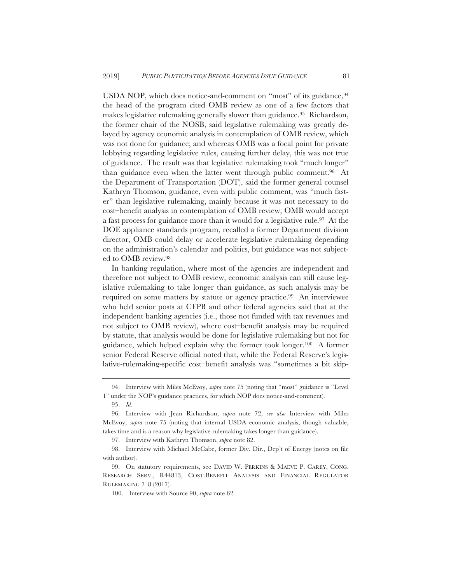USDA NOP, which does notice-and-comment on "most" of its guidance, 94 the head of the program cited OMB review as one of a few factors that makes legislative rulemaking generally slower than guidance.95 Richardson, the former chair of the NOSB, said legislative rulemaking was greatly delayed by agency economic analysis in contemplation of OMB review, which was not done for guidance; and whereas OMB was a focal point for private lobbying regarding legislative rules, causing further delay, this was not true of guidance. The result was that legislative rulemaking took "much longer" than guidance even when the latter went through public comment.96 At the Department of Transportation (DOT), said the former general counsel Kathryn Thomson, guidance, even with public comment, was "much faster" than legislative rulemaking, mainly because it was not necessary to do cost–benefit analysis in contemplation of OMB review; OMB would accept a fast process for guidance more than it would for a legislative rule.97 At the DOE appliance standards program, recalled a former Department division director, OMB could delay or accelerate legislative rulemaking depending on the administration's calendar and politics, but guidance was not subjected to OMB review.98

In banking regulation, where most of the agencies are independent and therefore not subject to OMB review, economic analysis can still cause legislative rulemaking to take longer than guidance, as such analysis may be required on some matters by statute or agency practice.99 An interviewee who held senior posts at CFPB and other federal agencies said that at the independent banking agencies (i.e., those not funded with tax revenues and not subject to OMB review), where cost–benefit analysis may be required by statute, that analysis would be done for legislative rulemaking but not for guidance, which helped explain why the former took longer.100 A former senior Federal Reserve official noted that, while the Federal Reserve's legislative-rulemaking-specific cost–benefit analysis was "sometimes a bit skip-

<sup>94.</sup> Interview with Miles McEvoy, *supra* note 75 (noting that "most" guidance is "Level 1" under the NOP's guidance practices, for which NOP does notice-and-comment).

<sup>95.</sup> *Id.*

<sup>96.</sup> Interview with Jean Richardson, *supra* note 72; *see also* Interview with Miles McEvoy, *supra* note 75 (noting that internal USDA economic analysis, though valuable, takes time and is a reason why legislative rulemaking takes longer than guidance).

<sup>97.</sup> Interview with Kathryn Thomson, *supra* note 82.

<sup>98.</sup> Interview with Michael McCabe, former Div. Dir., Dep't of Energy (notes on file with author).

<sup>99.</sup> On statutory requirements, see DAVID W. PERKINS & MAEVE P. CAREY, CONG. RESEARCH SERV., R44813, COST-BENEFIT ANALYSIS AND FINANCIAL REGULATOR RULEMAKING 7–8 (2017).

<sup>100.</sup> Interview with Source 90, *supra* note 62.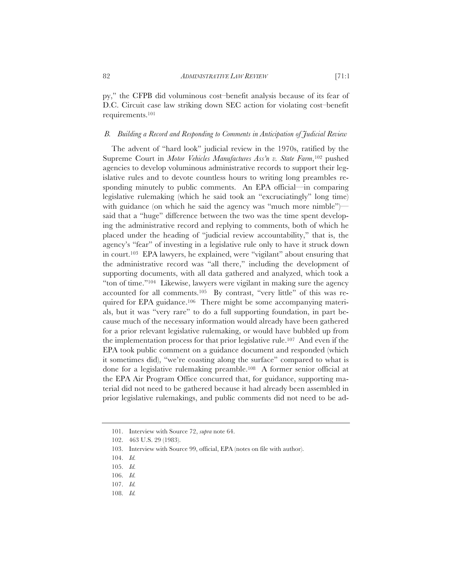py," the CFPB did voluminous cost–benefit analysis because of its fear of D.C. Circuit case law striking down SEC action for violating cost–benefit requirements.101

#### *B. Building a Record and Responding to Comments in Anticipation of Judicial Review*

The advent of "hard look" judicial review in the 1970s, ratified by the Supreme Court in *Motor Vehicles Manufactures Ass'n v. State Farm*,102 pushed agencies to develop voluminous administrative records to support their legislative rules and to devote countless hours to writing long preambles responding minutely to public comments. An EPA official—in comparing legislative rulemaking (which he said took an "excruciatingly" long time) with guidance (on which he said the agency was "much more nimble") said that a "huge" difference between the two was the time spent developing the administrative record and replying to comments, both of which he placed under the heading of "judicial review accountability," that is, the agency's "fear" of investing in a legislative rule only to have it struck down in court.103 EPA lawyers, he explained, were "vigilant" about ensuring that the administrative record was "all there," including the development of supporting documents, with all data gathered and analyzed, which took a "ton of time."104 Likewise, lawyers were vigilant in making sure the agency accounted for all comments.105 By contrast, "very little" of this was required for EPA guidance.106 There might be some accompanying materials, but it was "very rare" to do a full supporting foundation, in part because much of the necessary information would already have been gathered for a prior relevant legislative rulemaking, or would have bubbled up from the implementation process for that prior legislative rule.107 And even if the EPA took public comment on a guidance document and responded (which it sometimes did), "we're coasting along the surface" compared to what is done for a legislative rulemaking preamble.108 A former senior official at the EPA Air Program Office concurred that, for guidance, supporting material did not need to be gathered because it had already been assembled in prior legislative rulemakings, and public comments did not need to be ad-

108. *Id.*

<sup>101.</sup> Interview with Source 72, *supra* note 64.

<sup>102. 463</sup> U.S. 29 (1983).

<sup>103.</sup> Interview with Source 99, official, EPA (notes on file with author).

<sup>104.</sup> *Id.*

<sup>105.</sup> *Id.*

<sup>106.</sup> *Id.*

<sup>107.</sup> *Id.*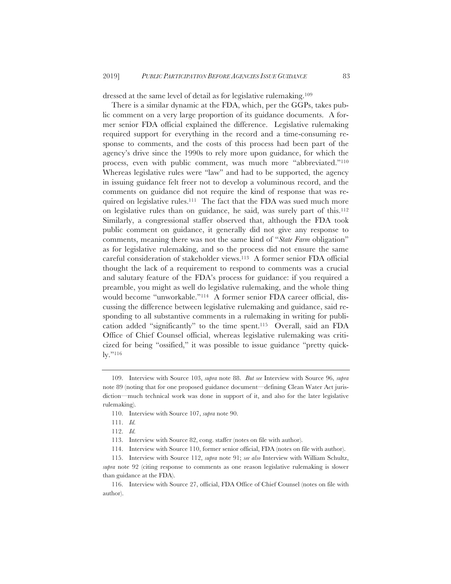dressed at the same level of detail as for legislative rulemaking.109

There is a similar dynamic at the FDA, which, per the GGPs, takes public comment on a very large proportion of its guidance documents. A former senior FDA official explained the difference. Legislative rulemaking required support for everything in the record and a time-consuming response to comments, and the costs of this process had been part of the agency's drive since the 1990s to rely more upon guidance, for which the process, even with public comment, was much more "abbreviated."110 Whereas legislative rules were "law" and had to be supported, the agency in issuing guidance felt freer not to develop a voluminous record, and the comments on guidance did not require the kind of response that was required on legislative rules.111 The fact that the FDA was sued much more on legislative rules than on guidance, he said, was surely part of this.112 Similarly, a congressional staffer observed that, although the FDA took public comment on guidance, it generally did not give any response to comments, meaning there was not the same kind of "*State Farm* obligation" as for legislative rulemaking, and so the process did not ensure the same careful consideration of stakeholder views.113 A former senior FDA official thought the lack of a requirement to respond to comments was a crucial and salutary feature of the FDA's process for guidance: if you required a preamble, you might as well do legislative rulemaking, and the whole thing would become "unworkable."114 A former senior FDA career official, discussing the difference between legislative rulemaking and guidance, said responding to all substantive comments in a rulemaking in writing for publication added "significantly" to the time spent.115 Overall, said an FDA Office of Chief Counsel official, whereas legislative rulemaking was criticized for being "ossified," it was possible to issue guidance "pretty quickly."<sup>116</sup>

<sup>109.</sup> Interview with Source 103, *supra* note 88. *But see* Interview with Source 96, *supra* note 89 (noting that for one proposed guidance document—defining Clean Water Act jurisdiction—much technical work was done in support of it, and also for the later legislative rulemaking).

<sup>110.</sup> Interview with Source 107, *supra* note 90.

<sup>111.</sup> *Id.*

<sup>112.</sup> *Id.*

<sup>113.</sup> Interview with Source 82, cong. staffer (notes on file with author).

<sup>114.</sup> Interview with Source 110, former senior official, FDA (notes on file with author).

<sup>115.</sup> Interview with Source 112, *supra* note 91; *see also* Interview with William Schultz, *supra* note 92 (citing response to comments as one reason legislative rulemaking is slower than guidance at the FDA).

<sup>116.</sup> Interview with Source 27, official, FDA Office of Chief Counsel (notes on file with author).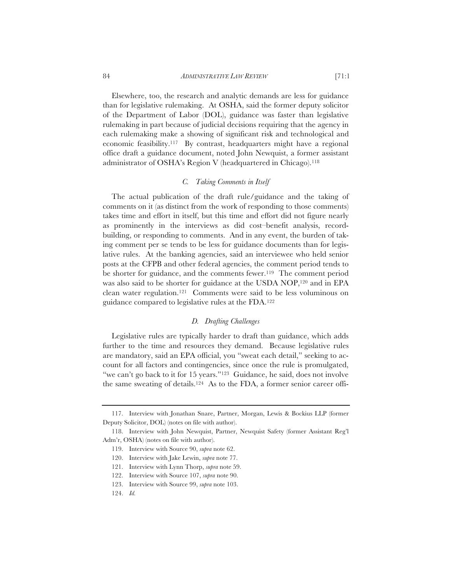#### 84 *ADMINISTRATIVE LAW REVIEW* [71:1

Elsewhere, too, the research and analytic demands are less for guidance than for legislative rulemaking. At OSHA, said the former deputy solicitor of the Department of Labor (DOL), guidance was faster than legislative rulemaking in part because of judicial decisions requiring that the agency in each rulemaking make a showing of significant risk and technological and economic feasibility.117 By contrast, headquarters might have a regional office draft a guidance document, noted John Newquist, a former assistant administrator of OSHA's Region V (headquartered in Chicago).118

## *C. Taking Comments in Itself*

The actual publication of the draft rule/guidance and the taking of comments on it (as distinct from the work of responding to those comments) takes time and effort in itself, but this time and effort did not figure nearly as prominently in the interviews as did cost–benefit analysis, recordbuilding, or responding to comments. And in any event, the burden of taking comment per se tends to be less for guidance documents than for legislative rules. At the banking agencies, said an interviewee who held senior posts at the CFPB and other federal agencies, the comment period tends to be shorter for guidance, and the comments fewer.<sup>119</sup> The comment period was also said to be shorter for guidance at the USDA NOP,120 and in EPA clean water regulation.121 Comments were said to be less voluminous on guidance compared to legislative rules at the FDA.122

## *D. Drafting Challenges*

Legislative rules are typically harder to draft than guidance, which adds further to the time and resources they demand. Because legislative rules are mandatory, said an EPA official, you "sweat each detail," seeking to account for all factors and contingencies, since once the rule is promulgated, "we can't go back to it for 15 years."<sup>123</sup> Guidance, he said, does not involve the same sweating of details.124 As to the FDA, a former senior career offi-

<sup>117.</sup> Interview with Jonathan Snare, Partner, Morgan, Lewis & Bockius LLP (former Deputy Solicitor, DOL) (notes on file with author).

<sup>118.</sup> Interview with John Newquist, Partner, Newquist Safety (former Assistant Reg'l Adm'r, OSHA) (notes on file with author).

<sup>119.</sup> Interview with Source 90, *supra* note 62.

<sup>120.</sup> Interview with Jake Lewin, *supra* note 77.

<sup>121.</sup> Interview with Lynn Thorp, *supra* note 59.

<sup>122.</sup> Interview with Source 107, *supra* note 90.

<sup>123.</sup> Interview with Source 99, *supra* note 103.

<sup>124.</sup> *Id.*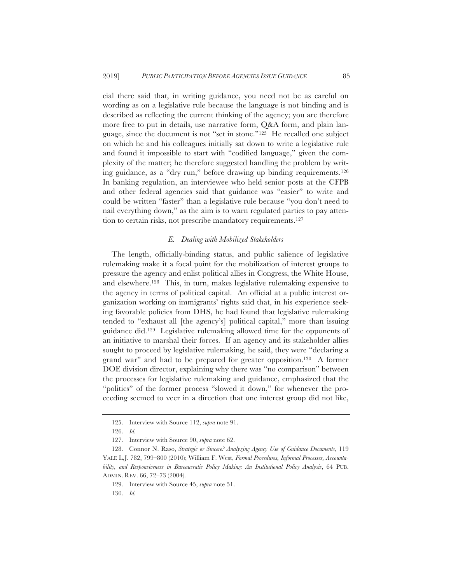cial there said that, in writing guidance, you need not be as careful on wording as on a legislative rule because the language is not binding and is described as reflecting the current thinking of the agency; you are therefore more free to put in details, use narrative form, Q&A form, and plain language, since the document is not "set in stone."125 He recalled one subject on which he and his colleagues initially sat down to write a legislative rule and found it impossible to start with "codified language," given the complexity of the matter; he therefore suggested handling the problem by writing guidance, as a "dry run," before drawing up binding requirements.126 In banking regulation, an interviewee who held senior posts at the CFPB and other federal agencies said that guidance was "easier" to write and could be written "faster" than a legislative rule because "you don't need to nail everything down," as the aim is to warn regulated parties to pay attention to certain risks, not prescribe mandatory requirements.127

## *E. Dealing with Mobilized Stakeholders*

The length, officially-binding status, and public salience of legislative rulemaking make it a focal point for the mobilization of interest groups to pressure the agency and enlist political allies in Congress, the White House, and elsewhere.128 This, in turn, makes legislative rulemaking expensive to the agency in terms of political capital. An official at a public interest organization working on immigrants' rights said that, in his experience seeking favorable policies from DHS, he had found that legislative rulemaking tended to "exhaust all [the agency's] political capital," more than issuing guidance did.129 Legislative rulemaking allowed time for the opponents of an initiative to marshal their forces. If an agency and its stakeholder allies sought to proceed by legislative rulemaking, he said, they were "declaring a grand war" and had to be prepared for greater opposition.130 A former DOE division director, explaining why there was "no comparison" between the processes for legislative rulemaking and guidance, emphasized that the "politics" of the former process "slowed it down," for whenever the proceeding seemed to veer in a direction that one interest group did not like,

<sup>125.</sup> Interview with Source 112, *supra* note 91.

<sup>126.</sup> *Id.*

<sup>127.</sup> Interview with Source 90, *supra* note 62.

<sup>128.</sup> Connor N. Raso, *Strategic or Sincere? Analyzing Agency Use of Guidance Documents*, 119 YALE L.J. 782, 799–800 (2010); William F. West, *Formal Procedures, Informal Processes, Accountability, and Responsiveness in Bureaucratic Policy Making: An Institutional Policy Analysis*, 64 PUB. ADMIN. REV. 66, 72–73 (2004).

<sup>129.</sup> Interview with Source 45, *supra* note 51.

<sup>130.</sup> *Id.*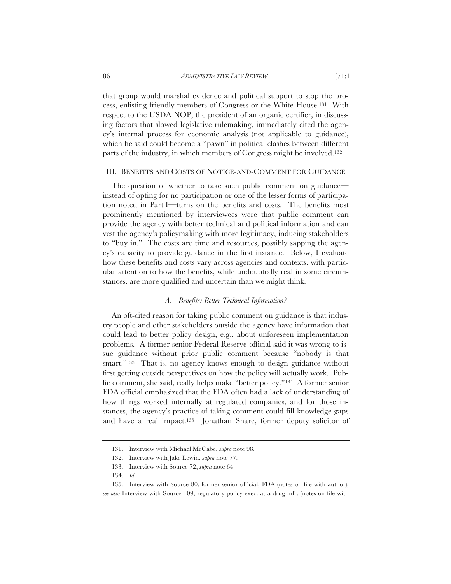that group would marshal evidence and political support to stop the process, enlisting friendly members of Congress or the White House.131 With respect to the USDA NOP, the president of an organic certifier, in discussing factors that slowed legislative rulemaking, immediately cited the agency's internal process for economic analysis (not applicable to guidance), which he said could become a "pawn" in political clashes between different parts of the industry, in which members of Congress might be involved.132

#### III. BENEFITS AND COSTS OF NOTICE-AND-COMMENT FOR GUIDANCE

The question of whether to take such public comment on guidance instead of opting for no participation or one of the lesser forms of participation noted in Part I—turns on the benefits and costs. The benefits most prominently mentioned by interviewees were that public comment can provide the agency with better technical and political information and can vest the agency's policymaking with more legitimacy, inducing stakeholders to "buy in." The costs are time and resources, possibly sapping the agency's capacity to provide guidance in the first instance. Below, I evaluate how these benefits and costs vary across agencies and contexts, with particular attention to how the benefits, while undoubtedly real in some circumstances, are more qualified and uncertain than we might think.

## *A. Benefits: Better Technical Information?*

An oft-cited reason for taking public comment on guidance is that industry people and other stakeholders outside the agency have information that could lead to better policy design, e.g., about unforeseen implementation problems. A former senior Federal Reserve official said it was wrong to issue guidance without prior public comment because "nobody is that smart."<sup>133</sup> That is, no agency knows enough to design guidance without first getting outside perspectives on how the policy will actually work. Public comment, she said, really helps make "better policy."134 A former senior FDA official emphasized that the FDA often had a lack of understanding of how things worked internally at regulated companies, and for those instances, the agency's practice of taking comment could fill knowledge gaps and have a real impact.135 Jonathan Snare, former deputy solicitor of

<sup>131.</sup> Interview with Michael McCabe, *supra* note 98.

<sup>132.</sup> Interview with Jake Lewin, *supra* note 77.

<sup>133.</sup> Interview with Source 72, *supra* note 64.

<sup>134.</sup> *Id.*

<sup>135.</sup> Interview with Source 80, former senior official, FDA (notes on file with author);

*see also* Interview with Source 109, regulatory policy exec. at a drug mfr. (notes on file with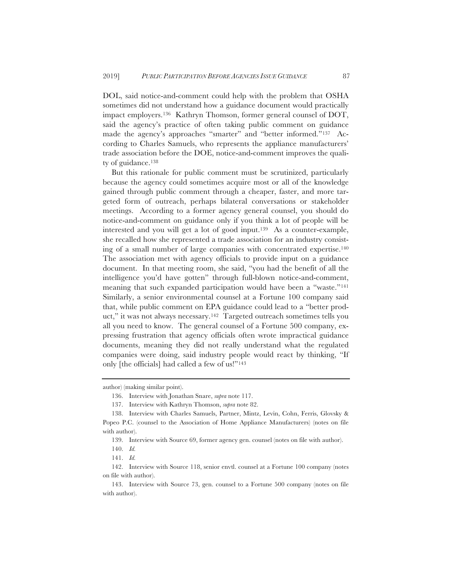DOL, said notice-and-comment could help with the problem that OSHA sometimes did not understand how a guidance document would practically impact employers.136 Kathryn Thomson, former general counsel of DOT, said the agency's practice of often taking public comment on guidance made the agency's approaches "smarter" and "better informed."137 According to Charles Samuels, who represents the appliance manufacturers' trade association before the DOE, notice-and-comment improves the quality of guidance.138

But this rationale for public comment must be scrutinized, particularly because the agency could sometimes acquire most or all of the knowledge gained through public comment through a cheaper, faster, and more targeted form of outreach, perhaps bilateral conversations or stakeholder meetings. According to a former agency general counsel, you should do notice-and-comment on guidance only if you think a lot of people will be interested and you will get a lot of good input.139 As a counter-example, she recalled how she represented a trade association for an industry consisting of a small number of large companies with concentrated expertise.140 The association met with agency officials to provide input on a guidance document. In that meeting room, she said, "you had the benefit of all the intelligence you'd have gotten" through full-blown notice-and-comment, meaning that such expanded participation would have been a "waste."141 Similarly, a senior environmental counsel at a Fortune 100 company said that, while public comment on EPA guidance could lead to a "better product," it was not always necessary.<sup>142</sup> Targeted outreach sometimes tells you all you need to know. The general counsel of a Fortune 500 company, expressing frustration that agency officials often wrote impractical guidance documents, meaning they did not really understand what the regulated companies were doing, said industry people would react by thinking, "If only [the officials] had called a few of us!"143

author) (making similar point).

<sup>136.</sup> Interview with Jonathan Snare, *supra* note 117.

<sup>137.</sup> Interview with Kathryn Thomson, *supra* note 82.

<sup>138.</sup> Interview with Charles Samuels, Partner, Mintz, Levin, Cohn, Ferris, Glovsky & Popeo P.C. (counsel to the Association of Home Appliance Manufacturers) (notes on file with author).

<sup>139.</sup> Interview with Source 69, former agency gen. counsel (notes on file with author).

<sup>140.</sup> *Id.*

<sup>141.</sup> *Id.*

<sup>142.</sup> Interview with Source 118, senior envtl. counsel at a Fortune 100 company (notes on file with author).

<sup>143.</sup> Interview with Source 73, gen. counsel to a Fortune 500 company (notes on file with author).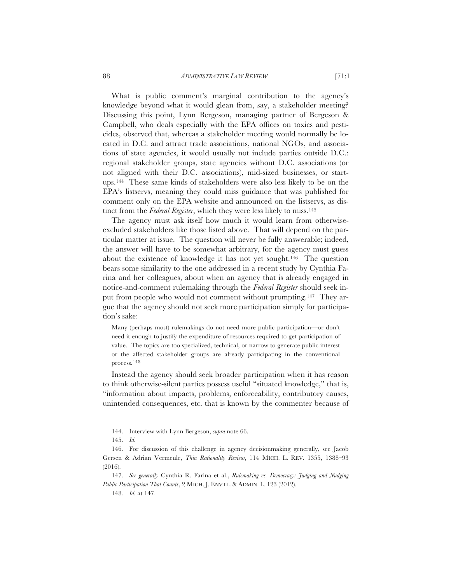88 *ADMINISTRATIVE LAW REVIEW* [71:1

What is public comment's marginal contribution to the agency's knowledge beyond what it would glean from, say, a stakeholder meeting? Discussing this point, Lynn Bergeson, managing partner of Bergeson & Campbell, who deals especially with the EPA offices on toxics and pesticides, observed that, whereas a stakeholder meeting would normally be located in D.C. and attract trade associations, national NGOs, and associations of state agencies, it would usually not include parties outside D.C.: regional stakeholder groups, state agencies without D.C. associations (or not aligned with their D.C. associations), mid-sized businesses, or startups.144 These same kinds of stakeholders were also less likely to be on the EPA's listservs, meaning they could miss guidance that was published for comment only on the EPA website and announced on the listservs, as distinct from the *Federal Register*, which they were less likely to miss.145

The agency must ask itself how much it would learn from otherwiseexcluded stakeholders like those listed above. That will depend on the particular matter at issue. The question will never be fully answerable; indeed, the answer will have to be somewhat arbitrary, for the agency must guess about the existence of knowledge it has not yet sought.146 The question bears some similarity to the one addressed in a recent study by Cynthia Farina and her colleagues, about when an agency that is already engaged in notice-and-comment rulemaking through the *Federal Register* should seek input from people who would not comment without prompting.147 They argue that the agency should not seek more participation simply for participation's sake:

Many (perhaps most) rulemakings do not need more public participation—or don't need it enough to justify the expenditure of resources required to get participation of value. The topics are too specialized, technical, or narrow to generate public interest or the affected stakeholder groups are already participating in the conventional process.148

Instead the agency should seek broader participation when it has reason to think otherwise-silent parties possess useful "situated knowledge," that is, "information about impacts, problems, enforceability, contributory causes, unintended consequences, etc. that is known by the commenter because of

<sup>144.</sup> Interview with Lynn Bergeson, *supra* note 66.

<sup>145.</sup> *Id.*

<sup>146.</sup> For discussion of this challenge in agency decisionmaking generally, see Jacob Gersen & Adrian Vermeule, *Thin Rationality Review*, 114 MICH. L. REV. 1355, 1388–93 (2016).

<sup>147.</sup> *See generally* Cynthia R. Farina et al., *Rulemaking vs. Democracy: Judging and Nudging Public Participation That Counts*, 2 MICH. J. ENVTL.&ADMIN. L. 123 (2012).

<sup>148.</sup> *Id.* at 147.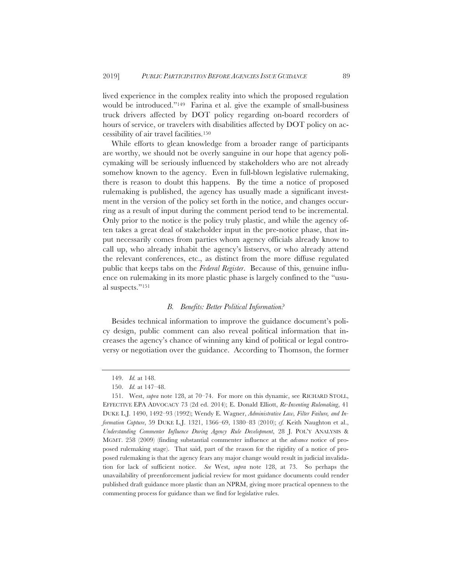lived experience in the complex reality into which the proposed regulation would be introduced."149 Farina et al. give the example of small-business truck drivers affected by DOT policy regarding on-board recorders of hours of service, or travelers with disabilities affected by DOT policy on accessibility of air travel facilities.150

While efforts to glean knowledge from a broader range of participants are worthy, we should not be overly sanguine in our hope that agency policymaking will be seriously influenced by stakeholders who are not already somehow known to the agency. Even in full-blown legislative rulemaking, there is reason to doubt this happens. By the time a notice of proposed rulemaking is published, the agency has usually made a significant investment in the version of the policy set forth in the notice, and changes occurring as a result of input during the comment period tend to be incremental. Only prior to the notice is the policy truly plastic, and while the agency often takes a great deal of stakeholder input in the pre-notice phase, that input necessarily comes from parties whom agency officials already know to call up, who already inhabit the agency's listservs, or who already attend the relevant conferences, etc., as distinct from the more diffuse regulated public that keeps tabs on the *Federal Register*. Because of this, genuine influence on rulemaking in its more plastic phase is largely confined to the "usual suspects."151

### *B. Benefits: Better Political Information?*

Besides technical information to improve the guidance document's policy design, public comment can also reveal political information that increases the agency's chance of winning any kind of political or legal controversy or negotiation over the guidance. According to Thomson, the former

<sup>149.</sup> *Id.* at 148.

<sup>150.</sup> *Id.* at 147–48.

<sup>151.</sup> West, *supra* note 128, at 70–74. For more on this dynamic, see RICHARD STOLL, EFFECTIVE EPA ADVOCACY 73 (2d ed. 2014); E. Donald Elliott, *Re-Inventing Rulemaking*, 41 DUKE L.J. 1490, 1492–93 (1992); Wendy E. Wagner, *Administrative Law, Filter Failure, and Information Capture*, 59 DUKE L.J. 1321, 1366–69, 1380–83 (2010); *cf.* Keith Naughton et al., *Understanding Commenter Influence During Agency Rule Development*, 28 J. POL'Y ANALYSIS & MGMT. 258 (2009) (finding substantial commenter influence at the *advance* notice of proposed rulemaking stage). That said, part of the reason for the rigidity of a notice of proposed rulemaking is that the agency fears any major change would result in judicial invalidation for lack of sufficient notice. *See* West, *supra* note 128, at 73. So perhaps the unavailability of preenforcement judicial review for most guidance documents could render published draft guidance more plastic than an NPRM, giving more practical openness to the commenting process for guidance than we find for legislative rules.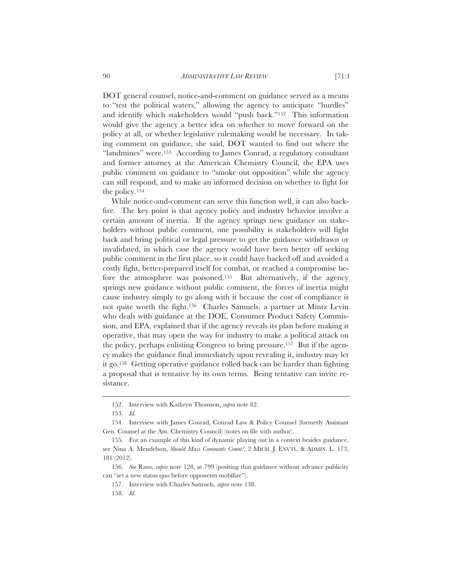DOT general counsel, notice-and-comment on guidance served as a means to "test the political waters," allowing the agency to anticipate "hurdles" and identify which stakeholders would "push back."152 This information would give the agency a better idea on whether to move forward on the policy at all, or whether legislative rulemaking would be necessary. In taking comment on guidance, she said, DOT wanted to find out where the "landmines" were.153 According to James Conrad, a regulatory consultant and former attorney at the American Chemistry Council, the EPA uses public comment on guidance to "smoke out opposition" while the agency can still respond, and to make an informed decision on whether to fight for the policy.154

While notice-and-comment can serve this function well, it can also backfire. The key point is that agency policy and industry behavior involve a certain amount of inertia. If the agency springs new guidance on stakeholders without public comment, one possibility is stakeholders will fight back and bring political or legal pressure to get the guidance withdrawn or invalidated, in which case the agency would have been better off seeking public comment in the first place, so it could have backed off and avoided a costly fight, better-prepared itself for combat, or reached a compromise before the atmosphere was poisoned.155 But alternatively, if the agency springs new guidance without public comment, the forces of inertia might cause industry simply to go along with it because the cost of compliance is not quite worth the fight.156 Charles Samuels, a partner at Mintz Levin who deals with guidance at the DOE, Consumer Product Safety Commission, and EPA, explained that if the agency reveals its plan before making it operative, that may open the way for industry to make a political attack on the policy, perhaps enlisting Congress to bring pressure.157 But if the agency makes the guidance final immediately upon revealing it, industry may let it go.158 Getting operative guidance rolled back can be harder than fighting a proposal that is tentative by its own terms. Being tentative can invite resistance.

<sup>152.</sup> Interview with Kathryn Thomson, *supra* note 82.

<sup>153.</sup> *Id.*

<sup>154.</sup> Interview with James Conrad, Conrad Law & Policy Counsel (formerly Assistant Gen. Counsel at the Am. Chemistry Council) (notes on file with author).

<sup>155.</sup> For an example of this kind of dynamic playing out in a context besides guidance, see Nina A. Mendelson, *Should Mass Comments Count?*, 2 MICH. J. ENVTL. & ADMIN. L. 173, 181 (2012).

<sup>156.</sup> *See* Raso, *supra* note 128, at 799 (positing that guidance without advance publicity can "set a new status quo before opponents mobilize").

<sup>157.</sup> Interview with Charles Samuels, *supra* note 138.

<sup>158.</sup> *Id.*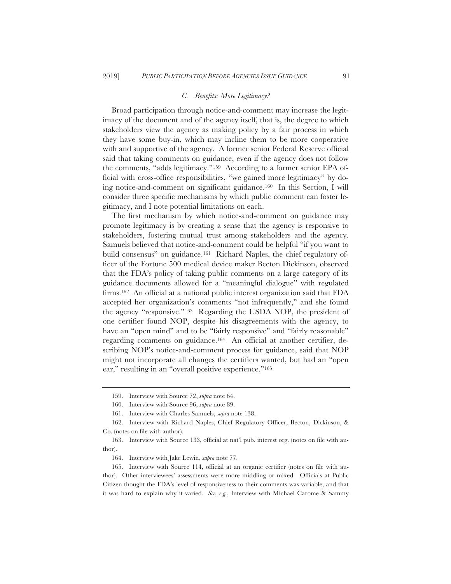### *C. Benefits: More Legitimacy?*

Broad participation through notice-and-comment may increase the legitimacy of the document and of the agency itself, that is, the degree to which stakeholders view the agency as making policy by a fair process in which they have some buy-in, which may incline them to be more cooperative with and supportive of the agency. A former senior Federal Reserve official said that taking comments on guidance, even if the agency does not follow the comments, "adds legitimacy."159 According to a former senior EPA official with cross-office responsibilities, "we gained more legitimacy" by doing notice-and-comment on significant guidance.160 In this Section, I will consider three specific mechanisms by which public comment can foster legitimacy, and I note potential limitations on each.

The first mechanism by which notice-and-comment on guidance may promote legitimacy is by creating a sense that the agency is responsive to stakeholders, fostering mutual trust among stakeholders and the agency. Samuels believed that notice-and-comment could be helpful "if you want to build consensus" on guidance.<sup>161</sup> Richard Naples, the chief regulatory officer of the Fortune 500 medical device maker Becton Dickinson, observed that the FDA's policy of taking public comments on a large category of its guidance documents allowed for a "meaningful dialogue" with regulated firms.<sup>162</sup> An official at a national public interest organization said that FDA accepted her organization's comments "not infrequently," and she found the agency "responsive."163 Regarding the USDA NOP, the president of one certifier found NOP, despite his disagreements with the agency, to have an "open mind" and to be "fairly responsive" and "fairly reasonable" regarding comments on guidance.164 An official at another certifier, describing NOP's notice-and-comment process for guidance, said that NOP might not incorporate all changes the certifiers wanted, but had an "open ear," resulting in an "overall positive experience."<sup>165</sup>

<sup>159.</sup> Interview with Source 72, *supra* note 64.

<sup>160.</sup> Interview with Source 96, *supra* note 89.

<sup>161.</sup> Interview with Charles Samuels, *supra* note 138.

<sup>162.</sup> Interview with Richard Naples, Chief Regulatory Officer, Becton, Dickinson, & Co. (notes on file with author).

<sup>163.</sup> Interview with Source 133, official at nat'l pub. interest org. (notes on file with author).

<sup>164.</sup> Interview with Jake Lewin, *supra* note 77.

<sup>165.</sup> Interview with Source 114, official at an organic certifier (notes on file with author). Other interviewees' assessments were more middling or mixed. Officials at Public Citizen thought the FDA's level of responsiveness to their comments was variable, and that it was hard to explain why it varied. *See, e.g.*, Interview with Michael Carome & Sammy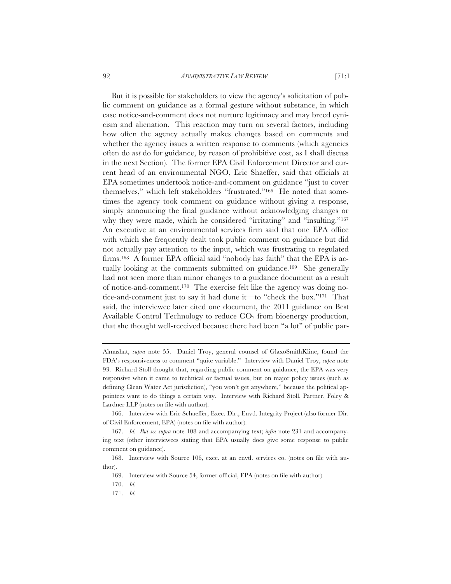92 *ADMINISTRATIVE LAW REVIEW* [71:1

But it is possible for stakeholders to view the agency's solicitation of public comment on guidance as a formal gesture without substance, in which case notice-and-comment does not nurture legitimacy and may breed cynicism and alienation. This reaction may turn on several factors, including how often the agency actually makes changes based on comments and whether the agency issues a written response to comments (which agencies often do *not* do for guidance, by reason of prohibitive cost, as I shall discuss in the next Section). The former EPA Civil Enforcement Director and current head of an environmental NGO, Eric Shaeffer, said that officials at EPA sometimes undertook notice-and-comment on guidance "just to cover themselves," which left stakeholders "frustrated."166 He noted that sometimes the agency took comment on guidance without giving a response, simply announcing the final guidance without acknowledging changes or why they were made, which he considered "irritating" and "insulting."<sup>167</sup> An executive at an environmental services firm said that one EPA office with which she frequently dealt took public comment on guidance but did not actually pay attention to the input, which was frustrating to regulated firms.168 A former EPA official said "nobody has faith" that the EPA is actually looking at the comments submitted on guidance.169 She generally had not seen more than minor changes to a guidance document as a result of notice-and-comment.170 The exercise felt like the agency was doing notice-and-comment just to say it had done it—to "check the box."171 That said, the interviewee later cited one document, the 2011 guidance on Best Available Control Technology to reduce  $CO<sub>2</sub>$  from bioenergy production, that she thought well-received because there had been "a lot" of public par-

Almashat, *supra* note 55. Daniel Troy, general counsel of GlaxoSmithKline, found the FDA's responsiveness to comment "quite variable." Interview with Daniel Troy, *supra* note 93. Richard Stoll thought that, regarding public comment on guidance, the EPA was very responsive when it came to technical or factual issues, but on major policy issues (such as defining Clean Water Act jurisdiction), "you won't get anywhere," because the political appointees want to do things a certain way. Interview with Richard Stoll, Partner, Foley & Lardner LLP (notes on file with author).

<sup>166.</sup> Interview with Eric Schaeffer, Exec. Dir., Envtl. Integrity Project (also former Dir. of Civil Enforcement, EPA) (notes on file with author).

<sup>167.</sup> *Id. But see supra* note 108 and accompanying text; *infra* note 231 and accompanying text (other interviewees stating that EPA usually does give some response to public comment on guidance).

<sup>168.</sup> Interview with Source 106, exec. at an envtl. services co. (notes on file with author).

<sup>169.</sup> Interview with Source 54, former official, EPA (notes on file with author).

<sup>170.</sup> *Id.*

<sup>171.</sup> *Id.*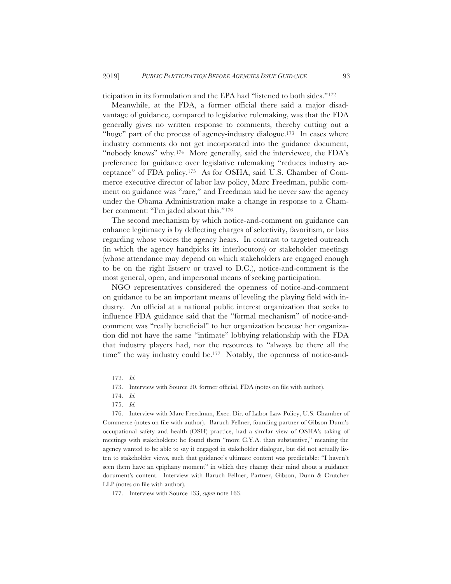ticipation in its formulation and the EPA had "listened to both sides."172

Meanwhile, at the FDA, a former official there said a major disadvantage of guidance, compared to legislative rulemaking, was that the FDA generally gives no written response to comments, thereby cutting out a "huge" part of the process of agency-industry dialogue.<sup>173</sup> In cases where industry comments do not get incorporated into the guidance document, "nobody knows" why.174 More generally, said the interviewee, the FDA's preference for guidance over legislative rulemaking "reduces industry acceptance" of FDA policy.175 As for OSHA, said U.S. Chamber of Commerce executive director of labor law policy, Marc Freedman, public comment on guidance was "rare," and Freedman said he never saw the agency under the Obama Administration make a change in response to a Chamber comment: "I'm jaded about this."176

The second mechanism by which notice-and-comment on guidance can enhance legitimacy is by deflecting charges of selectivity, favoritism, or bias regarding whose voices the agency hears. In contrast to targeted outreach (in which the agency handpicks its interlocutors) or stakeholder meetings (whose attendance may depend on which stakeholders are engaged enough to be on the right listserv or travel to D.C.), notice-and-comment is the most general, open, and impersonal means of seeking participation.

NGO representatives considered the openness of notice-and-comment on guidance to be an important means of leveling the playing field with industry. An official at a national public interest organization that seeks to influence FDA guidance said that the "formal mechanism" of notice-andcomment was "really beneficial" to her organization because her organization did not have the same "intimate" lobbying relationship with the FDA that industry players had, nor the resources to "always be there all the time" the way industry could be.<sup>177</sup> Notably, the openness of notice-and-

<sup>172.</sup> *Id.*

<sup>173.</sup> Interview with Source 20, former official, FDA (notes on file with author).

<sup>174.</sup> *Id.*

<sup>175.</sup> *Id.*

<sup>176.</sup> Interview with Marc Freedman, Exec. Dir. of Labor Law Policy, U.S. Chamber of Commerce (notes on file with author). Baruch Fellner, founding partner of Gibson Dunn's occupational safety and health (OSH) practice, had a similar view of OSHA's taking of meetings with stakeholders: he found them "more C.Y.A. than substantive," meaning the agency wanted to be able to say it engaged in stakeholder dialogue, but did not actually listen to stakeholder views, such that guidance's ultimate content was predictable: "I haven't seen them have an epiphany moment" in which they change their mind about a guidance document's content. Interview with Baruch Fellner, Partner, Gibson, Dunn & Crutcher LLP (notes on file with author).

<sup>177.</sup> Interview with Source 133, *supra* note 163.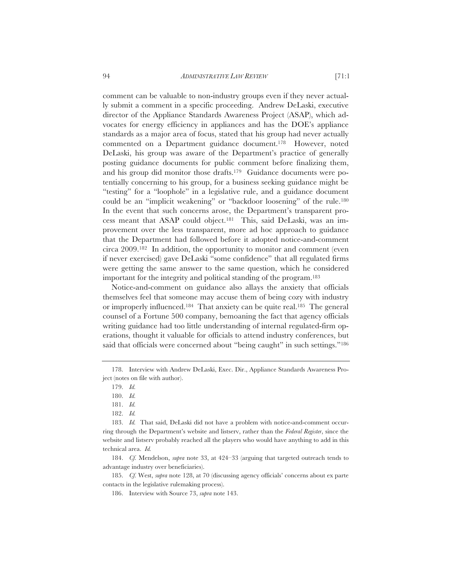94 *ADMINISTRATIVE LAW REVIEW* [71:1

comment can be valuable to non-industry groups even if they never actually submit a comment in a specific proceeding. Andrew DeLaski, executive director of the Appliance Standards Awareness Project (ASAP), which advocates for energy efficiency in appliances and has the DOE's appliance standards as a major area of focus, stated that his group had never actually commented on a Department guidance document.178 However, noted DeLaski, his group was aware of the Department's practice of generally posting guidance documents for public comment before finalizing them, and his group did monitor those drafts.179 Guidance documents were potentially concerning to his group, for a business seeking guidance might be "testing" for a "loophole" in a legislative rule, and a guidance document could be an "implicit weakening" or "backdoor loosening" of the rule.180 In the event that such concerns arose, the Department's transparent process meant that ASAP could object.181 This, said DeLaski, was an improvement over the less transparent, more ad hoc approach to guidance that the Department had followed before it adopted notice-and-comment circa 2009.182 In addition, the opportunity to monitor and comment (even if never exercised) gave DeLaski "some confidence" that all regulated firms were getting the same answer to the same question, which he considered important for the integrity and political standing of the program.183

Notice-and-comment on guidance also allays the anxiety that officials themselves feel that someone may accuse them of being cozy with industry or improperly influenced.184 That anxiety can be quite real.185 The general counsel of a Fortune 500 company, bemoaning the fact that agency officials writing guidance had too little understanding of internal regulated-firm operations, thought it valuable for officials to attend industry conferences, but said that officials were concerned about "being caught" in such settings."<sup>186</sup>

184. *Cf.* Mendelson, *supra* note 33, at 424–33 (arguing that targeted outreach tends to advantage industry over beneficiaries).

185. *Cf.* West, *supra* note 128, at 70 (discussing agency officials' concerns about ex parte contacts in the legislative rulemaking process).

186. Interview with Source 73, *supra* note 143.

<sup>178.</sup> Interview with Andrew DeLaski, Exec. Dir., Appliance Standards Awareness Project (notes on file with author).

<sup>179.</sup> *Id.*

<sup>180.</sup> *Id.*

<sup>181.</sup> *Id.*

<sup>182.</sup> *Id.*

<sup>183.</sup> *Id.* That said, DeLaski did not have a problem with notice-and-comment occurring through the Department's website and listserv, rather than the *Federal Register*, since the website and listserv probably reached all the players who would have anything to add in this technical area. *Id.*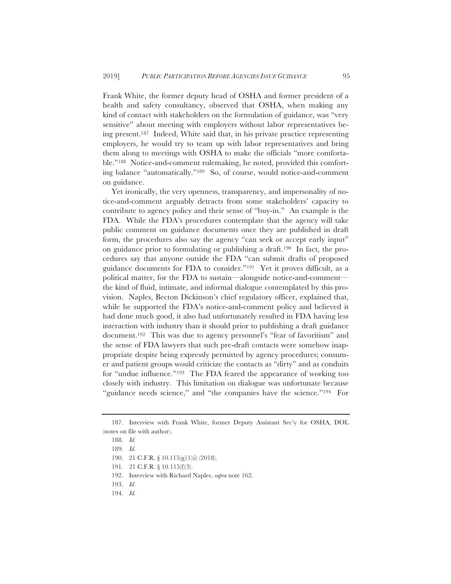Frank White, the former deputy head of OSHA and former president of a health and safety consultancy, observed that OSHA, when making any kind of contact with stakeholders on the formulation of guidance, was "very sensitive" about meeting with employers without labor representatives being present.187 Indeed, White said that, in his private practice representing employers, he would try to team up with labor representatives and bring them along to meetings with OSHA to make the officials "more comfortable."188 Notice-and-comment rulemaking, he noted, provided this comforting balance "automatically."189 So, of course, would notice-and-comment on guidance.

Yet ironically, the very openness, transparency, and impersonality of notice-and-comment arguably detracts from some stakeholders' capacity to contribute to agency policy and their sense of "buy-in." An example is the FDA. While the FDA's procedures contemplate that the agency will take public comment on guidance documents once they are published in draft form, the procedures also say the agency "can seek or accept early input" on guidance prior to formulating or publishing a draft.190 In fact, the procedures say that anyone outside the FDA "can submit drafts of proposed guidance documents for FDA to consider."191 Yet it proves difficult, as a political matter, for the FDA to sustain—alongside notice-and-comment the kind of fluid, intimate, and informal dialogue contemplated by this provision. Naples, Becton Dickinson's chief regulatory officer, explained that, while he supported the FDA's notice-and-comment policy and believed it had done much good, it also had unfortunately resulted in FDA having less interaction with industry than it should prior to publishing a draft guidance document.192 This was due to agency personnel's "fear of favoritism" and the sense of FDA lawyers that such pre-draft contacts were somehow inappropriate despite being expressly permitted by agency procedures; consumer and patient groups would criticize the contacts as "dirty" and as conduits for "undue influence."193 The FDA feared the appearance of working too closely with industry. This limitation on dialogue was unfortunate because "guidance needs science," and "the companies have the science."<sup>194</sup> For

<sup>187.</sup> Interview with Frank White, former Deputy Assistant Sec'y for OSHA, DOL (notes on file with author).

<sup>188.</sup> *Id.*

<sup>189.</sup> *Id.*

<sup>190. 21</sup> C.F.R. § 10.115(g)(1)(i) (2018).

<sup>191. 21</sup> C.F.R. § 10.115(f)(3).

<sup>192.</sup> Interview with Richard Naples, *supra* note 162.

<sup>193.</sup> *Id.*

<sup>194.</sup> *Id.*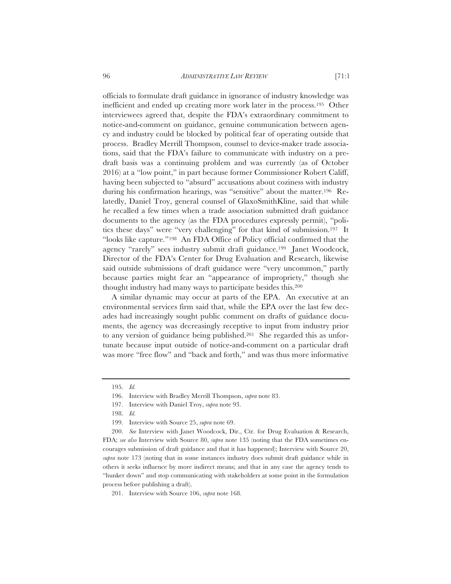96 *ADMINISTRATIVE LAW REVIEW* [71:1

officials to formulate draft guidance in ignorance of industry knowledge was inefficient and ended up creating more work later in the process.195 Other interviewees agreed that, despite the FDA's extraordinary commitment to notice-and-comment on guidance, genuine communication between agency and industry could be blocked by political fear of operating outside that process. Bradley Merrill Thompson, counsel to device-maker trade associations, said that the FDA's failure to communicate with industry on a predraft basis was a continuing problem and was currently (as of October 2016) at a "low point," in part because former Commissioner Robert Califf, having been subjected to "absurd" accusations about coziness with industry during his confirmation hearings, was "sensitive" about the matter.196 Relatedly, Daniel Troy, general counsel of GlaxoSmithKline, said that while he recalled a few times when a trade association submitted draft guidance documents to the agency (as the FDA procedures expressly permit), "politics these days" were "very challenging" for that kind of submission.197 It "looks like capture."198 An FDA Office of Policy official confirmed that the agency "rarely" sees industry submit draft guidance.199 Janet Woodcock, Director of the FDA's Center for Drug Evaluation and Research, likewise said outside submissions of draft guidance were "very uncommon," partly because parties might fear an "appearance of impropriety," though she thought industry had many ways to participate besides this.200

A similar dynamic may occur at parts of the EPA. An executive at an environmental services firm said that, while the EPA over the last few decades had increasingly sought public comment on drafts of guidance documents, the agency was decreasingly receptive to input from industry prior to any version of guidance being published.201 She regarded this as unfortunate because input outside of notice-and-comment on a particular draft was more "free flow" and "back and forth," and was thus more informative

<sup>195.</sup> *Id.*

<sup>196.</sup> Interview with Bradley Merrill Thompson, *supra* note 83.

<sup>197.</sup> Interview with Daniel Troy, *supra* note 93.

<sup>198.</sup> *Id.*

<sup>199.</sup> Interview with Source 25, *supra* note 69.

<sup>200.</sup> *See* Interview with Janet Woodcock, Dir., Ctr. for Drug Evaluation & Research, FDA; *see also* Interview with Source 80, *supra* note 135 (noting that the FDA sometimes encourages submission of draft guidance and that it has happened); Interview with Source 20, *supra* note 173 (noting that in some instances industry does submit draft guidance while in others it seeks influence by more indirect means; and that in any case the agency tends to "hunker down" and stop communicating with stakeholders at some point in the formulation process before publishing a draft).

<sup>201.</sup> Interview with Source 106, *supra* note 168.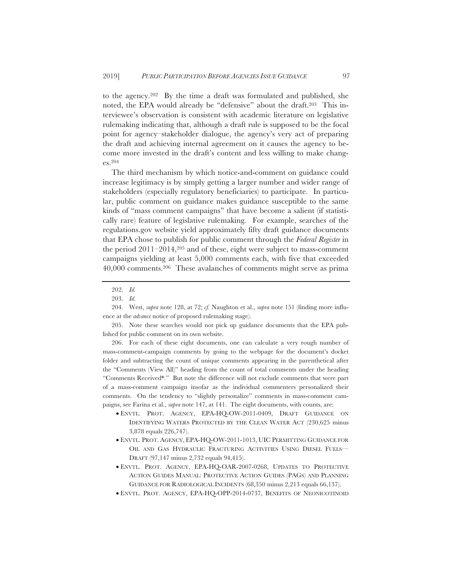to the agency.202 By the time a draft was formulated and published, she noted, the EPA would already be "defensive" about the draft.203 This interviewee's observation is consistent with academic literature on legislative rulemaking indicating that, although a draft rule is supposed to be the focal point for agency–stakeholder dialogue, the agency's very act of preparing the draft and achieving internal agreement on it causes the agency to become more invested in the draft's content and less willing to make changes.204

The third mechanism by which notice-and-comment on guidance could increase legitimacy is by simply getting a larger number and wider range of stakeholders (especially regulatory beneficiaries) to participate. In particular, public comment on guidance makes guidance susceptible to the same kinds of "mass comment campaigns" that have become a salient (if statistically rare) feature of legislative rulemaking. For example, searches of the regulations.gov website yield approximately fifty draft guidance documents that EPA chose to publish for public comment through the *Federal Register* in the period 2011–2014,205 and of these, eight were subject to mass-comment campaigns yielding at least 5,000 comments each, with five that exceeded 40,000 comments.206 These avalanches of comments might serve as prima

206. For each of these eight documents, one can calculate a very rough number of mass-comment-campaign comments by going to the webpage for the document's docket folder and subtracting the count of unique comments appearing in the parenthetical after the "Comments (View All)" heading from the count of total comments under the heading "Comments Received\*." But note the difference will not exclude comments that were part of a mass-comment campaign insofar as the individual commenters personalized their comments. On the tendency to "slightly personalize" comments in mass-comment campaigns, see Farina et al., *supra* note 147, at 141. The eight documents, with counts, are:

- ENVTL. PROT. AGENCY, EPA-HQ-OW-2011-0409, DRAFT GUIDANCE ON IDENTIFYING WATERS PROTECTED BY THE CLEAN WATER ACT (230,625 minus 3,878 equals 226,747).
- ENVTL. PROT. AGENCY, EPA-HQ-OW-2011-1013, UIC PERMITTING GUIDANCE FOR OIL AND GAS HYDRAULIC FRACTURING ACTIVITIES USING DIESEL FUELS— DRAFT (97,147 minus 2,732 equals 94,415).
- ENVTL. PROT. AGENCY, EPA-HQ-OAR-2007-0268, UPDATES TO PROTECTIVE ACTION GUIDES MANUAL: PROTECTIVE ACTION GUIDES (PAGS) AND PLANNING GUIDANCE FOR RADIOLOGICAL INCIDENTS (68,350 minus 2,213 equals 66,137).
- ENVTL. PROT. AGENCY, EPA-HQ-OPP-2014-0737, BENEFITS OF NEONICOTINOID

<sup>202.</sup> *Id.*

<sup>203.</sup> *Id.*

<sup>204.</sup> West, *supra* note 128, at 72; *cf.* Naughton et al., *supra* note 151 (finding more influence at the *advance* notice of proposed rulemaking stage).

<sup>205.</sup> Note these searches would not pick up guidance documents that the EPA published for public comment on its own website.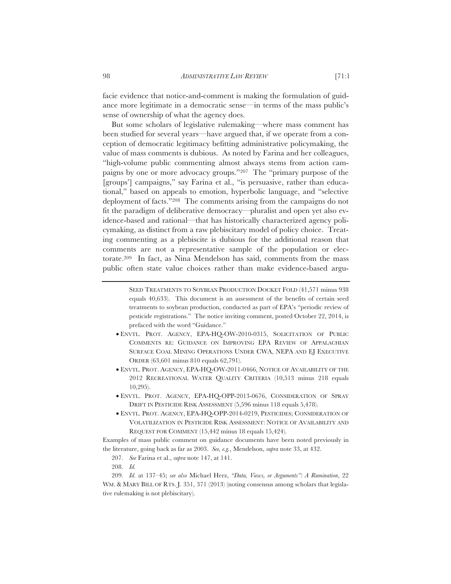facie evidence that notice-and-comment is making the formulation of guidance more legitimate in a democratic sense—in terms of the mass public's sense of ownership of what the agency does.

But some scholars of legislative rulemaking—where mass comment has been studied for several years—have argued that, if we operate from a conception of democratic legitimacy befitting administrative policymaking, the value of mass comments is dubious. As noted by Farina and her colleagues, "high-volume public commenting almost always stems from action campaigns by one or more advocacy groups."207 The "primary purpose of the [groups'] campaigns," say Farina et al., "is persuasive, rather than educational," based on appeals to emotion, hyperbolic language, and "selective deployment of facts."208 The comments arising from the campaigns do not fit the paradigm of deliberative democracy—pluralist and open yet also evidence-based and rational—that has historically characterized agency policymaking, as distinct from a raw plebiscitary model of policy choice. Treating commenting as a plebiscite is dubious for the additional reason that comments are not a representative sample of the population or electorate.209 In fact, as Nina Mendelson has said, comments from the mass public often state value choices rather than make evidence-based argu-

- ENVTL. PROT. AGENCY, EPA-HQ-OW-2010-0315, SOLICITATION OF PUBLIC COMMENTS RE: GUIDANCE ON IMPROVING EPA REVIEW OF APPALACHIAN SURFACE COAL MINING OPERATIONS UNDER CWA, NEPA AND EJ EXECUTIVE ORDER (63,601 minus 810 equals 62,791).
- ENVTL. PROT. AGENCY, EPA-HQ-OW-2011-0466, NOTICE OF AVAILABILITY OF THE 2012 RECREATIONAL WATER QUALITY CRITERIA (10,513 minus 218 equals 10,295).
- ENVTL. PROT. AGENCY, EPA-HQ-OPP-2013-0676, CONSIDERATION OF SPRAY DRIFT IN PESTICIDE RISK ASSESSMENT (5,596 minus 118 equals 5,478).
- ENVTL. PROT. AGENCY, EPA-HQ-OPP-2014-0219, PESTICIDES; CONSIDERATION OF VOLATILIZATION IN PESTICIDE RISK ASSESSMENT: NOTICE OF AVAILABILITY AND REQUEST FOR COMMENT (15,442 minus 18 equals 15,424).

Examples of mass public comment on guidance documents have been noted previously in the literature, going back as far as 2003. *See, e.g.*, Mendelson, *supra* note 33, at 432.

207. *See* Farina et al., *supra* note 147, at 141.

208. *Id.*

209. *Id.* at 137–45; *see also* Michael Herz, *"Data, Views, or Arguments": A Rumination*, 22 WM. & MARY BILL OF RTS. J. 351, 371 (2013) (noting consensus among scholars that legislative rulemaking is not plebiscitary).

SEED TREATMENTS TO SOYBEAN PRODUCTION DOCKET FOLD (41,571 minus 938 equals 40,633). This document is an assessment of the benefits of certain seed treatments to soybean production, conducted as part of EPA's "periodic review of pesticide registrations." The notice inviting comment, posted October 22, 2014, is prefaced with the word "Guidance."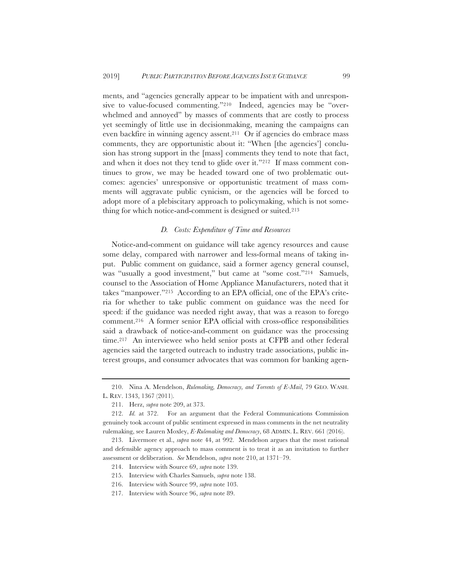ments, and "agencies generally appear to be impatient with and unresponsive to value-focused commenting."210 Indeed, agencies may be "overwhelmed and annoyed" by masses of comments that are costly to process yet seemingly of little use in decisionmaking, meaning the campaigns can even backfire in winning agency assent.211 Or if agencies do embrace mass comments, they are opportunistic about it: "When [the agencies'] conclusion has strong support in the [mass] comments they tend to note that fact, and when it does not they tend to glide over it."212 If mass comment continues to grow, we may be headed toward one of two problematic outcomes: agencies' unresponsive or opportunistic treatment of mass comments will aggravate public cynicism, or the agencies will be forced to adopt more of a plebiscitary approach to policymaking, which is not something for which notice-and-comment is designed or suited.213

#### *D. Costs: Expenditure of Time and Resources*

Notice-and-comment on guidance will take agency resources and cause some delay, compared with narrower and less-formal means of taking input. Public comment on guidance, said a former agency general counsel, was "usually a good investment," but came at "some cost."214 Samuels, counsel to the Association of Home Appliance Manufacturers, noted that it takes "manpower."215 According to an EPA official, one of the EPA's criteria for whether to take public comment on guidance was the need for speed: if the guidance was needed right away, that was a reason to forego comment.216 A former senior EPA official with cross-office responsibilities said a drawback of notice-and-comment on guidance was the processing time.217 An interviewee who held senior posts at CFPB and other federal agencies said the targeted outreach to industry trade associations, public interest groups, and consumer advocates that was common for banking agen-

<sup>210.</sup> Nina A. Mendelson, *Rulemaking, Democracy, and Torrents of E-Mail*, 79 GEO. WASH. L. REV. 1343, 1367 (2011).

<sup>211.</sup> Herz, *supra* note 209, at 373.

<sup>212.</sup> *Id.* at 372. For an argument that the Federal Communications Commission genuinely took account of public sentiment expressed in mass comments in the net neutrality rulemaking, see Lauren Moxley, *E-Rulemaking and Democracy*, 68 ADMIN. L. REV. 661 (2016).

<sup>213.</sup> Livermore et al., *supra* note 44, at 992. Mendelson argues that the most rational and defensible agency approach to mass comment is to treat it as an invitation to further assessment or deliberation. *See* Mendelson, *supra* note 210, at 1371–79.

<sup>214.</sup> Interview with Source 69, *supra* note 139.

<sup>215.</sup> Interview with Charles Samuels, *supra* note 138.

<sup>216.</sup> Interview with Source 99, *supra* note 103.

<sup>217.</sup> Interview with Source 96, *supra* note 89.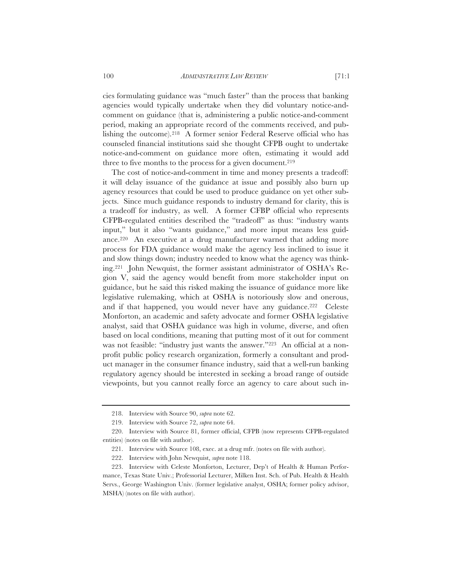cies formulating guidance was "much faster" than the process that banking agencies would typically undertake when they did voluntary notice-andcomment on guidance (that is, administering a public notice-and-comment period, making an appropriate record of the comments received, and publishing the outcome).218 A former senior Federal Reserve official who has counseled financial institutions said she thought CFPB ought to undertake notice-and-comment on guidance more often, estimating it would add three to five months to the process for a given document.<sup>219</sup>

The cost of notice-and-comment in time and money presents a tradeoff: it will delay issuance of the guidance at issue and possibly also burn up agency resources that could be used to produce guidance on yet other subjects. Since much guidance responds to industry demand for clarity, this is a tradeoff for industry, as well. A former CFBP official who represents CFPB-regulated entities described the "tradeoff" as thus: "industry wants input," but it also "wants guidance," and more input means less guidance.220 An executive at a drug manufacturer warned that adding more process for FDA guidance would make the agency less inclined to issue it and slow things down; industry needed to know what the agency was thinking.221 John Newquist, the former assistant administrator of OSHA's Region V, said the agency would benefit from more stakeholder input on guidance, but he said this risked making the issuance of guidance more like legislative rulemaking, which at OSHA is notoriously slow and onerous, and if that happened, you would never have any guidance.222 Celeste Monforton, an academic and safety advocate and former OSHA legislative analyst, said that OSHA guidance was high in volume, diverse, and often based on local conditions, meaning that putting most of it out for comment was not feasible: "industry just wants the answer."223 An official at a nonprofit public policy research organization, formerly a consultant and product manager in the consumer finance industry, said that a well-run banking regulatory agency should be interested in seeking a broad range of outside viewpoints, but you cannot really force an agency to care about such in-

<sup>218.</sup> Interview with Source 90, *supra* note 62.

<sup>219.</sup> Interview with Source 72, *supra* note 64.

<sup>220.</sup> Interview with Source 81, former official, CFPB (now represents CFPB-regulated entities) (notes on file with author).

<sup>221.</sup> Interview with Source 108, exec. at a drug mfr. (notes on file with author).

<sup>222.</sup> Interview with John Newquist, *supra* note 118.

<sup>223.</sup> Interview with Celeste Monforton, Lecturer, Dep't of Health & Human Performance, Texas State Univ.; Professorial Lecturer, Milken Inst. Sch. of Pub. Health & Health Servs., George Washington Univ. (former legislative analyst, OSHA; former policy advisor, MSHA) (notes on file with author).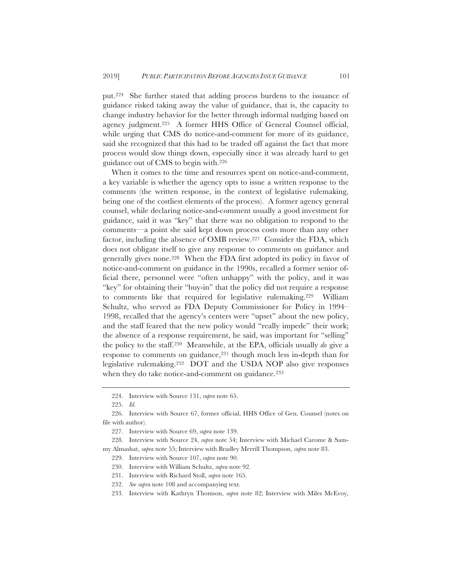put.224 She further stated that adding process burdens to the issuance of guidance risked taking away the value of guidance, that is, the capacity to change industry behavior for the better through informal nudging based on agency judgment.225 A former HHS Office of General Counsel official, while urging that CMS do notice-and-comment for more of its guidance, said she recognized that this had to be traded off against the fact that more process would slow things down, especially since it was already hard to get guidance out of CMS to begin with.226

When it comes to the time and resources spent on notice-and-comment, a key variable is whether the agency opts to issue a written response to the comments (the written response, in the context of legislative rulemaking, being one of the costliest elements of the process). A former agency general counsel, while declaring notice-and-comment usually a good investment for guidance, said it was "key" that there was no obligation to respond to the comments—a point she said kept down process costs more than any other factor, including the absence of OMB review.227 Consider the FDA, which does not obligate itself to give any response to comments on guidance and generally gives none.228 When the FDA first adopted its policy in favor of notice-and-comment on guidance in the 1990s, recalled a former senior official there, personnel were "often unhappy" with the policy, and it was "key" for obtaining their "buy-in" that the policy did not require a response to comments like that required for legislative rulemaking.229 William Schultz, who served as FDA Deputy Commissioner for Policy in 1994– 1998, recalled that the agency's centers were "upset" about the new policy, and the staff feared that the new policy would "really impede" their work; the absence of a response requirement, he said, was important for "selling" the policy to the staff.230 Meanwhile, at the EPA, officials usually *do* give a response to comments on guidance,231 though much less in-depth than for legislative rulemaking.232 DOT and the USDA NOP also give responses when they do take notice-and-comment on guidance.<sup>233</sup>

<sup>224.</sup> Interview with Source 131, *supra* note 65.

<sup>225.</sup> *Id.*

<sup>226.</sup> Interview with Source 67, former official, HHS Office of Gen. Counsel (notes on file with author).

<sup>227.</sup> Interview with Source 69, *supra* note 139.

<sup>228.</sup> Interview with Source 24, *supra* note 54; Interview with Michael Carome & Sammy Almashat, *supra* note 55; Interview with Bradley Merrill Thompson, *supra* note 83.

<sup>229.</sup> Interview with Source 107, *supra* note 90.

<sup>230.</sup> Interview with William Schultz, *supra* note 92.

<sup>231.</sup> Interview with Richard Stoll, *supra* note 165.

<sup>232.</sup> *See supra* note 108 and accompanying text.

<sup>233.</sup> Interview with Kathryn Thomson, *supra* note 82; Interview with Miles McEvoy,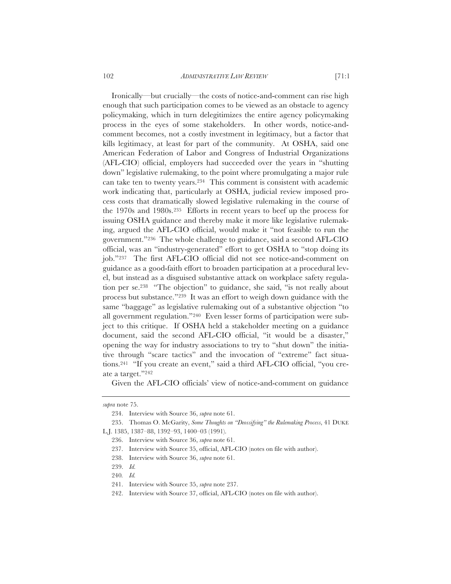102 *ADMINISTRATIVE LAW REVIEW* [71:1

Ironically—but crucially—the costs of notice-and-comment can rise high enough that such participation comes to be viewed as an obstacle to agency policymaking, which in turn delegitimizes the entire agency policymaking process in the eyes of some stakeholders. In other words, notice-andcomment becomes, not a costly investment in legitimacy, but a factor that kills legitimacy, at least for part of the community. At OSHA, said one American Federation of Labor and Congress of Industrial Organizations (AFL-CIO) official, employers had succeeded over the years in "shutting down" legislative rulemaking, to the point where promulgating a major rule can take ten to twenty years.234 This comment is consistent with academic work indicating that, particularly at OSHA, judicial review imposed process costs that dramatically slowed legislative rulemaking in the course of the 1970s and 1980s.235 Efforts in recent years to beef up the process for issuing OSHA guidance and thereby make it more like legislative rulemaking, argued the AFL-CIO official, would make it "not feasible to run the government."236 The whole challenge to guidance, said a second AFL-CIO official, was an "industry-generated" effort to get OSHA to "stop doing its job."237 The first AFL-CIO official did not see notice-and-comment on guidance as a good-faith effort to broaden participation at a procedural level, but instead as a disguised substantive attack on workplace safety regulation per se.238 "The objection" to guidance, she said, "is not really about process but substance."239 It was an effort to weigh down guidance with the same "baggage" as legislative rulemaking out of a substantive objection "to all government regulation."240 Even lesser forms of participation were subject to this critique. If OSHA held a stakeholder meeting on a guidance document, said the second AFL-CIO official, "it would be a disaster," opening the way for industry associations to try to "shut down" the initiative through "scare tactics" and the invocation of "extreme" fact situations.241 "If you create an event," said a third AFL-CIO official, "you create a target."242

Given the AFL-CIO officials' view of notice-and-comment on guidance

*supra* note 75.

<sup>234.</sup> Interview with Source 36, *supra* note 61.

<sup>235.</sup> Thomas O. McGarity, *Some Thoughts on "Deossifying" the Rulemaking Process*, 41 DUKE L.J. 1385, 1387–88, 1392–93, 1400–03 (1991).

<sup>236.</sup> Interview with Source 36, *supra* note 61.

<sup>237.</sup> Interview with Source 35, official, AFL-CIO (notes on file with author).

<sup>238.</sup> Interview with Source 36, *supra* note 61.

<sup>239.</sup> *Id.*

<sup>240</sup>*. Id.*

<sup>241.</sup> Interview with Source 35, *supra* note 237.

<sup>242.</sup> Interview with Source 37, official, AFL-CIO (notes on file with author).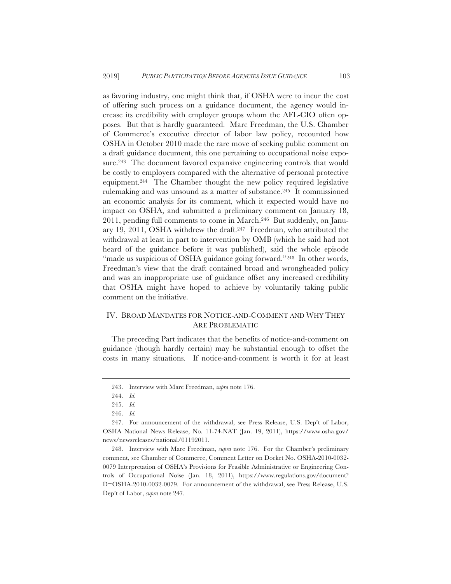as favoring industry, one might think that, if OSHA were to incur the cost of offering such process on a guidance document, the agency would increase its credibility with employer groups whom the AFL-CIO often opposes. But that is hardly guaranteed. Marc Freedman, the U.S. Chamber of Commerce's executive director of labor law policy, recounted how OSHA in October 2010 made the rare move of seeking public comment on a draft guidance document, this one pertaining to occupational noise exposure.243 The document favored expansive engineering controls that would be costly to employers compared with the alternative of personal protective equipment.244 The Chamber thought the new policy required legislative rulemaking and was unsound as a matter of substance.245 It commissioned an economic analysis for its comment, which it expected would have no impact on OSHA, and submitted a preliminary comment on January 18, 2011, pending full comments to come in March.246 But suddenly, on January 19, 2011, OSHA withdrew the draft.247 Freedman, who attributed the withdrawal at least in part to intervention by OMB (which he said had not heard of the guidance before it was published), said the whole episode "made us suspicious of OSHA guidance going forward."<sup>248</sup> In other words, Freedman's view that the draft contained broad and wrongheaded policy and was an inappropriate use of guidance offset any increased credibility that OSHA might have hoped to achieve by voluntarily taking public comment on the initiative.

# IV. BROAD MANDATES FOR NOTICE-AND-COMMENT AND WHY THEY ARE PROBLEMATIC

The preceding Part indicates that the benefits of notice-and-comment on guidance (though hardly certain) may be substantial enough to offset the costs in many situations. If notice-and-comment is worth it for at least

<sup>243.</sup> Interview with Marc Freedman, *supra* note 176.

<sup>244.</sup> *Id.*

<sup>245.</sup> *Id.*

<sup>246.</sup> *Id.*

<sup>247.</sup> For announcement of the withdrawal, see Press Release, U.S. Dep't of Labor, OSHA National News Release, No. 11-74-NAT (Jan. 19, 2011), https://www.osha.gov/ news/newsreleases/national/01192011.

<sup>248.</sup> Interview with Marc Freedman, *supra* note 176. For the Chamber's preliminary comment, see Chamber of Commerce, Comment Letter on Docket No. OSHA-2010-0032- 0079 Interpretation of OSHA's Provisions for Feasible Administrative or Engineering Controls of Occupational Noise (Jan. 18, 2011), https://www.regulations.gov/document? D=OSHA-2010-0032-0079. For announcement of the withdrawal, see Press Release, U.S. Dep't of Labor, *supra* note 247.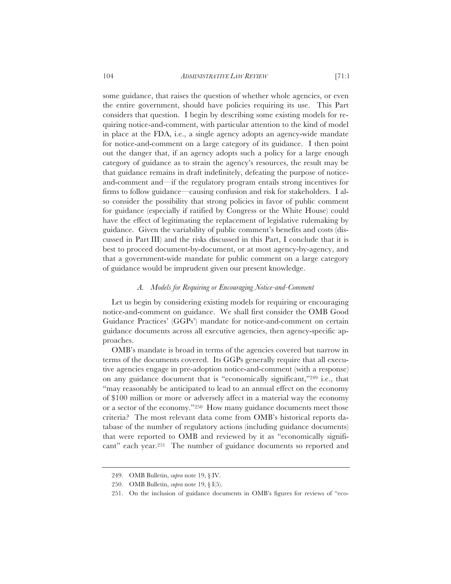104 *ADMINISTRATIVE LAW REVIEW* [71:1

some guidance, that raises the question of whether whole agencies, or even the entire government, should have policies requiring its use. This Part considers that question. I begin by describing some existing models for requiring notice-and-comment, with particular attention to the kind of model in place at the FDA, i.e., a single agency adopts an agency-wide mandate for notice-and-comment on a large category of its guidance. I then point out the danger that, if an agency adopts such a policy for a large enough category of guidance as to strain the agency's resources, the result may be that guidance remains in draft indefinitely, defeating the purpose of noticeand-comment and—if the regulatory program entails strong incentives for firms to follow guidance—causing confusion and risk for stakeholders. I also consider the possibility that strong policies in favor of public comment for guidance (especially if ratified by Congress or the White House) could have the effect of legitimating the replacement of legislative rulemaking by guidance. Given the variability of public comment's benefits and costs (discussed in Part III) and the risks discussed in this Part, I conclude that it is best to proceed document-by-document, or at most agency-by-agency, and that a government-wide mandate for public comment on a large category of guidance would be imprudent given our present knowledge.

## *A. Models for Requiring or Encouraging Notice-and-Comment*

Let us begin by considering existing models for requiring or encouraging notice-and-comment on guidance. We shall first consider the OMB Good Guidance Practices' (GGPs') mandate for notice-and-comment on certain guidance documents across all executive agencies, then agency-specific approaches.

OMB's mandate is broad in terms of the agencies covered but narrow in terms of the documents covered. Its GGPs generally require that all executive agencies engage in pre-adoption notice-and-comment (with a response) on any guidance document that is "economically significant,"249 i.e., that "may reasonably be anticipated to lead to an annual effect on the economy of \$100 million or more or adversely affect in a material way the economy or a sector of the economy."250 How many guidance documents meet those criteria? The most relevant data come from OMB's historical reports database of the number of regulatory actions (including guidance documents) that were reported to OMB and reviewed by it as "economically significant" each year.251 The number of guidance documents so reported and

<sup>249.</sup> OMB Bulletin, *supra* note 19, § IV.

<sup>250.</sup> OMB Bulletin, *supra* note 19, § I(5).

<sup>251.</sup> On the inclusion of guidance documents in OMB's figures for reviews of "eco-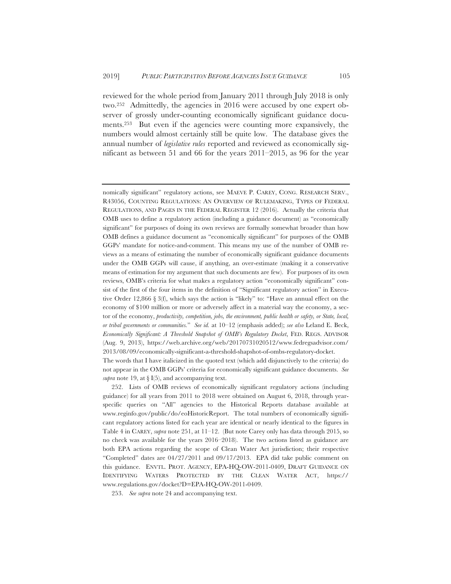reviewed for the whole period from January 2011 through July 2018 is only two.252 Admittedly, the agencies in 2016 were accused by one expert observer of grossly under-counting economically significant guidance documents.253 But even if the agencies were counting more expansively, the numbers would almost certainly still be quite low. The database gives the annual number of *legislative rules* reported and reviewed as economically significant as between 51 and 66 for the years 2011–2015, as 96 for the year

252. Lists of OMB reviews of economically significant regulatory actions (including guidance) for all years from 2011 to 2018 were obtained on August 6, 2018, through yearspecific queries on "All" agencies to the Historical Reports database available at www.reginfo.gov/public/do/eoHistoricReport. The total numbers of economically significant regulatory actions listed for each year are identical or nearly identical to the figures in Table 4 in CAREY, *supra* note 251, at 11–12. (But note Carey only has data through 2015, so no check was available for the years 2016–2018). The two actions listed as guidance are both EPA actions regarding the scope of Clean Water Act jurisdiction; their respective "Completed" dates are 04/27/2011 and 09/17/2013. EPA did take public comment on this guidance. ENVTL. PROT. AGENCY, EPA-HQ-OW-2011-0409, DRAFT GUIDANCE ON IDENTIFYING WATERS PROTECTED BY THE CLEAN WATER ACT, https:// www.regulations.gov/docket?D=EPA-HQ-OW-2011-0409.

253. *See supra* note 24 and accompanying text.

*supra* note 19, at  $\S$  I(5), and accompanying text.

nomically significant" regulatory actions, see MAEVE P. CAREY, CONG. RESEARCH SERV., R43056, COUNTING REGULATIONS: AN OVERVIEW OF RULEMAKING, TYPES OF FEDERAL REGULATIONS, AND PAGES IN THE FEDERAL REGISTER 12 (2016). Actually the criteria that OMB uses to define a regulatory action (including a guidance document) as "economically significant" for purposes of doing its own reviews are formally somewhat broader than how OMB defines a guidance document as "economically significant" for purposes of the OMB GGPs' mandate for notice-and-comment. This means my use of the number of OMB reviews as a means of estimating the number of economically significant guidance documents under the OMB GGPs will cause, if anything, an over-estimate (making it a conservative means of estimation for my argument that such documents are few). For purposes of its own reviews, OMB's criteria for what makes a regulatory action "economically significant" consist of the first of the four items in the definition of "Significant regulatory action" in Executive Order 12,866 § 3(f), which says the action is "likely" to: "Have an annual effect on the economy of \$100 million or more or adversely affect in a material way the economy, a sector of the economy, *productivity, competition, jobs, the environment, public health or safety, or State, local, or tribal governments or communities.*" *See id.* at 10–12 (emphasis added); *see also* Leland E. Beck, *Economically Significant: A Threshold Snapshot of OMB's Regulatory Docket*, FED. REGS. ADVISOR (Aug. 9, 2013), https://web.archive.org/web/20170731020512/www.fedregsadvisor.com/ 2013/08/09/economically-significant-a-threshold-shapshot-of-ombs-regulatory-docket. The words that I have italicized in the quoted text (which add disjunctively to the criteria) do not appear in the OMB GGPs' criteria for economically significant guidance documents. *See*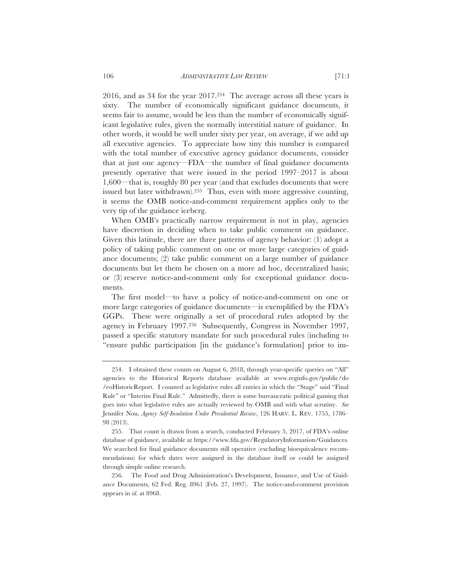2016, and as 34 for the year 2017.254 The average across all these years is sixty. The number of economically significant guidance documents, it seems fair to assume, would be less than the number of economically significant legislative rules, given the normally interstitial nature of guidance. In other words, it would be well under sixty per year, on average, if we add up all executive agencies. To appreciate how tiny this number is compared with the total number of executive agency guidance documents, consider that at just one agency—FDA—the number of final guidance documents presently operative that were issued in the period 1997–2017 is about 1,600—that is, roughly 80 per year (and that excludes documents that were issued but later withdrawn).255 Thus, even with more aggressive counting, it seems the OMB notice-and-comment requirement applies only to the very tip of the guidance iceberg.

When OMB's practically narrow requirement is not in play, agencies have discretion in deciding when to take public comment on guidance. Given this latitude, there are three patterns of agency behavior: (1) adopt a policy of taking public comment on one or more large categories of guidance documents; (2) take public comment on a large number of guidance documents but let them be chosen on a more ad hoc, decentralized basis; or (3) reserve notice-and-comment only for exceptional guidance documents.

The first model—to have a policy of notice-and-comment on one or more large categories of guidance documents—is exemplified by the FDA's GGPs. These were originally a set of procedural rules adopted by the agency in February 1997.256 Subsequently, Congress in November 1997, passed a specific statutory mandate for such procedural rules (including to "ensure public participation [in the guidance's formulation] prior to im-

<sup>254.</sup> I obtained these counts on August 6, 2018, through year-specific queries on "All" agencies to the Historical Reports database available at www.reginfo.gov/public/do /eoHistoricReport. I counted as legislative rules all entries in which the "Stage" said "Final Rule" or "Interim Final Rule." Admittedly, there is some bureaucratic political gaming that goes into what legislative rules are actually reviewed by OMB and with what scrutiny. *See* Jennifer Nou, *Agency Self-Insulation Under Presidential Review*, 126 HARV. L. REV. 1755, 1786– 98 (2013).

<sup>255.</sup> That count is drawn from a search, conducted February 5, 2017, of FDA's online database of guidance, available at https://www.fda.gov/RegulatoryInformation/Guidances. We searched for final guidance documents still operative (excluding bioequivalence recommendations) for which dates were assigned in the database itself or could be assigned through simple online research.

<sup>256.</sup> The Food and Drug Administration's Development, Issuance, and Use of Guidance Documents, 62 Fed. Reg. 8961 (Feb. 27, 1997). The notice-and-comment provision appears in *id.* at 8968.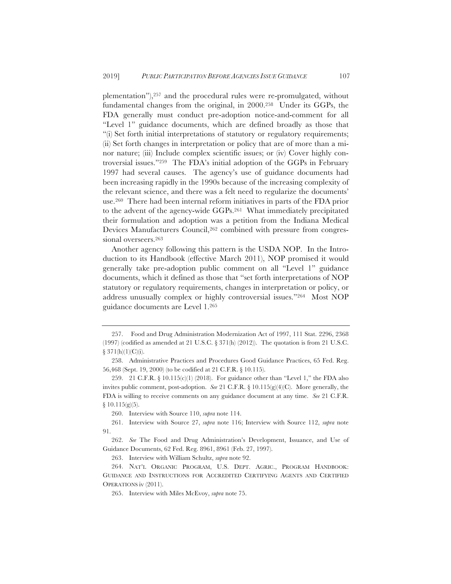plementation"),257 and the procedural rules were re-promulgated, without fundamental changes from the original, in 2000.258 Under its GGPs, the FDA generally must conduct pre-adoption notice-and-comment for all "Level 1" guidance documents, which are defined broadly as those that "(i) Set forth initial interpretations of statutory or regulatory requirements; (ii) Set forth changes in interpretation or policy that are of more than a minor nature; (iii) Include complex scientific issues; or (iv) Cover highly controversial issues."259 The FDA's initial adoption of the GGPs in February 1997 had several causes. The agency's use of guidance documents had been increasing rapidly in the 1990s because of the increasing complexity of the relevant science, and there was a felt need to regularize the documents' use.260 There had been internal reform initiatives in parts of the FDA prior to the advent of the agency-wide GGPs.261 What immediately precipitated their formulation and adoption was a petition from the Indiana Medical Devices Manufacturers Council,262 combined with pressure from congressional overseers.263

Another agency following this pattern is the USDA NOP. In the Introduction to its Handbook (effective March 2011), NOP promised it would generally take pre-adoption public comment on all "Level 1" guidance documents, which it defined as those that "set forth interpretations of NOP statutory or regulatory requirements, changes in interpretation or policy, or address unusually complex or highly controversial issues."264 Most NOP guidance documents are Level 1.265

260. Interview with Source 110, *supra* note 114.

<sup>257.</sup> Food and Drug Administration Modernization Act of 1997, 111 Stat. 2296, 2368 (1997) (codified as amended at 21 U.S.C.  $\S 371(h)$  (2012)). The quotation is from 21 U.S.C.  $§ 371(h)(1)(C)(i).$ 

<sup>258.</sup> Administrative Practices and Procedures Good Guidance Practices, 65 Fed. Reg. 56,468 (Sept. 19, 2000) (to be codified at 21 C.F.R. § 10.115).

<sup>259. 21</sup> C.F.R. § 10.115(c)(1) (2018). For guidance other than "Level 1," the FDA also invites public comment, post-adoption. *See* 21 C.F.R. § 10.115(g)(4)(C). More generally, the FDA is willing to receive comments on any guidance document at any time. *See* 21 C.F.R.  $§ 10.115(g)(5).$ 

<sup>261.</sup> Interview with Source 27, *supra* note 116; Interview with Source 112, *supra* note 91.

<sup>262.</sup> *See* The Food and Drug Administration's Development, Issuance, and Use of Guidance Documents, 62 Fed. Reg. 8961, 8961 (Feb. 27, 1997).

<sup>263.</sup> Interview with William Schultz, *supra* note 92.

<sup>264.</sup> NAT'L ORGANIC PROGRAM, U.S. DEPT. AGRIC., PROGRAM HANDBOOK: GUIDANCE AND INSTRUCTIONS FOR ACCREDITED CERTIFYING AGENTS AND CERTIFIED OPERATIONS iv (2011).

<sup>265.</sup> Interview with Miles McEvoy, *supra* note 75.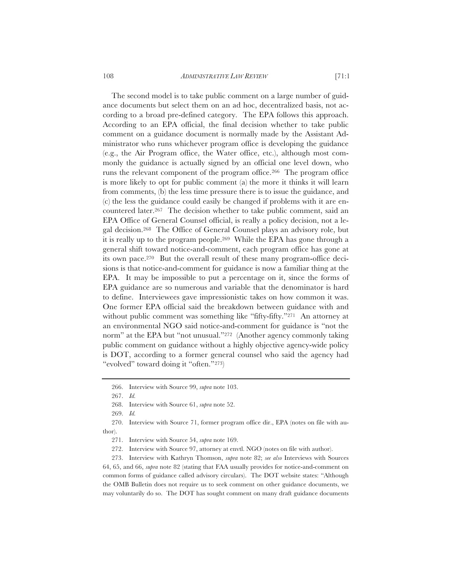108 *ADMINISTRATIVE LAW REVIEW* [71:1

The second model is to take public comment on a large number of guidance documents but select them on an ad hoc, decentralized basis, not according to a broad pre-defined category. The EPA follows this approach. According to an EPA official, the final decision whether to take public comment on a guidance document is normally made by the Assistant Administrator who runs whichever program office is developing the guidance (e.g., the Air Program office, the Water office, etc.), although most commonly the guidance is actually signed by an official one level down, who runs the relevant component of the program office.266 The program office is more likely to opt for public comment (a) the more it thinks it will learn from comments, (b) the less time pressure there is to issue the guidance, and (c) the less the guidance could easily be changed if problems with it are encountered later.267 The decision whether to take public comment, said an EPA Office of General Counsel official, is really a policy decision, not a legal decision.268 The Office of General Counsel plays an advisory role, but it is really up to the program people.269 While the EPA has gone through a general shift toward notice-and-comment, each program office has gone at its own pace.270 But the overall result of these many program-office decisions is that notice-and-comment for guidance is now a familiar thing at the EPA. It may be impossible to put a percentage on it, since the forms of EPA guidance are so numerous and variable that the denominator is hard to define. Interviewees gave impressionistic takes on how common it was. One former EPA official said the breakdown between guidance with and without public comment was something like "fifty-fifty."271 An attorney at an environmental NGO said notice-and-comment for guidance is "not the norm" at the EPA but "not unusual."272 (Another agency commonly taking public comment on guidance without a highly objective agency-wide policy is DOT, according to a former general counsel who said the agency had "evolved" toward doing it "often."273)

273. Interview with Kathryn Thomson, *supra* note 82; *see also* Interviews with Sources 64, 65, and 66, *supra* note 82 (stating that FAA usually provides for notice-and-comment on common forms of guidance called advisory circulars). The DOT website states: "Although the OMB Bulletin does not require us to seek comment on other guidance documents, we may voluntarily do so. The DOT has sought comment on many draft guidance documents

<sup>266.</sup> Interview with Source 99, *supra* note 103.

<sup>267.</sup> *Id.*

<sup>268.</sup> Interview with Source 61, *supra* note 52.

<sup>269.</sup> *Id.*

<sup>270.</sup> Interview with Source 71, former program office dir., EPA (notes on file with author).

<sup>271.</sup> Interview with Source 54, *supra* note 169.

<sup>272.</sup> Interview with Source 97, attorney at envtl. NGO (notes on file with author).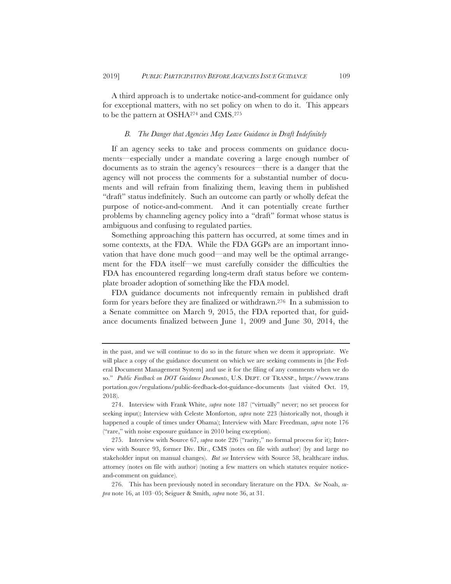A third approach is to undertake notice-and-comment for guidance only for exceptional matters, with no set policy on when to do it. This appears to be the pattern at OSHA274 and CMS.275

#### *B. The Danger that Agencies May Leave Guidance in Draft Indefinitely*

If an agency seeks to take and process comments on guidance documents—especially under a mandate covering a large enough number of documents as to strain the agency's resources—there is a danger that the agency will not process the comments for a substantial number of documents and will refrain from finalizing them, leaving them in published "draft" status indefinitely. Such an outcome can partly or wholly defeat the purpose of notice-and-comment. And it can potentially create further problems by channeling agency policy into a "draft" format whose status is ambiguous and confusing to regulated parties.

Something approaching this pattern has occurred, at some times and in some contexts, at the FDA. While the FDA GGPs are an important innovation that have done much good—and may well be the optimal arrangement for the FDA itself—we must carefully consider the difficulties the FDA has encountered regarding long-term draft status before we contemplate broader adoption of something like the FDA model.

FDA guidance documents not infrequently remain in published draft form for years before they are finalized or withdrawn.276 In a submission to a Senate committee on March 9, 2015, the FDA reported that, for guidance documents finalized between June 1, 2009 and June 30, 2014, the

in the past, and we will continue to do so in the future when we deem it appropriate. We will place a copy of the guidance document on which we are seeking comments in [the Federal Document Management System] and use it for the filing of any comments when we do so." *Public Feedback on DOT Guidance Documents*, U.S. DEPT. OF TRANSP., https://www.trans portation.gov/regulations/public-feedback-dot-guidance-documents (last visited Oct. 19, 2018).

<sup>274.</sup> Interview with Frank White, *supra* note 187 ("virtually" never; no set process for seeking input); Interview with Celeste Monforton, *supra* note 223 (historically not, though it happened a couple of times under Obama); Interview with Marc Freedman, *supra* note 176 ("rare," with noise exposure guidance in 2010 being exception).

<sup>275.</sup> Interview with Source 67, *supra* note 226 ("rarity," no formal process for it); Interview with Source 93, former Div. Dir., CMS (notes on file with author) (by and large no stakeholder input on manual changes). *But see* Interview with Source 58, healthcare indus. attorney (notes on file with author) (noting a few matters on which statutes require noticeand-comment on guidance).

<sup>276.</sup> This has been previously noted in secondary literature on the FDA. *See* Noah, *supra* note 16, at 103–05; Seiguer & Smith, *supra* note 36, at 31.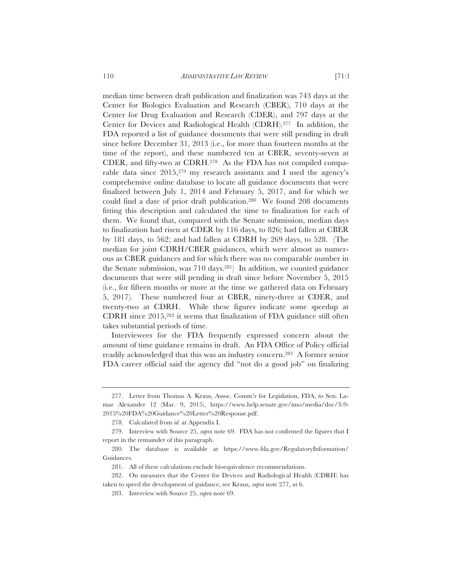110 *ADMINISTRATIVE LAW REVIEW* [71:1

median time between draft publication and finalization was 743 days at the Center for Biologics Evaluation and Research (CBER), 710 days at the Center for Drug Evaluation and Research (CDER), and 797 days at the Center for Devices and Radiological Health (CDRH).277 In addition, the FDA reported a list of guidance documents that were still pending in draft since before December 31, 2013 (i.e., for more than fourteen months at the time of the report), and these numbered ten at CBER, seventy-seven at CDER, and fifty-two at CDRH.278 As the FDA has not compiled comparable data since 2015,279 my research assistants and I used the agency's comprehensive online database to locate all guidance documents that were finalized between July 1, 2014 and February 5, 2017, and for which we could find a date of prior draft publication.280 We found 208 documents fitting this description and calculated the time to finalization for each of them. We found that, compared with the Senate submission, median days to finalization had risen at CDER by 116 days, to 826; had fallen at CBER by 181 days, to 562; and had fallen at CDRH by 269 days, to 528. (The median for joint CDRH/CBER guidances, which were almost as numerous as CBER guidances and for which there was no comparable number in the Senate submission, was 710 days.281) In addition, we counted guidance documents that were still pending in draft since before November 5, 2015 (i.e., for fifteen months or more at the time we gathered data on February 5, 2017). These numbered four at CBER, ninety-three at CDER, and twenty-two at CDRH. While these figures indicate some speedup at CDRH since 2015,282 it seems that finalization of FDA guidance still often takes substantial periods of time.

Interviewees for the FDA frequently expressed concern about the amount of time guidance remains in draft. An FDA Office of Policy official readily acknowledged that this was an industry concern.283 A former senior FDA career official said the agency did "not do a good job" on finalizing

<sup>277.</sup> Letter from Thomas A. Kraus, Assoc. Comm'r for Legislation, FDA, to Sen. Lamar Alexander 12 (Mar. 9, 2015), https://www.help.senate.gov/imo/media/doc/3-9- 2015%20FDA%20Guidance%20Letter%20Response.pdf.

<sup>278.</sup> Calculated from *id.* at Appendix I.

<sup>279.</sup> Interview with Source 25, *supra* note 69. FDA has not confirmed the figures that I report in the remainder of this paragraph.

<sup>280.</sup> The database is available at https://www.fda.gov/RegulatoryInformation/ Guidances.

<sup>281.</sup> All of these calculations exclude bioequivalence recommendations.

<sup>282.</sup> On measures that the Center for Devices and Radiological Health (CDRH) has taken to speed the development of guidance, see Kraus, *supra* note 277, at 6.

<sup>283.</sup> Interview with Source 25, *supra* note 69.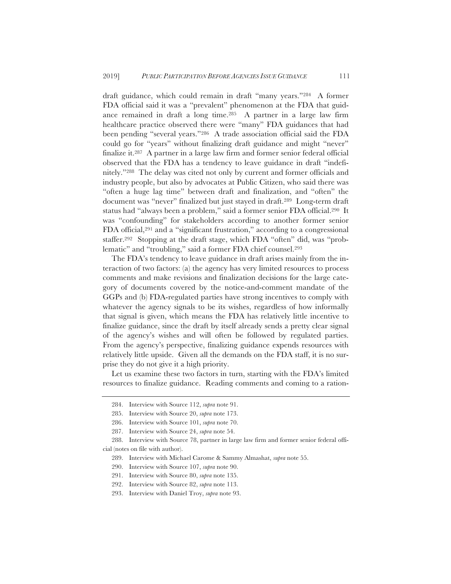draft guidance, which could remain in draft "many years."284 A former FDA official said it was a "prevalent" phenomenon at the FDA that guidance remained in draft a long time.285 A partner in a large law firm healthcare practice observed there were "many" FDA guidances that had been pending "several years."286 A trade association official said the FDA could go for "years" without finalizing draft guidance and might "never" finalize it.287 A partner in a large law firm and former senior federal official observed that the FDA has a tendency to leave guidance in draft "indefinitely."288 The delay was cited not only by current and former officials and industry people, but also by advocates at Public Citizen, who said there was "often a huge lag time" between draft and finalization, and "often" the document was "never" finalized but just stayed in draft.289 Long-term draft status had "always been a problem," said a former senior FDA official.290 It was "confounding" for stakeholders according to another former senior FDA official,291 and a "significant frustration," according to a congressional staffer.292 Stopping at the draft stage, which FDA "often" did, was "problematic" and "troubling," said a former FDA chief counsel.293

The FDA's tendency to leave guidance in draft arises mainly from the interaction of two factors: (a) the agency has very limited resources to process comments and make revisions and finalization decisions for the large category of documents covered by the notice-and-comment mandate of the GGPs and (b) FDA-regulated parties have strong incentives to comply with whatever the agency signals to be its wishes, regardless of how informally that signal is given, which means the FDA has relatively little incentive to finalize guidance, since the draft by itself already sends a pretty clear signal of the agency's wishes and will often be followed by regulated parties. From the agency's perspective, finalizing guidance expends resources with relatively little upside. Given all the demands on the FDA staff, it is no surprise they do not give it a high priority.

Let us examine these two factors in turn, starting with the FDA's limited resources to finalize guidance. Reading comments and coming to a ration-

<sup>284.</sup> Interview with Source 112, *supra* note 91.

<sup>285.</sup> Interview with Source 20, *supra* note 173.

<sup>286.</sup> Interview with Source 101, *supra* note 70.

<sup>287.</sup> Interview with Source 24, *supra* note 54.

<sup>288.</sup> Interview with Source 78, partner in large law firm and former senior federal official (notes on file with author).

<sup>289.</sup> Interview with Michael Carome & Sammy Almashat, *supra* note 55.

<sup>290.</sup> Interview with Source 107, *supra* note 90.

<sup>291.</sup> Interview with Source 80, *supra* note 135.

<sup>292.</sup> Interview with Source 82, *supra* note 113.

<sup>293.</sup> Interview with Daniel Troy, *supra* note 93.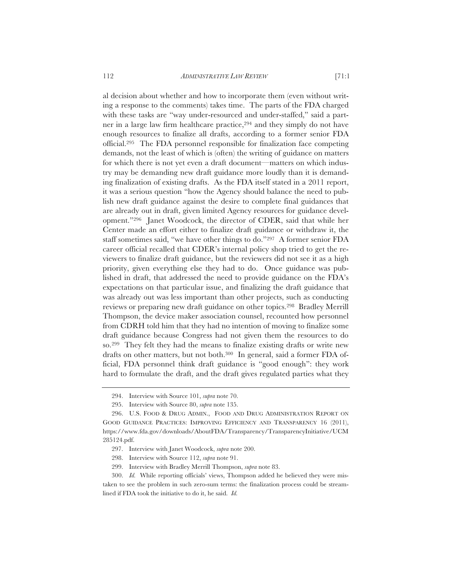112 *ADMINISTRATIVE LAW REVIEW* [71:1

al decision about whether and how to incorporate them (even without writing a response to the comments) takes time. The parts of the FDA charged with these tasks are "way under-resourced and under-staffed," said a partner in a large law firm healthcare practice,294 and they simply do not have enough resources to finalize all drafts, according to a former senior FDA official.295 The FDA personnel responsible for finalization face competing demands, not the least of which is (often) the writing of guidance on matters for which there is not yet even a draft document—matters on which industry may be demanding new draft guidance more loudly than it is demanding finalization of existing drafts. As the FDA itself stated in a 2011 report, it was a serious question "how the Agency should balance the need to publish new draft guidance against the desire to complete final guidances that are already out in draft, given limited Agency resources for guidance development."296 Janet Woodcock, the director of CDER, said that while her Center made an effort either to finalize draft guidance or withdraw it, the staff sometimes said, "we have other things to do."297 A former senior FDA career official recalled that CDER's internal policy shop tried to get the reviewers to finalize draft guidance, but the reviewers did not see it as a high priority, given everything else they had to do. Once guidance was published in draft, that addressed the need to provide guidance on the FDA's expectations on that particular issue, and finalizing the draft guidance that was already out was less important than other projects, such as conducting reviews or preparing new draft guidance on other topics.298 Bradley Merrill Thompson, the device maker association counsel, recounted how personnel from CDRH told him that they had no intention of moving to finalize some draft guidance because Congress had not given them the resources to do so.299 They felt they had the means to finalize existing drafts or write new drafts on other matters, but not both.300 In general, said a former FDA official, FDA personnel think draft guidance is "good enough": they work hard to formulate the draft, and the draft gives regulated parties what they

<sup>294.</sup> Interview with Source 101, *supra* note 70.

<sup>295.</sup> Interview with Source 80, *supra* note 135.

<sup>296.</sup> U.S. FOOD & DRUG ADMIN., FOOD AND DRUG ADMINISTRATION REPORT ON GOOD GUIDANCE PRACTICES: IMPROVING EFFICIENCY AND TRANSPARENCY 16 (2011), https://www.fda.gov/downloads/AboutFDA/Transparency/TransparencyInitiative/UCM 285124.pdf.

<sup>297.</sup> Interview with Janet Woodcock, *supra* note 200.

<sup>298.</sup> Interview with Source 112, *supra* note 91.

<sup>299.</sup> Interview with Bradley Merrill Thompson, *supra* note 83.

<sup>300.</sup> *Id.* While reporting officials' views, Thompson added he believed they were mistaken to see the problem in such zero-sum terms: the finalization process could be streamlined if FDA took the initiative to do it, he said. *Id.*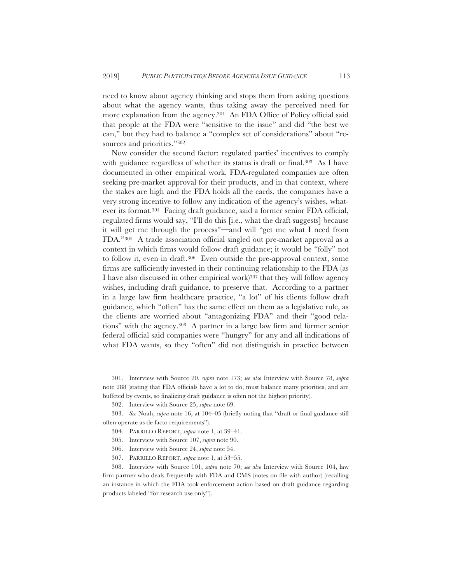need to know about agency thinking and stops them from asking questions about what the agency wants, thus taking away the perceived need for more explanation from the agency.301 An FDA Office of Policy official said that people at the FDA were "sensitive to the issue" and did "the best we can," but they had to balance a "complex set of considerations" about "resources and priorities."302

Now consider the second factor: regulated parties' incentives to comply with guidance regardless of whether its status is draft or final.<sup>303</sup> As I have documented in other empirical work, FDA-regulated companies are often seeking pre-market approval for their products, and in that context, where the stakes are high and the FDA holds all the cards, the companies have a very strong incentive to follow any indication of the agency's wishes, whatever its format.304 Facing draft guidance, said a former senior FDA official, regulated firms would say, "I'll do this [i.e., what the draft suggests] because it will get me through the process"—and will "get me what I need from FDA."305 A trade association official singled out pre-market approval as a context in which firms would follow draft guidance; it would be "folly" not to follow it, even in draft.306 Even outside the pre-approval context, some firms are sufficiently invested in their continuing relationship to the FDA (as I have also discussed in other empirical work)307 that they will follow agency wishes, including draft guidance, to preserve that. According to a partner in a large law firm healthcare practice, "a lot" of his clients follow draft guidance, which "often" has the same effect on them as a legislative rule, as the clients are worried about "antagonizing FDA" and their "good relations" with the agency.308 A partner in a large law firm and former senior federal official said companies were "hungry" for any and all indications of what FDA wants, so they "often" did not distinguish in practice between

<sup>301.</sup> Interview with Source 20, *supra* note 173; *see also* Interview with Source 78, *supra* note 288 (stating that FDA officials have a lot to do, must balance many priorities, and are buffeted by events, so finalizing draft guidance is often not the highest priority).

<sup>302.</sup> Interview with Source 25, *supra* note 69.

<sup>303.</sup> *See* Noah, *supra* note 16, at 104–05 (briefly noting that "draft or final guidance still often operate as de facto requirements").

<sup>304.</sup> PARRILLO REPORT, *supra* note 1, at 39–41.

<sup>305.</sup> Interview with Source 107, *supra* note 90.

<sup>306.</sup> Interview with Source 24, *supra* note 54.

<sup>307.</sup> PARRILLO REPORT, *supra* note 1, at 53–55.

<sup>308.</sup> Interview with Source 101, *supra* note 70; *see also* Interview with Source 104, law firm partner who deals frequently with FDA and CMS (notes on file with author) (recalling an instance in which the FDA took enforcement action based on draft guidance regarding products labeled "for research use only").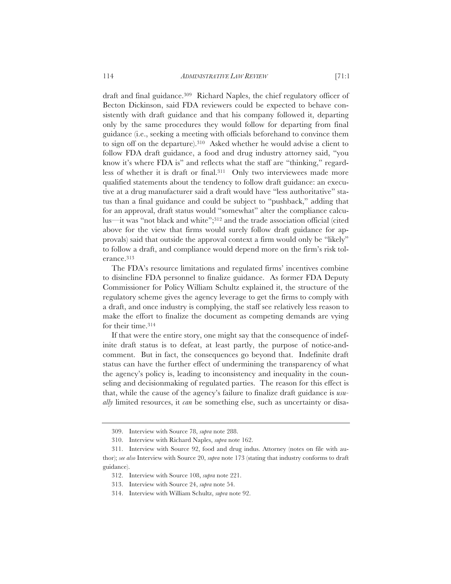draft and final guidance.309 Richard Naples, the chief regulatory officer of Becton Dickinson, said FDA reviewers could be expected to behave consistently with draft guidance and that his company followed it, departing only by the same procedures they would follow for departing from final guidance (i.e., seeking a meeting with officials beforehand to convince them to sign off on the departure).310 Asked whether he would advise a client to follow FDA draft guidance, a food and drug industry attorney said, "you know it's where FDA is" and reflects what the staff are "thinking," regardless of whether it is draft or final.311 Only two interviewees made more qualified statements about the tendency to follow draft guidance: an executive at a drug manufacturer said a draft would have "less authoritative" status than a final guidance and could be subject to "pushback," adding that for an approval, draft status would "somewhat" alter the compliance calculus—it was "not black and white";312 and the trade association official (cited above for the view that firms would surely follow draft guidance for approvals) said that outside the approval context a firm would only be "likely" to follow a draft, and compliance would depend more on the firm's risk tolerance.313

The FDA's resource limitations and regulated firms' incentives combine to disincline FDA personnel to finalize guidance. As former FDA Deputy Commissioner for Policy William Schultz explained it, the structure of the regulatory scheme gives the agency leverage to get the firms to comply with a draft, and once industry is complying, the staff see relatively less reason to make the effort to finalize the document as competing demands are vying for their time.314

If that were the entire story, one might say that the consequence of indefinite draft status is to defeat, at least partly, the purpose of notice-andcomment. But in fact, the consequences go beyond that. Indefinite draft status can have the further effect of undermining the transparency of what the agency's policy is, leading to inconsistency and inequality in the counseling and decisionmaking of regulated parties. The reason for this effect is that, while the cause of the agency's failure to finalize draft guidance is *usually* limited resources, it *can* be something else, such as uncertainty or disa-

<sup>309.</sup> Interview with Source 78, *supra* note 288.

<sup>310.</sup> Interview with Richard Naples, *supra* note 162.

<sup>311.</sup> Interview with Source 92, food and drug indus. Attorney (notes on file with author); *see also* Interview with Source 20, *supra* note 173 (stating that industry conforms to draft guidance).

<sup>312.</sup> Interview with Source 108, *supra* note 221.

<sup>313.</sup> Interview with Source 24, *supra* note 54.

<sup>314.</sup> Interview with William Schultz, *supra* note 92.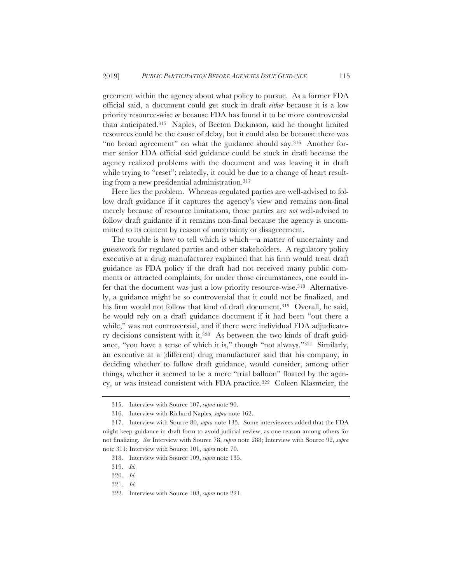greement within the agency about what policy to pursue. As a former FDA official said, a document could get stuck in draft *either* because it is a low priority resource-wise *or* because FDA has found it to be more controversial than anticipated.315 Naples, of Becton Dickinson, said he thought limited resources could be the cause of delay, but it could also be because there was "no broad agreement" on what the guidance should say.<sup>316</sup> Another former senior FDA official said guidance could be stuck in draft because the agency realized problems with the document and was leaving it in draft while trying to "reset"; relatedly, it could be due to a change of heart resulting from a new presidential administration.317

Here lies the problem. Whereas regulated parties are well-advised to follow draft guidance if it captures the agency's view and remains non-final merely because of resource limitations, those parties are *not* well-advised to follow draft guidance if it remains non-final because the agency is uncommitted to its content by reason of uncertainty or disagreement.

The trouble is how to tell which is which—a matter of uncertainty and guesswork for regulated parties and other stakeholders. A regulatory policy executive at a drug manufacturer explained that his firm would treat draft guidance as FDA policy if the draft had not received many public comments or attracted complaints, for under those circumstances, one could infer that the document was just a low priority resource-wise.318 Alternatively, a guidance might be so controversial that it could not be finalized, and his firm would not follow that kind of draft document.319 Overall, he said, he would rely on a draft guidance document if it had been "out there a while," was not controversial, and if there were individual FDA adjudicatory decisions consistent with it.320 As between the two kinds of draft guidance, "you have a sense of which it is," though "not always."321 Similarly, an executive at a (different) drug manufacturer said that his company, in deciding whether to follow draft guidance, would consider, among other things, whether it seemed to be a mere "trial balloon" floated by the agency, or was instead consistent with FDA practice.322 Coleen Klasmeier, the

<sup>315.</sup> Interview with Source 107, *supra* note 90.

<sup>316.</sup> Interview with Richard Naples, *supra* note 162.

<sup>317.</sup> Interview with Source 80, *supra* note 135. Some interviewees added that the FDA might keep guidance in draft form to avoid judicial review, as one reason among others for not finalizing. *See* Interview with Source 78, *supra* note 288; Interview with Source 92, *supra* note 311; Interview with Source 101, *supra* note 70.

<sup>318.</sup> Interview with Source 109, *supra* note 135.

<sup>319.</sup> *Id.*

<sup>320.</sup> *Id.*

<sup>321.</sup> *Id.*

<sup>322.</sup> Interview with Source 108, *supra* note 221.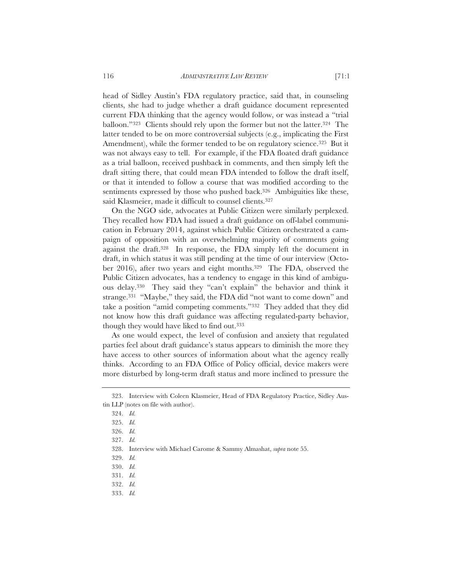head of Sidley Austin's FDA regulatory practice, said that, in counseling clients, she had to judge whether a draft guidance document represented current FDA thinking that the agency would follow, or was instead a "trial balloon."<sup>323</sup> Clients should rely upon the former but not the latter.<sup>324</sup> The latter tended to be on more controversial subjects (e.g., implicating the First Amendment), while the former tended to be on regulatory science.<sup>325</sup> But it was not always easy to tell. For example, if the FDA floated draft guidance as a trial balloon, received pushback in comments, and then simply left the draft sitting there, that could mean FDA intended to follow the draft itself, or that it intended to follow a course that was modified according to the sentiments expressed by those who pushed back.<sup>326</sup> Ambiguities like these, said Klasmeier, made it difficult to counsel clients.<sup>327</sup>

On the NGO side, advocates at Public Citizen were similarly perplexed. They recalled how FDA had issued a draft guidance on off-label communication in February 2014, against which Public Citizen orchestrated a campaign of opposition with an overwhelming majority of comments going against the draft.328 In response, the FDA simply left the document in draft, in which status it was still pending at the time of our interview (October 2016), after two years and eight months.329 The FDA, observed the Public Citizen advocates, has a tendency to engage in this kind of ambiguous delay.330 They said they "can't explain" the behavior and think it strange.331 "Maybe," they said, the FDA did "not want to come down" and take a position "amid competing comments."332 They added that they did not know how this draft guidance was affecting regulated-party behavior, though they would have liked to find out.333

As one would expect, the level of confusion and anxiety that regulated parties feel about draft guidance's status appears to diminish the more they have access to other sources of information about what the agency really thinks. According to an FDA Office of Policy official, device makers were more disturbed by long-term draft status and more inclined to pressure the

333. *Id.*

<sup>323.</sup> Interview with Coleen Klasmeier, Head of FDA Regulatory Practice, Sidley Austin LLP (notes on file with author).

<sup>324.</sup> *Id.*

<sup>325.</sup> *Id.*

<sup>326.</sup> *Id.*

<sup>327.</sup> *Id.*

<sup>328.</sup> Interview with Michael Carome & Sammy Almashat, *supra* note 55.

<sup>329.</sup> *Id.*

<sup>330.</sup> *Id.*

<sup>331.</sup> *Id.*

<sup>332.</sup> *Id.*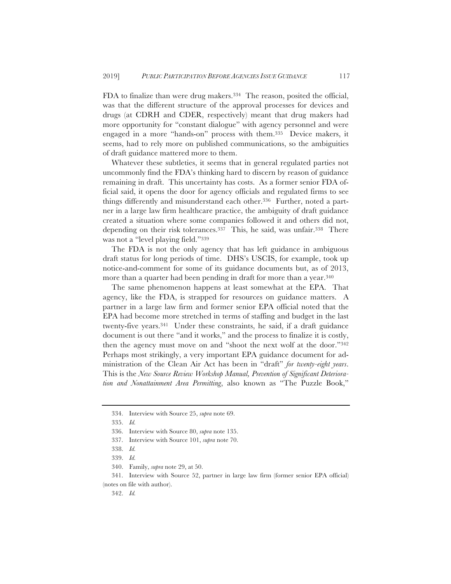FDA to finalize than were drug makers.334 The reason, posited the official, was that the different structure of the approval processes for devices and drugs (at CDRH and CDER, respectively) meant that drug makers had more opportunity for "constant dialogue" with agency personnel and were engaged in a more "hands-on" process with them.335 Device makers, it seems, had to rely more on published communications, so the ambiguities of draft guidance mattered more to them.

Whatever these subtleties, it seems that in general regulated parties not uncommonly find the FDA's thinking hard to discern by reason of guidance remaining in draft. This uncertainty has costs. As a former senior FDA official said, it opens the door for agency officials and regulated firms to see things differently and misunderstand each other.<sup>336</sup> Further, noted a partner in a large law firm healthcare practice, the ambiguity of draft guidance created a situation where some companies followed it and others did not, depending on their risk tolerances.337 This, he said, was unfair.338 There was not a "level playing field."339

The FDA is not the only agency that has left guidance in ambiguous draft status for long periods of time. DHS's USCIS, for example, took up notice-and-comment for some of its guidance documents but, as of 2013, more than a quarter had been pending in draft for more than a year.<sup>340</sup>

The same phenomenon happens at least somewhat at the EPA. That agency, like the FDA, is strapped for resources on guidance matters. A partner in a large law firm and former senior EPA official noted that the EPA had become more stretched in terms of staffing and budget in the last twenty-five years.341 Under these constraints, he said, if a draft guidance document is out there "and it works," and the process to finalize it is costly, then the agency must move on and "shoot the next wolf at the door."342 Perhaps most strikingly, a very important EPA guidance document for administration of the Clean Air Act has been in "draft" *for twenty-eight years*. This is the *New Source Review Workshop Manual, Prevention of Significant Deterioration and Nonattainment Area Permitting*, also known as "The Puzzle Book,"

<sup>334.</sup> Interview with Source 25, *supra* note 69.

<sup>335.</sup> *Id.*

<sup>336.</sup> Interview with Source 80, *supra* note 135.

<sup>337.</sup> Interview with Source 101, *supra* note 70.

<sup>338.</sup> *Id.*

<sup>339.</sup> *Id.*

<sup>340.</sup> Family, *supra* note 29, at 50.

<sup>341.</sup> Interview with Source 52, partner in large law firm (former senior EPA official) (notes on file with author).

<sup>342.</sup> *Id.*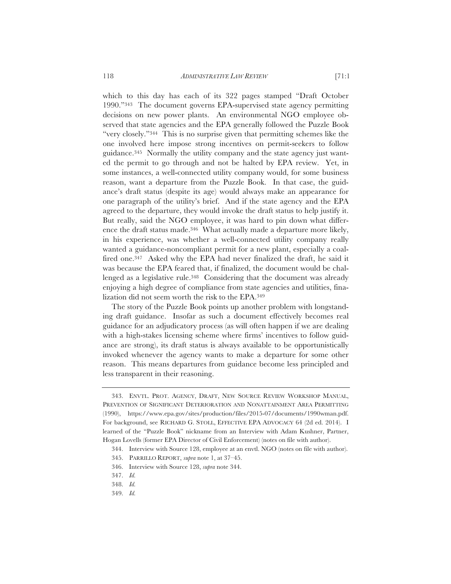118 *ADMINISTRATIVE LAW REVIEW* [71:1

which to this day has each of its 322 pages stamped "Draft October 1990."343 The document governs EPA-supervised state agency permitting decisions on new power plants. An environmental NGO employee observed that state agencies and the EPA generally followed the Puzzle Book "very closely."344 This is no surprise given that permitting schemes like the one involved here impose strong incentives on permit-seekers to follow guidance.345 Normally the utility company and the state agency just wanted the permit to go through and not be halted by EPA review. Yet, in some instances, a well-connected utility company would, for some business reason, want a departure from the Puzzle Book. In that case, the guidance's draft status (despite its age) would always make an appearance for one paragraph of the utility's brief. And if the state agency and the EPA agreed to the departure, they would invoke the draft status to help justify it. But really, said the NGO employee, it was hard to pin down what difference the draft status made.346 What actually made a departure more likely, in his experience, was whether a well-connected utility company really wanted a guidance-noncompliant permit for a new plant, especially a coalfired one.347 Asked why the EPA had never finalized the draft, he said it was because the EPA feared that, if finalized, the document would be challenged as a legislative rule.<sup>348</sup> Considering that the document was already enjoying a high degree of compliance from state agencies and utilities, finalization did not seem worth the risk to the EPA.349

The story of the Puzzle Book points up another problem with longstanding draft guidance. Insofar as such a document effectively becomes real guidance for an adjudicatory process (as will often happen if we are dealing with a high-stakes licensing scheme where firms' incentives to follow guidance are strong), its draft status is always available to be opportunistically invoked whenever the agency wants to make a departure for some other reason. This means departures from guidance become less principled and less transparent in their reasoning.

349. *Id.*

<sup>343.</sup> ENVTL. PROT. AGENCY, DRAFT, NEW SOURCE REVIEW WORKSHOP MANUAL, PREVENTION OF SIGNIFICANT DETERIORATION AND NONATTAINMENT AREA PERMITTING (1990), https://www.epa.gov/sites/production/files/2015-07/documents/1990wman.pdf. For background, see RICHARD G. STOLL, EFFECTIVE EPA ADVOCACY 64 (2d ed. 2014). I learned of the "Puzzle Book" nickname from an Interview with Adam Kushner, Partner, Hogan Lovells (former EPA Director of Civil Enforcement) (notes on file with author).

<sup>344.</sup> Interview with Source 128, employee at an envtl. NGO (notes on file with author).

<sup>345.</sup> PARRILLO REPORT, *supra* note 1, at 37–45.

<sup>346.</sup> Interview with Source 128, *supra* note 344.

<sup>347.</sup> *Id.*

<sup>348.</sup> *Id.*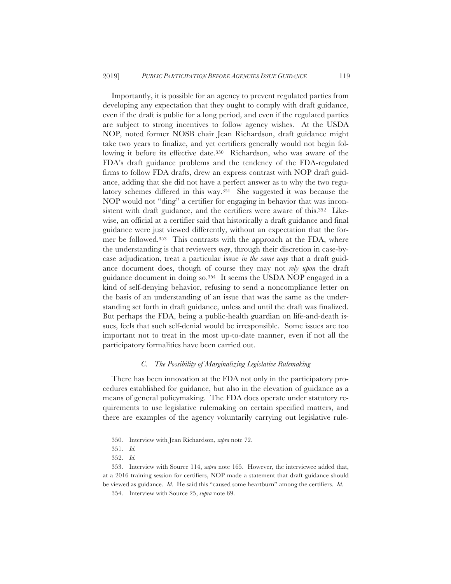Importantly, it is possible for an agency to prevent regulated parties from developing any expectation that they ought to comply with draft guidance, even if the draft is public for a long period, and even if the regulated parties are subject to strong incentives to follow agency wishes. At the USDA NOP, noted former NOSB chair Jean Richardson, draft guidance might take two years to finalize, and yet certifiers generally would not begin following it before its effective date.<sup>350</sup> Richardson, who was aware of the FDA's draft guidance problems and the tendency of the FDA-regulated firms to follow FDA drafts, drew an express contrast with NOP draft guidance, adding that she did not have a perfect answer as to why the two regulatory schemes differed in this way.351 She suggested it was because the NOP would not "ding" a certifier for engaging in behavior that was inconsistent with draft guidance, and the certifiers were aware of this.352 Likewise, an official at a certifier said that historically a draft guidance and final guidance were just viewed differently, without an expectation that the former be followed.353 This contrasts with the approach at the FDA, where the understanding is that reviewers *may*, through their discretion in case-bycase adjudication, treat a particular issue *in the same way* that a draft guidance document does, though of course they may not *rely upon* the draft guidance document in doing so.354 It seems the USDA NOP engaged in a kind of self-denying behavior, refusing to send a noncompliance letter on the basis of an understanding of an issue that was the same as the understanding set forth in draft guidance, unless and until the draft was finalized. But perhaps the FDA, being a public-health guardian on life-and-death issues, feels that such self-denial would be irresponsible. Some issues are too important not to treat in the most up-to-date manner, even if not all the participatory formalities have been carried out.

## *C. The Possibility of Marginalizing Legislative Rulemaking*

There has been innovation at the FDA not only in the participatory procedures established for guidance, but also in the elevation of guidance as a means of general policymaking. The FDA does operate under statutory requirements to use legislative rulemaking on certain specified matters, and there are examples of the agency voluntarily carrying out legislative rule-

<sup>350.</sup> Interview with Jean Richardson, *supra* note 72.

<sup>351.</sup> *Id.*

<sup>352.</sup> *Id.*

<sup>353.</sup> Interview with Source 114, *supra* note 165. However, the interviewee added that, at a 2016 training session for certifiers, NOP made a statement that draft guidance should be viewed as guidance. *Id.* He said this "caused some heartburn" among the certifiers. *Id.*

<sup>354.</sup> Interview with Source 25, *supra* note 69.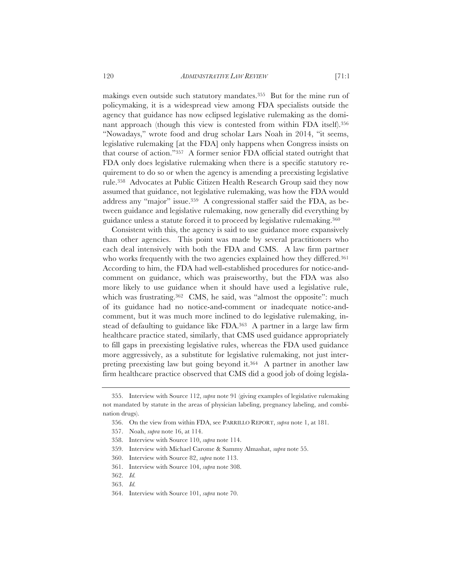makings even outside such statutory mandates.355 But for the mine run of policymaking, it is a widespread view among FDA specialists outside the agency that guidance has now eclipsed legislative rulemaking as the dominant approach (though this view is contested from within FDA itself).356 "Nowadays," wrote food and drug scholar Lars Noah in 2014, "it seems, legislative rulemaking [at the FDA] only happens when Congress insists on that course of action."357 A former senior FDA official stated outright that FDA only does legislative rulemaking when there is a specific statutory requirement to do so or when the agency is amending a preexisting legislative rule.358 Advocates at Public Citizen Health Research Group said they now assumed that guidance, not legislative rulemaking, was how the FDA would address any "major" issue.359 A congressional staffer said the FDA, as between guidance and legislative rulemaking, now generally did everything by guidance unless a statute forced it to proceed by legislative rulemaking.360

Consistent with this, the agency is said to use guidance more expansively than other agencies. This point was made by several practitioners who each deal intensively with both the FDA and CMS. A law firm partner who works frequently with the two agencies explained how they differed.<sup>361</sup> According to him, the FDA had well-established procedures for notice-andcomment on guidance, which was praiseworthy, but the FDA was also more likely to use guidance when it should have used a legislative rule, which was frustrating.<sup>362</sup> CMS, he said, was "almost the opposite": much of its guidance had no notice-and-comment or inadequate notice-andcomment, but it was much more inclined to do legislative rulemaking, instead of defaulting to guidance like FDA.363 A partner in a large law firm healthcare practice stated, similarly, that CMS used guidance appropriately to fill gaps in preexisting legislative rules, whereas the FDA used guidance more aggressively, as a substitute for legislative rulemaking, not just interpreting preexisting law but going beyond it.364 A partner in another law firm healthcare practice observed that CMS did a good job of doing legisla-

363. *Id.*

<sup>355.</sup> Interview with Source 112, *supra* note 91 (giving examples of legislative rulemaking not mandated by statute in the areas of physician labeling, pregnancy labeling, and combination drugs).

<sup>356.</sup> On the view from within FDA, see PARRILLO REPORT, *supra* note 1, at 181.

<sup>357.</sup> Noah, *supra* note 16, at 114.

<sup>358.</sup> Interview with Source 110, *supra* note 114.

<sup>359.</sup> Interview with Michael Carome & Sammy Almashat, *supra* note 55.

<sup>360.</sup> Interview with Source 82, *supra* note 113.

<sup>361.</sup> Interview with Source 104, *supra* note 308.

<sup>362.</sup> *Id.*

<sup>364.</sup> Interview with Source 101, *supra* note 70.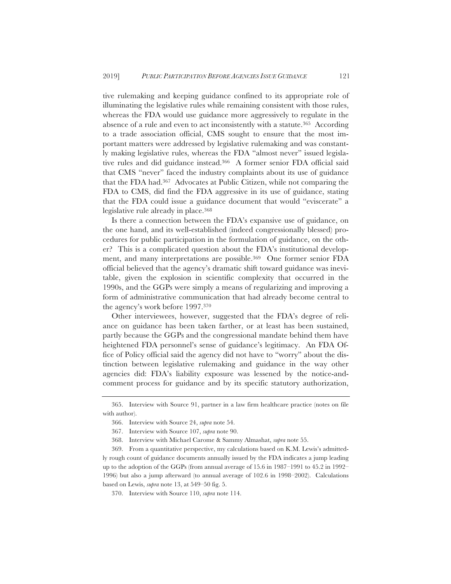tive rulemaking and keeping guidance confined to its appropriate role of illuminating the legislative rules while remaining consistent with those rules, whereas the FDA would use guidance more aggressively to regulate in the absence of a rule and even to act inconsistently with a statute.365 According to a trade association official, CMS sought to ensure that the most important matters were addressed by legislative rulemaking and was constantly making legislative rules, whereas the FDA "almost never" issued legislative rules and did guidance instead.366 A former senior FDA official said that CMS "never" faced the industry complaints about its use of guidance that the FDA had.367 Advocates at Public Citizen, while not comparing the FDA to CMS, did find the FDA aggressive in its use of guidance, stating that the FDA could issue a guidance document that would "eviscerate" a legislative rule already in place.368

Is there a connection between the FDA's expansive use of guidance, on the one hand, and its well-established (indeed congressionally blessed) procedures for public participation in the formulation of guidance, on the other? This is a complicated question about the FDA's institutional development, and many interpretations are possible.<sup>369</sup> One former senior FDA official believed that the agency's dramatic shift toward guidance was inevitable, given the explosion in scientific complexity that occurred in the 1990s, and the GGPs were simply a means of regularizing and improving a form of administrative communication that had already become central to the agency's work before 1997.370

Other interviewees, however, suggested that the FDA's degree of reliance on guidance has been taken farther, or at least has been sustained, partly because the GGPs and the congressional mandate behind them have heightened FDA personnel's sense of guidance's legitimacy. An FDA Office of Policy official said the agency did not have to "worry" about the distinction between legislative rulemaking and guidance in the way other agencies did: FDA's liability exposure was lessened by the notice-andcomment process for guidance and by its specific statutory authorization,

<sup>365.</sup> Interview with Source 91, partner in a law firm healthcare practice (notes on file with author).

<sup>366.</sup> Interview with Source 24, *supra* note 54.

<sup>367.</sup> Interview with Source 107, *supra* note 90.

<sup>368.</sup> Interview with Michael Carome & Sammy Almashat, *supra* note 55.

<sup>369.</sup> From a quantitative perspective, my calculations based on K.M. Lewis's admittedly rough count of guidance documents annually issued by the FDA indicates a jump leading up to the adoption of the GGPs (from annual average of 15.6 in 1987–1991 to 45.2 in 1992– 1996) but also a jump afterward (to annual average of 102.6 in 1998–2002). Calculations based on Lewis, *supra* note 13, at 549–50 fig. 5.

<sup>370.</sup> Interview with Source 110, *supra* note 114.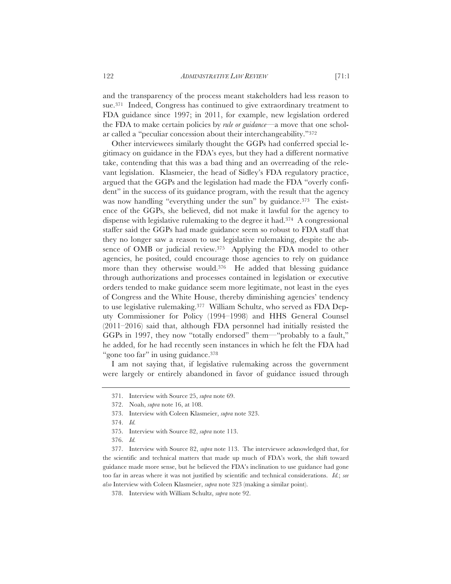and the transparency of the process meant stakeholders had less reason to sue.371 Indeed, Congress has continued to give extraordinary treatment to FDA guidance since 1997; in 2011, for example, new legislation ordered the FDA to make certain policies by *rule or guidance*—a move that one scholar called a "peculiar concession about their interchangeability."372

Other interviewees similarly thought the GGPs had conferred special legitimacy on guidance in the FDA's eyes, but they had a different normative take, contending that this was a bad thing and an overreading of the relevant legislation. Klasmeier, the head of Sidley's FDA regulatory practice, argued that the GGPs and the legislation had made the FDA "overly confident" in the success of its guidance program, with the result that the agency was now handling "everything under the sun" by guidance.<sup>373</sup> The existence of the GGPs, she believed, did not make it lawful for the agency to dispense with legislative rulemaking to the degree it had.374 A congressional staffer said the GGPs had made guidance seem so robust to FDA staff that they no longer saw a reason to use legislative rulemaking, despite the absence of OMB or judicial review.375 Applying the FDA model to other agencies, he posited, could encourage those agencies to rely on guidance more than they otherwise would.376 He added that blessing guidance through authorizations and processes contained in legislation or executive orders tended to make guidance seem more legitimate, not least in the eyes of Congress and the White House, thereby diminishing agencies' tendency to use legislative rulemaking.377 William Schultz, who served as FDA Deputy Commissioner for Policy (1994–1998) and HHS General Counsel (2011–2016) said that, although FDA personnel had initially resisted the GGPs in 1997, they now "totally endorsed" them—"probably to a fault," he added, for he had recently seen instances in which he felt the FDA had "gone too far" in using guidance.<sup>378</sup>

I am not saying that, if legislative rulemaking across the government were largely or entirely abandoned in favor of guidance issued through

375. Interview with Source 82, *supra* note 113.

<sup>371.</sup> Interview with Source 25, *supra* note 69.

<sup>372.</sup> Noah, *supra* note 16, at 108.

<sup>373.</sup> Interview with Coleen Klasmeier, *supra* note 323.

<sup>374.</sup> *Id.*

<sup>376.</sup> *Id.*

<sup>377.</sup> Interview with Source 82, *supra* note 113. The interviewee acknowledged that, for the scientific and technical matters that made up much of FDA's work, the shift toward guidance made more sense, but he believed the FDA's inclination to use guidance had gone too far in areas where it was not justified by scientific and technical considerations. *Id.*; *see also* Interview with Coleen Klasmeier, *supra* note 323 (making a similar point).

<sup>378.</sup> Interview with William Schultz, *supra* note 92.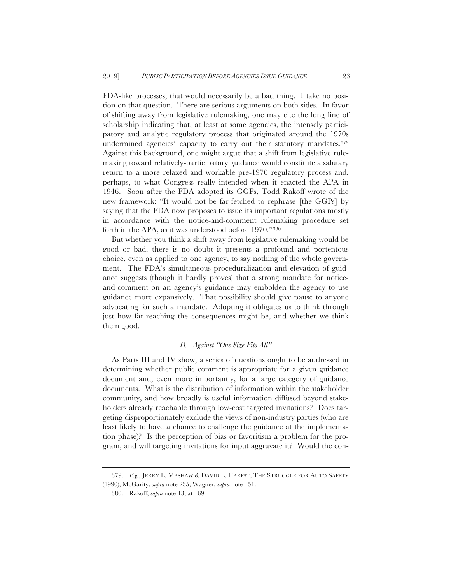FDA-like processes, that would necessarily be a bad thing. I take no position on that question. There are serious arguments on both sides. In favor of shifting away from legislative rulemaking, one may cite the long line of scholarship indicating that, at least at some agencies, the intensely participatory and analytic regulatory process that originated around the 1970s undermined agencies' capacity to carry out their statutory mandates.379 Against this background, one might argue that a shift from legislative rulemaking toward relatively-participatory guidance would constitute a salutary return to a more relaxed and workable pre-1970 regulatory process and, perhaps, to what Congress really intended when it enacted the APA in 1946. Soon after the FDA adopted its GGPs, Todd Rakoff wrote of the new framework: "It would not be far-fetched to rephrase [the GGPs] by saying that the FDA now proposes to issue its important regulations mostly in accordance with the notice-and-comment rulemaking procedure set forth in the APA, as it was understood before 1970."380

But whether you think a shift away from legislative rulemaking would be good or bad, there is no doubt it presents a profound and portentous choice, even as applied to one agency, to say nothing of the whole government. The FDA's simultaneous proceduralization and elevation of guidance suggests (though it hardly proves) that a strong mandate for noticeand-comment on an agency's guidance may embolden the agency to use guidance more expansively. That possibility should give pause to anyone advocating for such a mandate. Adopting it obligates us to think through just how far-reaching the consequences might be, and whether we think them good.

# *D. Against "One Size Fits All"*

As Parts III and IV show, a series of questions ought to be addressed in determining whether public comment is appropriate for a given guidance document and, even more importantly, for a large category of guidance documents. What is the distribution of information within the stakeholder community, and how broadly is useful information diffused beyond stakeholders already reachable through low-cost targeted invitations? Does targeting disproportionately exclude the views of non-industry parties (who are least likely to have a chance to challenge the guidance at the implementation phase)? Is the perception of bias or favoritism a problem for the program, and will targeting invitations for input aggravate it? Would the con-

<sup>379.</sup> *E.g.*, JERRY L. MASHAW & DAVID L. HARFST, THE STRUGGLE FOR AUTO SAFETY (1990); McGarity, *supra* note 235; Wagner, *supra* note 151.

<sup>380.</sup> Rakoff, *supra* note 13, at 169.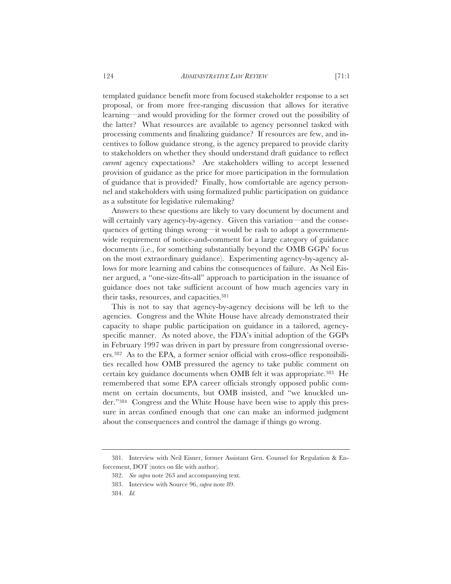templated guidance benefit more from focused stakeholder response to a set proposal, or from more free-ranging discussion that allows for iterative learning—and would providing for the former crowd out the possibility of the latter? What resources are available to agency personnel tasked with processing comments and finalizing guidance? If resources are few, and incentives to follow guidance strong, is the agency prepared to provide clarity to stakeholders on whether they should understand draft guidance to reflect *current* agency expectations? Are stakeholders willing to accept lessened provision of guidance as the price for more participation in the formulation of guidance that is provided? Finally, how comfortable are agency personnel and stakeholders with using formalized public participation on guidance as a substitute for legislative rulemaking?

Answers to these questions are likely to vary document by document and will certainly vary agency-by-agency. Given this variation—and the consequences of getting things wrong—it would be rash to adopt a governmentwide requirement of notice-and-comment for a large category of guidance documents (i.e., for something substantially beyond the OMB GGPs' focus on the most extraordinary guidance). Experimenting agency-by-agency allows for more learning and cabins the consequences of failure. As Neil Eisner argued, a "one-size-fits-all" approach to participation in the issuance of guidance does not take sufficient account of how much agencies vary in their tasks, resources, and capacities.381

This is not to say that agency-by-agency decisions will be left to the agencies. Congress and the White House have already demonstrated their capacity to shape public participation on guidance in a tailored, agencyspecific manner. As noted above, the FDA's initial adoption of the GGPs in February 1997 was driven in part by pressure from congressional overseers.382 As to the EPA, a former senior official with cross-office responsibilities recalled how OMB pressured the agency to take public comment on certain key guidance documents when OMB felt it was appropriate.383 He remembered that some EPA career officials strongly opposed public comment on certain documents, but OMB insisted, and "we knuckled under."384 Congress and the White House have been wise to apply this pressure in areas confined enough that one can make an informed judgment about the consequences and control the damage if things go wrong.

<sup>381.</sup> Interview with Neil Eisner, former Assistant Gen. Counsel for Regulation & Enforcement, DOT (notes on file with author).

<sup>382.</sup> *See supra* note 263 and accompanying text.

<sup>383.</sup> Interview with Source 96, *supra* note 89.

<sup>384.</sup> *Id.*